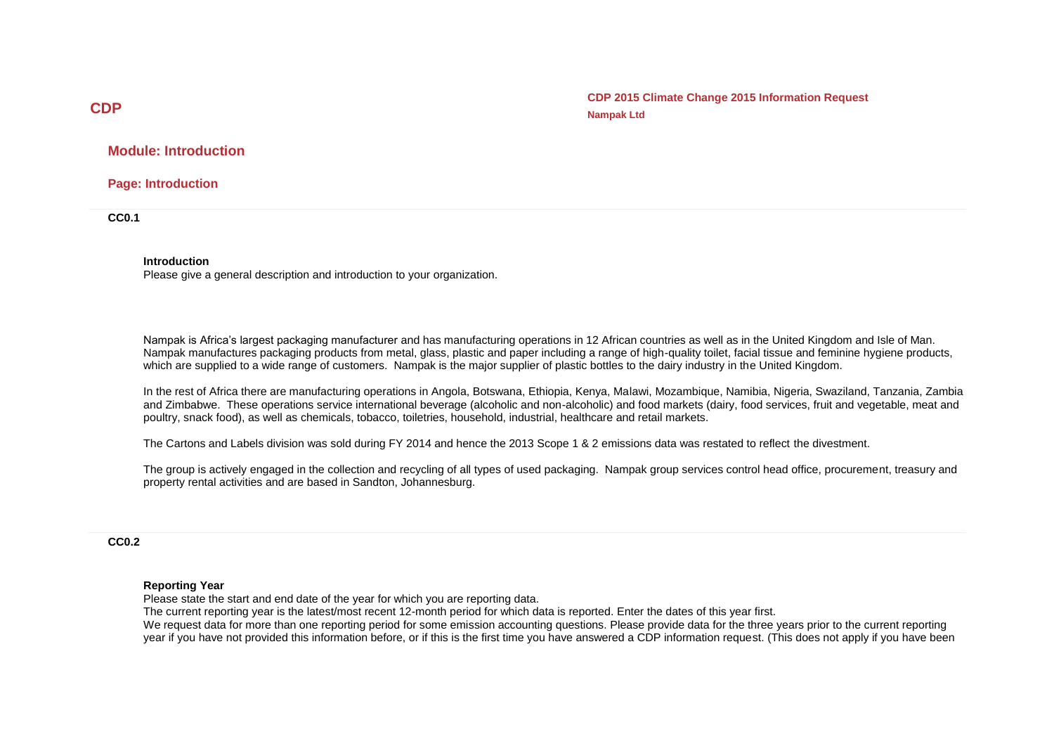**CDP 2015 Climate Change 2015 Information Request Nampak Ltd**

## **Module: Introduction**

**Page: Introduction**

**CC0.1**

#### **Introduction**

Please give a general description and introduction to your organization.

Nampak is Africa's largest packaging manufacturer and has manufacturing operations in 12 African countries as well as in the United Kingdom and Isle of Man. Nampak manufactures packaging products from metal, glass, plastic and paper including a range of high-quality toilet, facial tissue and feminine hygiene products, which are supplied to a wide range of customers. Nampak is the major supplier of plastic bottles to the dairy industry in the United Kingdom.

In the rest of Africa there are manufacturing operations in Angola, Botswana, Ethiopia, Kenya, Malawi, Mozambique, Namibia, Nigeria, Swaziland, Tanzania, Zambia and Zimbabwe. These operations service international beverage (alcoholic and non-alcoholic) and food markets (dairy, food services, fruit and vegetable, meat and poultry, snack food), as well as chemicals, tobacco, toiletries, household, industrial, healthcare and retail markets.

The Cartons and Labels division was sold during FY 2014 and hence the 2013 Scope 1 & 2 emissions data was restated to reflect the divestment.

The group is actively engaged in the collection and recycling of all types of used packaging. Nampak group services control head office, procurement, treasury and property rental activities and are based in Sandton, Johannesburg.

#### **CC0.2**

#### **Reporting Year**

Please state the start and end date of the year for which you are reporting data.

The current reporting year is the latest/most recent 12-month period for which data is reported. Enter the dates of this year first. We request data for more than one reporting period for some emission accounting questions. Please provide data for the three years prior to the current reporting year if you have not provided this information before, or if this is the first time you have answered a CDP information request. (This does not apply if you have been

## **CDP**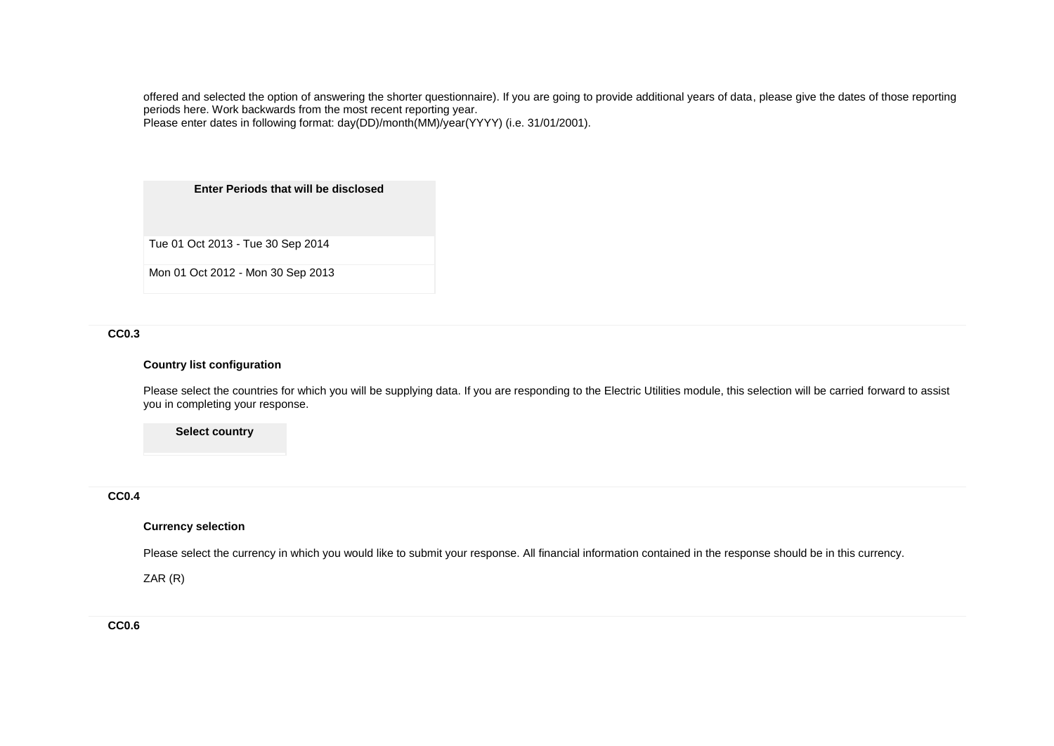offered and selected the option of answering the shorter questionnaire). If you are going to provide additional years of data, please give the dates of those reporting periods here. Work backwards from the most recent reporting year.

Please enter dates in following format: day(DD)/month(MM)/year(YYYY) (i.e. 31/01/2001).

**Enter Periods that will be disclosed**

Tue 01 Oct 2013 - Tue 30 Sep 2014

Mon 01 Oct 2012 - Mon 30 Sep 2013

## **CC0.3**

### **Country list configuration**

Please select the countries for which you will be supplying data. If you are responding to the Electric Utilities module, this selection will be carried forward to assist you in completing your response.

**Select country**

## **CC0.4**

### **Currency selection**

Please select the currency in which you would like to submit your response. All financial information contained in the response should be in this currency.

ZAR (R)

**CC0.6**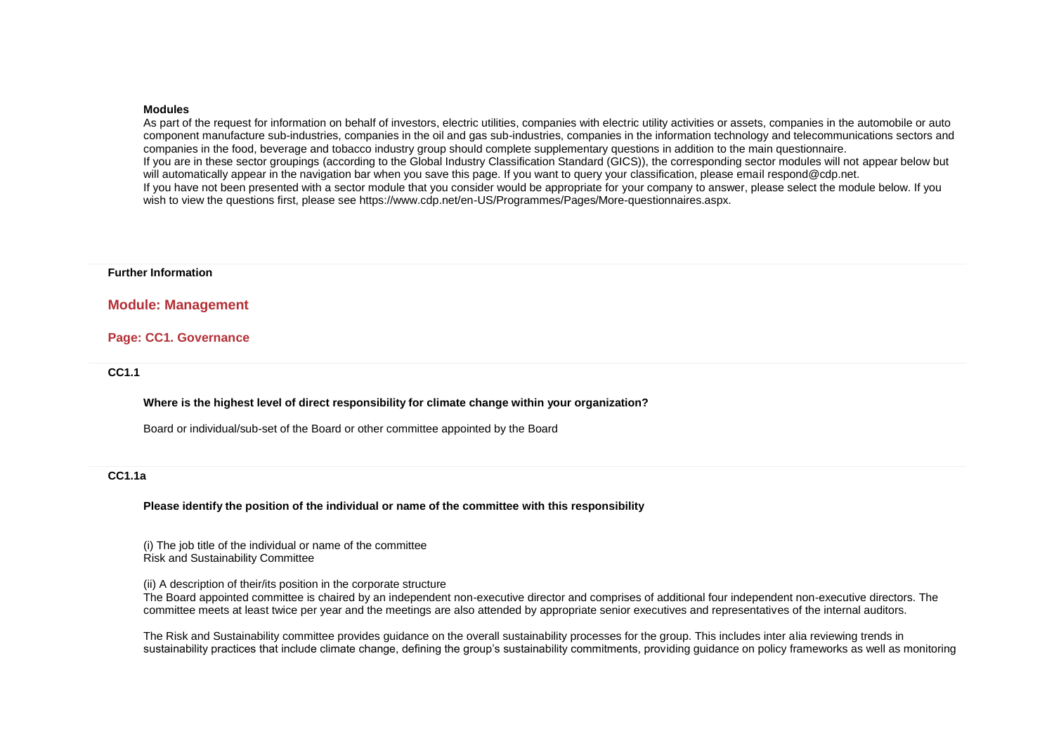#### **Modules**

As part of the request for information on behalf of investors, electric utilities, companies with electric utility activities or assets, companies in the automobile or auto component manufacture sub-industries, companies in the oil and gas sub-industries, companies in the information technology and telecommunications sectors and companies in the food, beverage and tobacco industry group should complete supplementary questions in addition to the main questionnaire. If you are in these sector groupings (according to the Global Industry Classification Standard (GICS)), the corresponding sector modules will not appear below but will automatically appear in the navigation bar when you save this page. If you want to query your classification, please email respond@cdp.net. If you have not been presented with a sector module that you consider would be appropriate for your company to answer, please select the module below. If you wish to view the questions first, please see https://www.cdp.net/en-US/Programmes/Pages/More-questionnaires.aspx.

#### **Further Information**

### **Module: Management**

### **Page: CC1. Governance**

#### **CC1.1**

#### **Where is the highest level of direct responsibility for climate change within your organization?**

Board or individual/sub-set of the Board or other committee appointed by the Board

### **CC1.1a**

#### **Please identify the position of the individual or name of the committee with this responsibility**

(i) The job title of the individual or name of the committee Risk and Sustainability Committee

(ii) A description of their/its position in the corporate structure

The Board appointed committee is chaired by an independent non-executive director and comprises of additional four independent non-executive directors. The committee meets at least twice per year and the meetings are also attended by appropriate senior executives and representatives of the internal auditors.

The Risk and Sustainability committee provides guidance on the overall sustainability processes for the group. This includes inter alia reviewing trends in sustainability practices that include climate change, defining the group's sustainability commitments, providing guidance on policy frameworks as well as monitoring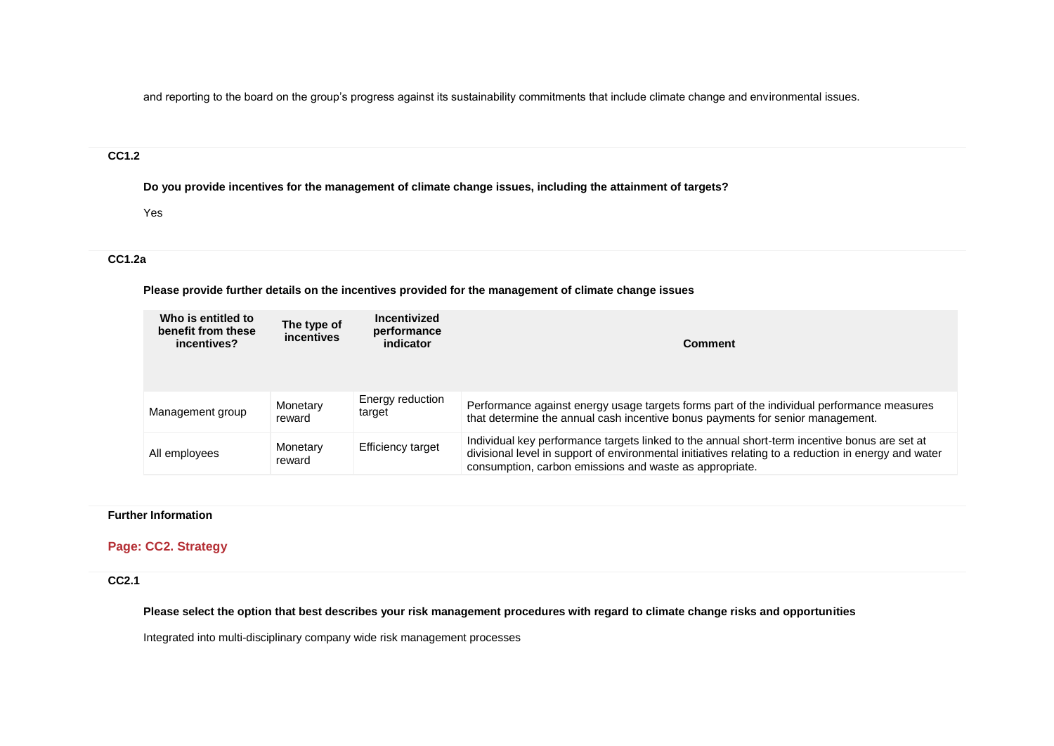and reporting to the board on the group's progress against its sustainability commitments that include climate change and environmental issues.

# **CC1.2**

**Do you provide incentives for the management of climate change issues, including the attainment of targets?**

Yes

## **CC1.2a**

**Please provide further details on the incentives provided for the management of climate change issues**

| Who is entitled to<br>benefit from these<br>incentives? | The type of<br>incentives | Incentivized<br>performance<br>indicator | Comment                                                                                                                                                                                                                                                          |
|---------------------------------------------------------|---------------------------|------------------------------------------|------------------------------------------------------------------------------------------------------------------------------------------------------------------------------------------------------------------------------------------------------------------|
| Management group                                        | Monetary<br>reward        | Energy reduction<br>target               | Performance against energy usage targets forms part of the individual performance measures<br>that determine the annual cash incentive bonus payments for senior management.                                                                                     |
| All employees                                           | Monetary<br>reward        | Efficiency target                        | Individual key performance targets linked to the annual short-term incentive bonus are set at<br>divisional level in support of environmental initiatives relating to a reduction in energy and water<br>consumption, carbon emissions and waste as appropriate. |

## **Further Information**

## **Page: CC2. Strategy**

## **CC2.1**

**Please select the option that best describes your risk management procedures with regard to climate change risks and opportunities**

Integrated into multi-disciplinary company wide risk management processes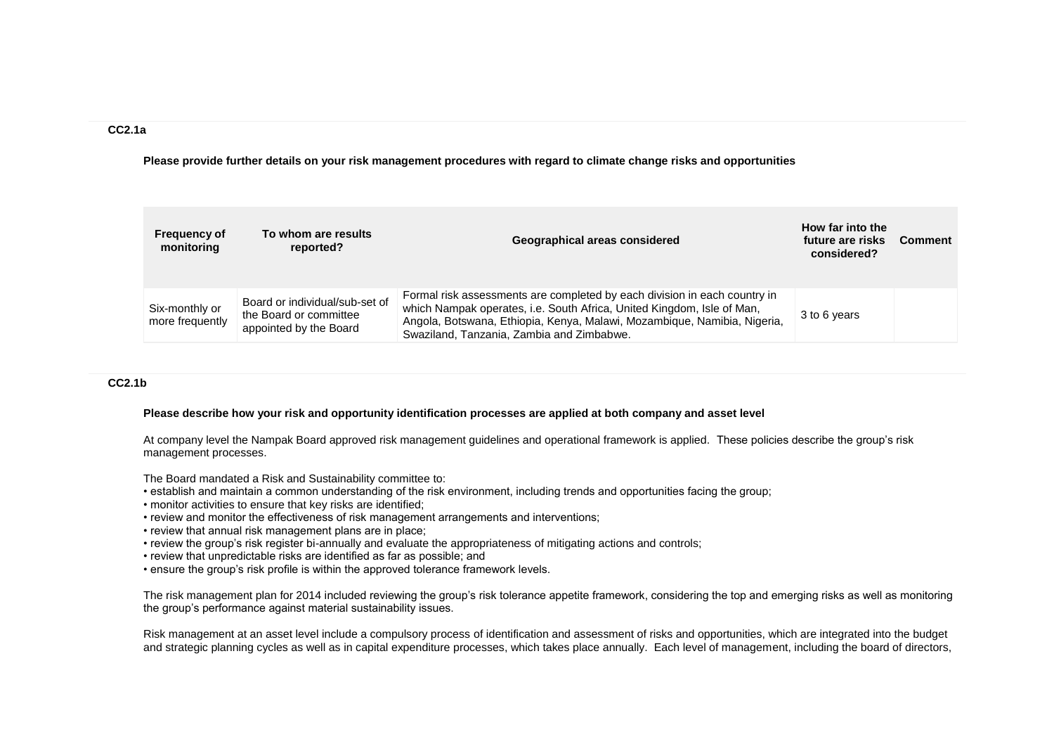### **CC2.1a**

**Please provide further details on your risk management procedures with regard to climate change risks and opportunities**

| <b>Frequency of</b><br>monitoring | To whom are results<br>reported?                                                   | Geographical areas considered                                                                                                                                                                                                                                                | How far into the<br>future are risks<br>considered? | <b>Comment</b> |
|-----------------------------------|------------------------------------------------------------------------------------|------------------------------------------------------------------------------------------------------------------------------------------------------------------------------------------------------------------------------------------------------------------------------|-----------------------------------------------------|----------------|
| Six-monthly or<br>more frequently | Board or individual/sub-set of<br>the Board or committee<br>appointed by the Board | Formal risk assessments are completed by each division in each country in<br>which Nampak operates, i.e. South Africa, United Kingdom, Isle of Man,<br>Angola, Botswana, Ethiopia, Kenya, Malawi, Mozambique, Namibia, Nigeria,<br>Swaziland, Tanzania, Zambia and Zimbabwe. | 3 to 6 years                                        |                |

### **CC2.1b**

#### **Please describe how your risk and opportunity identification processes are applied at both company and asset level**

At company level the Nampak Board approved risk management guidelines and operational framework is applied. These policies describe the group's risk management processes.

The Board mandated a Risk and Sustainability committee to:

- establish and maintain a common understanding of the risk environment, including trends and opportunities facing the group;
- monitor activities to ensure that key risks are identified;
- review and monitor the effectiveness of risk management arrangements and interventions;
- review that annual risk management plans are in place;
- review the group's risk register bi-annually and evaluate the appropriateness of mitigating actions and controls;
- review that unpredictable risks are identified as far as possible; and
- ensure the group's risk profile is within the approved tolerance framework levels.

The risk management plan for 2014 included reviewing the group's risk tolerance appetite framework, considering the top and emerging risks as well as monitoring the group's performance against material sustainability issues.

Risk management at an asset level include a compulsory process of identification and assessment of risks and opportunities, which are integrated into the budget and strategic planning cycles as well as in capital expenditure processes, which takes place annually. Each level of management, including the board of directors,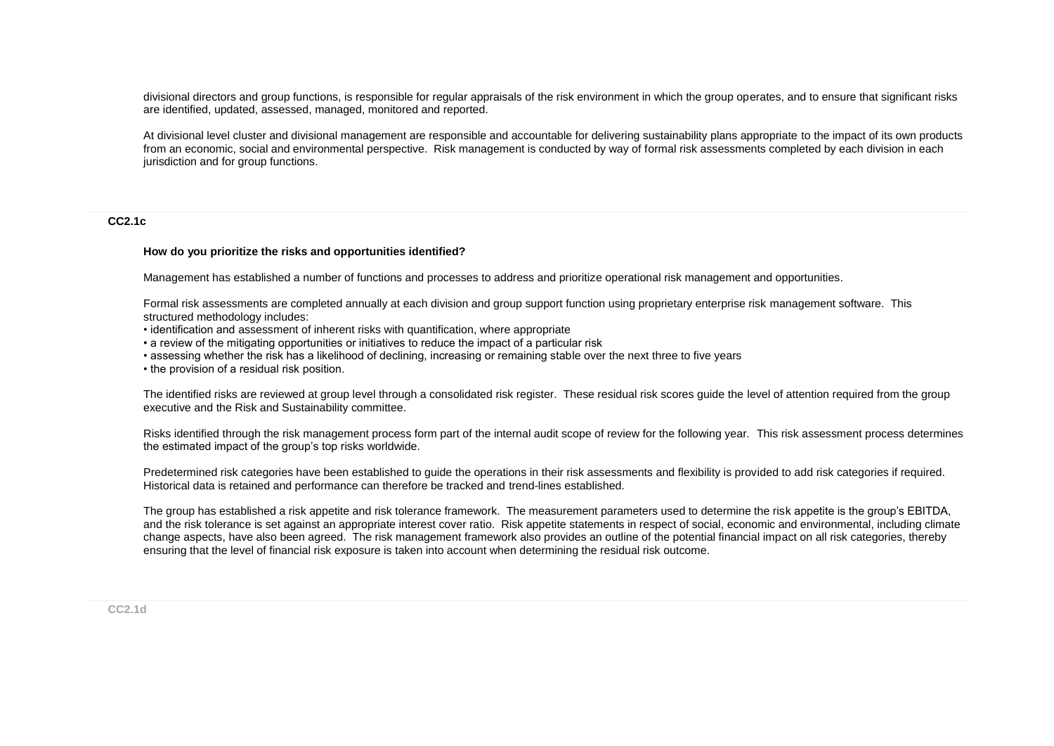divisional directors and group functions, is responsible for regular appraisals of the risk environment in which the group operates, and to ensure that significant risks are identified, updated, assessed, managed, monitored and reported.

At divisional level cluster and divisional management are responsible and accountable for delivering sustainability plans appropriate to the impact of its own products from an economic, social and environmental perspective. Risk management is conducted by way of formal risk assessments completed by each division in each jurisdiction and for group functions.

#### **CC2.1c**

#### **How do you prioritize the risks and opportunities identified?**

Management has established a number of functions and processes to address and prioritize operational risk management and opportunities.

Formal risk assessments are completed annually at each division and group support function using proprietary enterprise risk management software. This structured methodology includes:

• identification and assessment of inherent risks with quantification, where appropriate

• a review of the mitigating opportunities or initiatives to reduce the impact of a particular risk

• assessing whether the risk has a likelihood of declining, increasing or remaining stable over the next three to five years

• the provision of a residual risk position.

The identified risks are reviewed at group level through a consolidated risk register. These residual risk scores guide the level of attention required from the group executive and the Risk and Sustainability committee.

Risks identified through the risk management process form part of the internal audit scope of review for the following year. This risk assessment process determines the estimated impact of the group's top risks worldwide.

Predetermined risk categories have been established to guide the operations in their risk assessments and flexibility is provided to add risk categories if required. Historical data is retained and performance can therefore be tracked and trend-lines established.

The group has established a risk appetite and risk tolerance framework. The measurement parameters used to determine the risk appetite is the group's EBITDA, and the risk tolerance is set against an appropriate interest cover ratio. Risk appetite statements in respect of social, economic and environmental, including climate change aspects, have also been agreed. The risk management framework also provides an outline of the potential financial impact on all risk categories, thereby ensuring that the level of financial risk exposure is taken into account when determining the residual risk outcome.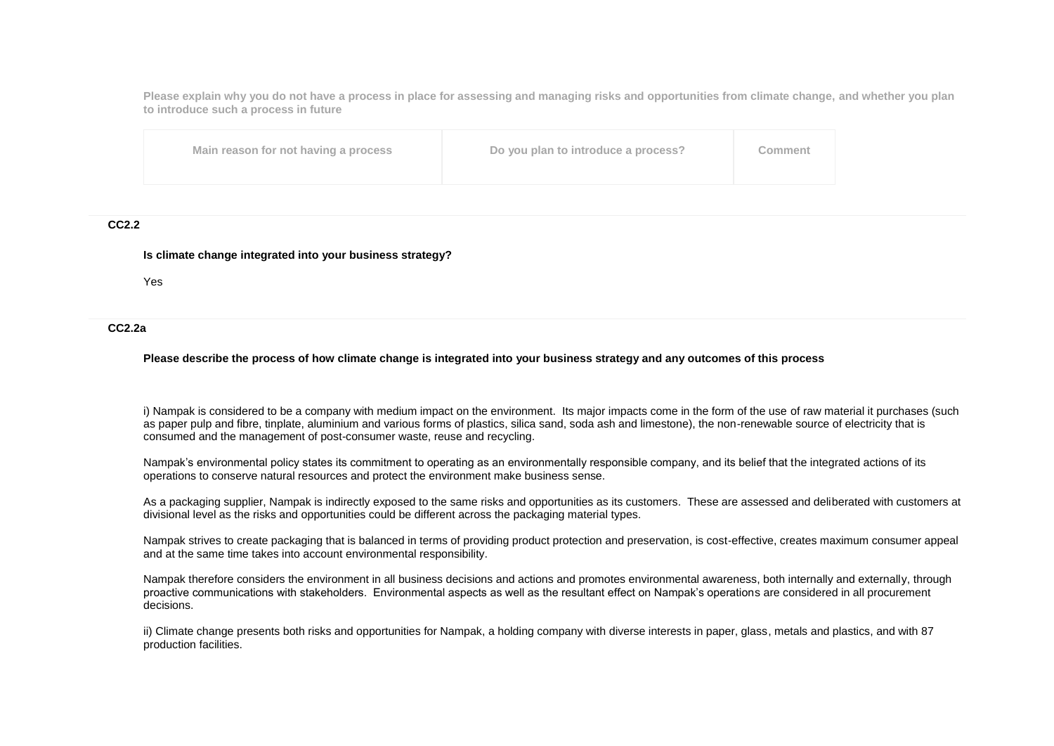**Please explain why you do not have a process in place for assessing and managing risks and opportunities from climate change, and whether you plan to introduce such a process in future**

| Main reason for not having a process<br>Do you plan to introduce a process? | Comment |
|-----------------------------------------------------------------------------|---------|
|-----------------------------------------------------------------------------|---------|

#### **CC2.2**

#### **Is climate change integrated into your business strategy?**

Yes

#### **CC2.2a**

#### **Please describe the process of how climate change is integrated into your business strategy and any outcomes of this process**

i) Nampak is considered to be a company with medium impact on the environment. Its major impacts come in the form of the use of raw material it purchases (such as paper pulp and fibre, tinplate, aluminium and various forms of plastics, silica sand, soda ash and limestone), the non-renewable source of electricity that is consumed and the management of post-consumer waste, reuse and recycling.

Nampak's environmental policy states its commitment to operating as an environmentally responsible company, and its belief that the integrated actions of its operations to conserve natural resources and protect the environment make business sense.

As a packaging supplier, Nampak is indirectly exposed to the same risks and opportunities as its customers. These are assessed and deliberated with customers at divisional level as the risks and opportunities could be different across the packaging material types.

Nampak strives to create packaging that is balanced in terms of providing product protection and preservation, is cost-effective, creates maximum consumer appeal and at the same time takes into account environmental responsibility.

Nampak therefore considers the environment in all business decisions and actions and promotes environmental awareness, both internally and externally, through proactive communications with stakeholders. Environmental aspects as well as the resultant effect on Nampak's operations are considered in all procurement decisions.

ii) Climate change presents both risks and opportunities for Nampak, a holding company with diverse interests in paper, glass, metals and plastics, and with 87 production facilities.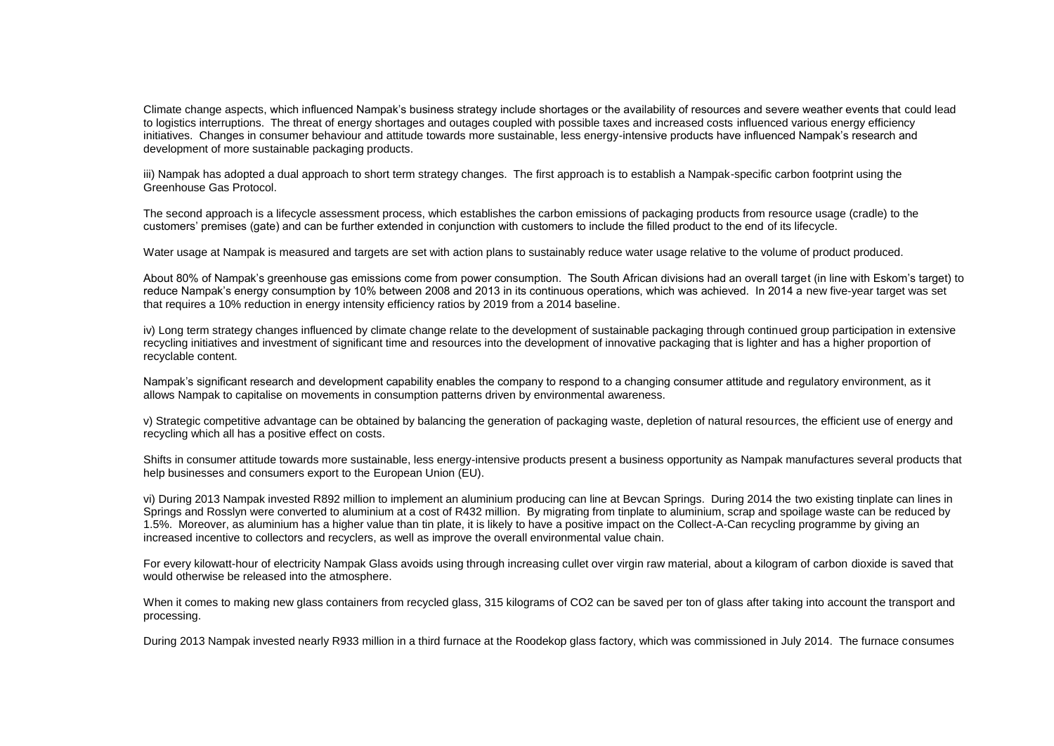Climate change aspects, which influenced Nampak's business strategy include shortages or the availability of resources and severe weather events that could lead to logistics interruptions. The threat of energy shortages and outages coupled with possible taxes and increased costs influenced various energy efficiency initiatives. Changes in consumer behaviour and attitude towards more sustainable, less energy-intensive products have influenced Nampak's research and development of more sustainable packaging products.

iii) Nampak has adopted a dual approach to short term strategy changes. The first approach is to establish a Nampak-specific carbon footprint using the Greenhouse Gas Protocol.

The second approach is a lifecycle assessment process, which establishes the carbon emissions of packaging products from resource usage (cradle) to the customers' premises (gate) and can be further extended in conjunction with customers to include the filled product to the end of its lifecycle.

Water usage at Nampak is measured and targets are set with action plans to sustainably reduce water usage relative to the volume of product produced.

About 80% of Nampak's greenhouse gas emissions come from power consumption. The South African divisions had an overall target (in line with Eskom's target) to reduce Nampak's energy consumption by 10% between 2008 and 2013 in its continuous operations, which was achieved. In 2014 a new five-year target was set that requires a 10% reduction in energy intensity efficiency ratios by 2019 from a 2014 baseline.

iv) Long term strategy changes influenced by climate change relate to the development of sustainable packaging through continued group participation in extensive recycling initiatives and investment of significant time and resources into the development of innovative packaging that is lighter and has a higher proportion of recyclable content.

Nampak's significant research and development capability enables the company to respond to a changing consumer attitude and regulatory environment, as it allows Nampak to capitalise on movements in consumption patterns driven by environmental awareness.

v) Strategic competitive advantage can be obtained by balancing the generation of packaging waste, depletion of natural resources, the efficient use of energy and recycling which all has a positive effect on costs.

Shifts in consumer attitude towards more sustainable, less energy-intensive products present a business opportunity as Nampak manufactures several products that help businesses and consumers export to the European Union (EU).

vi) During 2013 Nampak invested R892 million to implement an aluminium producing can line at Bevcan Springs. During 2014 the two existing tinplate can lines in Springs and Rosslyn were converted to aluminium at a cost of R432 million. By migrating from tinplate to aluminium, scrap and spoilage waste can be reduced by 1.5%. Moreover, as aluminium has a higher value than tin plate, it is likely to have a positive impact on the Collect-A-Can recycling programme by giving an increased incentive to collectors and recyclers, as well as improve the overall environmental value chain.

For every kilowatt-hour of electricity Nampak Glass avoids using through increasing cullet over virgin raw material, about a kilogram of carbon dioxide is saved that would otherwise be released into the atmosphere.

When it comes to making new glass containers from recycled glass, 315 kilograms of CO2 can be saved per ton of glass after taking into account the transport and processing.

During 2013 Nampak invested nearly R933 million in a third furnace at the Roodekop glass factory, which was commissioned in July 2014. The furnace consumes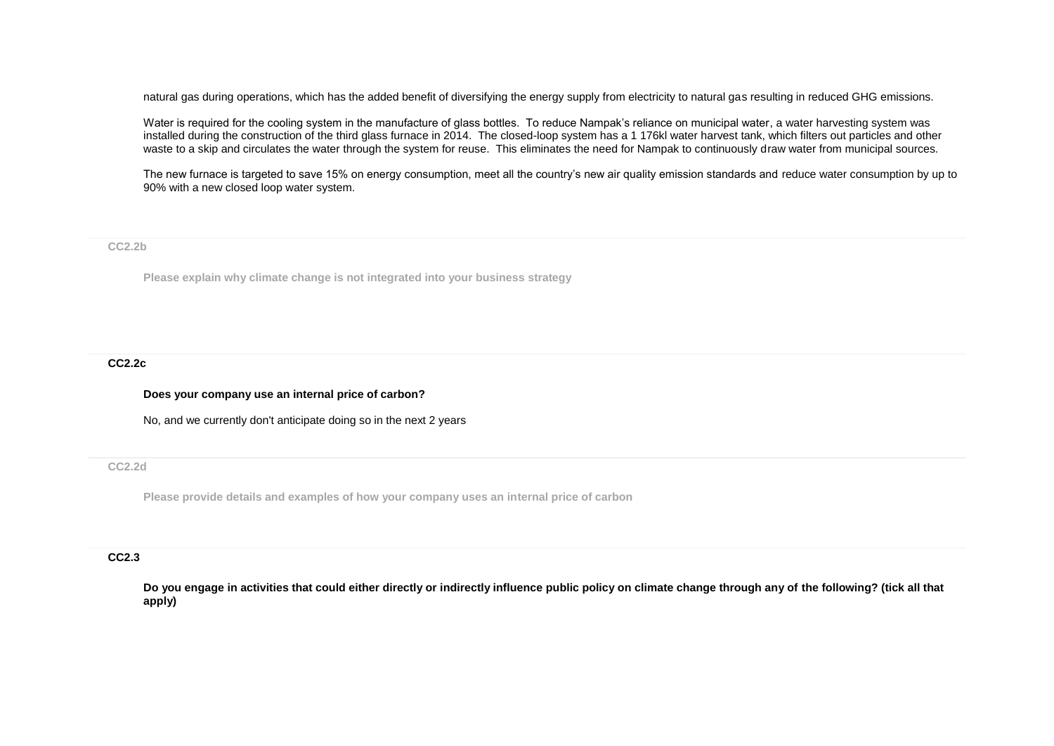natural gas during operations, which has the added benefit of diversifying the energy supply from electricity to natural gas resulting in reduced GHG emissions.

Water is required for the cooling system in the manufacture of glass bottles. To reduce Nampak's reliance on municipal water, a water harvesting system was installed during the construction of the third glass furnace in 2014. The closed-loop system has a 1 176kl water harvest tank, which filters out particles and other waste to a skip and circulates the water through the system for reuse. This eliminates the need for Nampak to continuously draw water from municipal sources.

The new furnace is targeted to save 15% on energy consumption, meet all the country's new air quality emission standards and reduce water consumption by up to 90% with a new closed loop water system.

**CC2.2b**

**Please explain why climate change is not integrated into your business strategy**

#### **CC2.2c**

**Does your company use an internal price of carbon?**

No, and we currently don't anticipate doing so in the next 2 years

### **CC2.2d**

**Please provide details and examples of how your company uses an internal price of carbon**

### **CC2.3**

**Do you engage in activities that could either directly or indirectly influence public policy on climate change through any of the following? (tick all that apply)**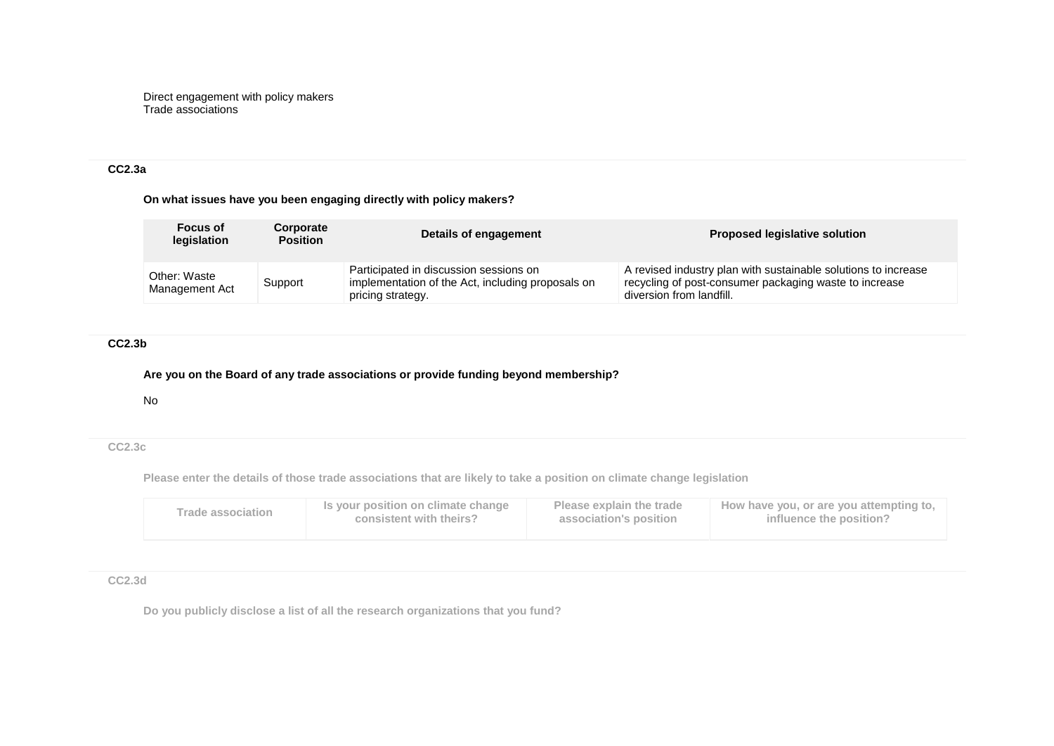Direct engagement with policy makers Trade associations

### **CC2.3a**

### **On what issues have you been engaging directly with policy makers?**

| <b>Focus of</b><br>legislation | Corporate<br><b>Position</b> | Details of engagement                                                                                            | <b>Proposed legislative solution</b>                                                                                                                 |
|--------------------------------|------------------------------|------------------------------------------------------------------------------------------------------------------|------------------------------------------------------------------------------------------------------------------------------------------------------|
| Other: Waste<br>Management Act | Support                      | Participated in discussion sessions on<br>implementation of the Act, including proposals on<br>pricing strategy. | A revised industry plan with sustainable solutions to increase<br>recycling of post-consumer packaging waste to increase<br>diversion from landfill. |

# **CC2.3b**

## **Are you on the Board of any trade associations or provide funding beyond membership?**

No

## **CC2.3c**

**Please enter the details of those trade associations that are likely to take a position on climate change legislation**

| <b>Trade association</b> | Is your position on climate change | Please explain the trade | How have you, or are you attempting to, |
|--------------------------|------------------------------------|--------------------------|-----------------------------------------|
|                          | consistent with theirs?            | association's position   | influence the position?                 |
|                          |                                    |                          |                                         |

**CC2.3d**

**Do you publicly disclose a list of all the research organizations that you fund?**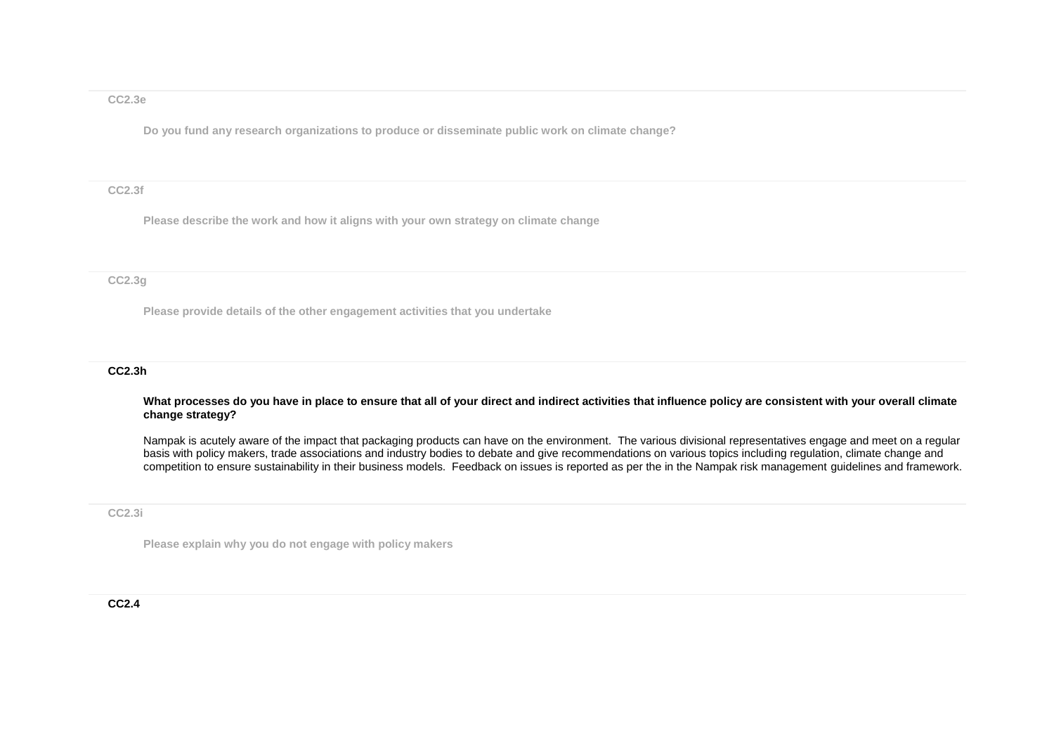### **CC2.3e**

**Do you fund any research organizations to produce or disseminate public work on climate change?**

#### **CC2.3f**

**Please describe the work and how it aligns with your own strategy on climate change**

### **CC2.3g**

**Please provide details of the other engagement activities that you undertake**

#### **CC2.3h**

**What processes do you have in place to ensure that all of your direct and indirect activities that influence policy are consistent with your overall climate change strategy?**

Nampak is acutely aware of the impact that packaging products can have on the environment. The various divisional representatives engage and meet on a regular basis with policy makers, trade associations and industry bodies to debate and give recommendations on various topics including regulation, climate change and competition to ensure sustainability in their business models. Feedback on issues is reported as per the in the Nampak risk management guidelines and framework.

#### **CC2.3i**

**Please explain why you do not engage with policy makers**

### **CC2.4**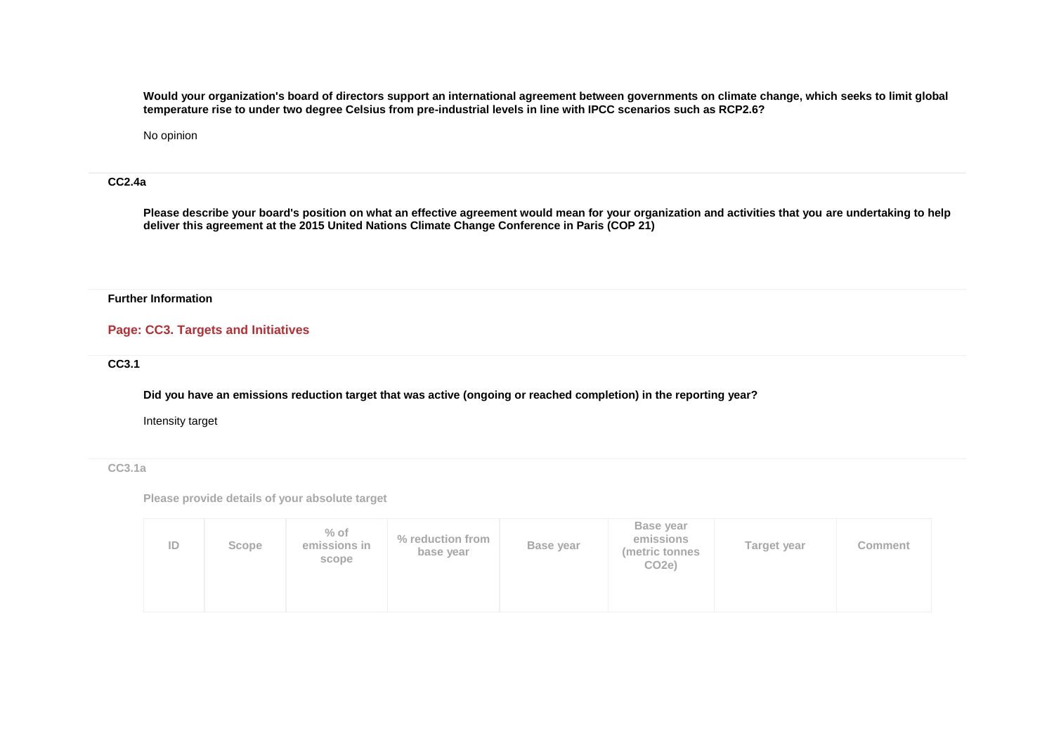**Would your organization's board of directors support an international agreement between governments on climate change, which seeks to limit global temperature rise to under two degree Celsius from pre-industrial levels in line with IPCC scenarios such as RCP2.6?**

No opinion

#### **CC2.4a**

**Please describe your board's position on what an effective agreement would mean for your organization and activities that you are undertaking to help deliver this agreement at the 2015 United Nations Climate Change Conference in Paris (COP 21)**

### **Further Information**

## **Page: CC3. Targets and Initiatives**

**CC3.1**

**Did you have an emissions reduction target that was active (ongoing or reached completion) in the reporting year?**

Intensity target

**CC3.1a**

**Please provide details of your absolute target**

| ID | Scope | $%$ of<br>emissions in<br>scope | % reduction from<br>base year | Base year | Base year<br>emissions<br>(metric tonnes<br>CO <sub>2</sub> e) | Target year | Comment |
|----|-------|---------------------------------|-------------------------------|-----------|----------------------------------------------------------------|-------------|---------|
|----|-------|---------------------------------|-------------------------------|-----------|----------------------------------------------------------------|-------------|---------|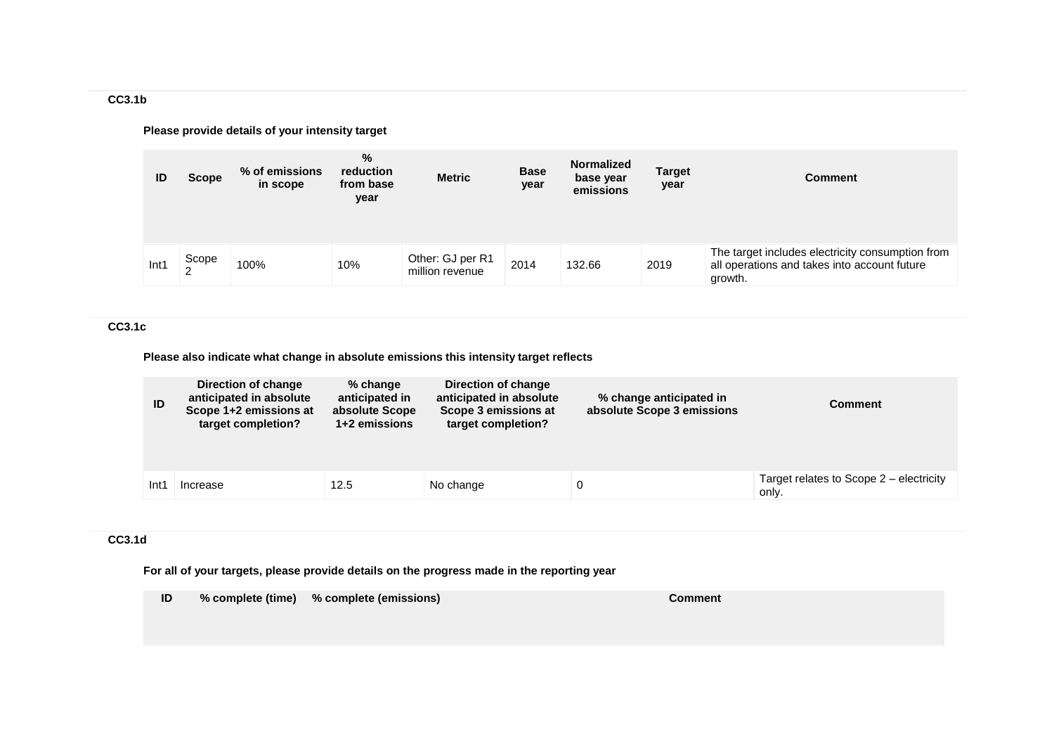**CC3.1b**

## **Please provide details of your intensity target**

| ID   | <b>Scope</b>      | % of emissions<br>in scope | %<br>reduction<br>from base<br>year | <b>Metric</b>                       | <b>Base</b><br>year | <b>Normalized</b><br>base year<br>emissions | <b>Target</b><br>year | <b>Comment</b>                                                                                              |
|------|-------------------|----------------------------|-------------------------------------|-------------------------------------|---------------------|---------------------------------------------|-----------------------|-------------------------------------------------------------------------------------------------------------|
| Int1 | Scope<br>$\Omega$ | 100%                       | 10%                                 | Other: GJ per R1<br>million revenue | 2014                | 132.66                                      | 2019                  | The target includes electricity consumption from<br>all operations and takes into account future<br>growth. |

## **CC3.1c**

**Please also indicate what change in absolute emissions this intensity target reflects**

| ID   | Direction of change<br>anticipated in absolute<br>Scope 1+2 emissions at<br>target completion? | % change<br>anticipated in<br>absolute Scope<br>1+2 emissions | Direction of change<br>anticipated in absolute<br>Scope 3 emissions at<br>target completion? | % change anticipated in<br>absolute Scope 3 emissions | Comment                                          |
|------|------------------------------------------------------------------------------------------------|---------------------------------------------------------------|----------------------------------------------------------------------------------------------|-------------------------------------------------------|--------------------------------------------------|
| Int1 | Increase                                                                                       | 12.5                                                          | No change                                                                                    |                                                       | Target relates to Scope 2 – electricity<br>only. |

### **CC3.1d**

**For all of your targets, please provide details on the progress made in the reporting year**

**ID % complete (time) % complete (emissions) Comment**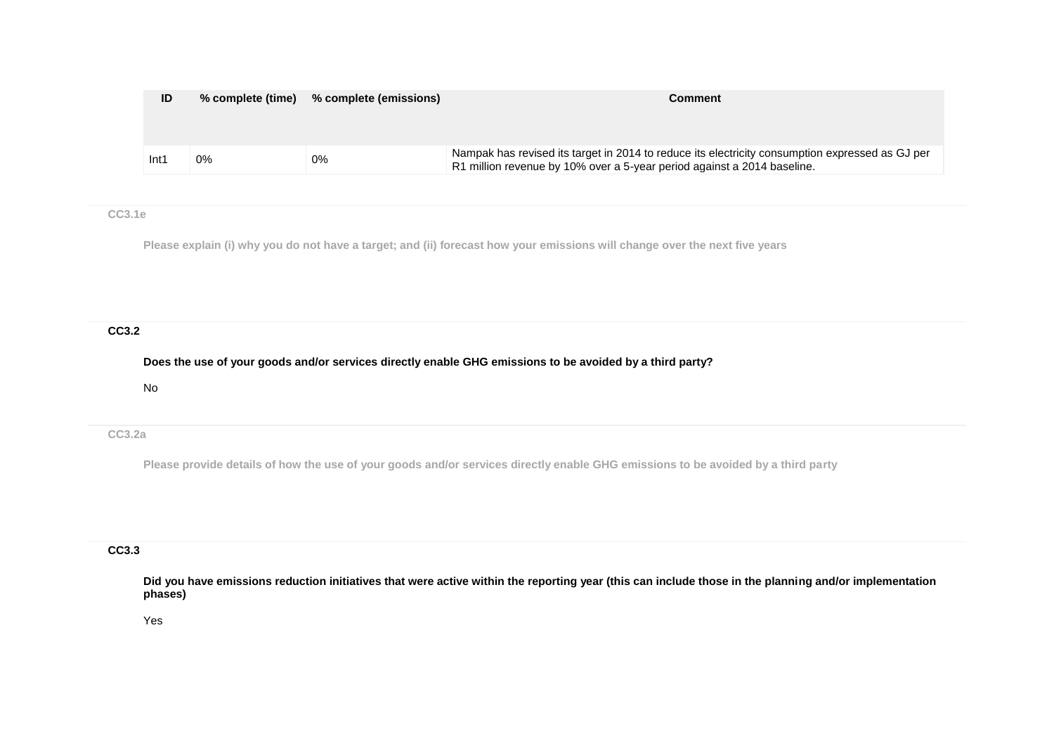| ID   | % complete (time) | % complete (emissions) | Comment                                                                                                                                                                    |
|------|-------------------|------------------------|----------------------------------------------------------------------------------------------------------------------------------------------------------------------------|
| Int′ | 0%                | $0\%$                  | Nampak has revised its target in 2014 to reduce its electricity consumption expressed as GJ per<br>R1 million revenue by 10% over a 5-year period against a 2014 baseline. |

### **CC3.1e**

**Please explain (i) why you do not have a target; and (ii) forecast how your emissions will change over the next five years**

# **CC3.2**

**Does the use of your goods and/or services directly enable GHG emissions to be avoided by a third party?**

No

**CC3.2a**

**Please provide details of how the use of your goods and/or services directly enable GHG emissions to be avoided by a third party**

## **CC3.3**

**Did you have emissions reduction initiatives that were active within the reporting year (this can include those in the planning and/or implementation phases)**

Yes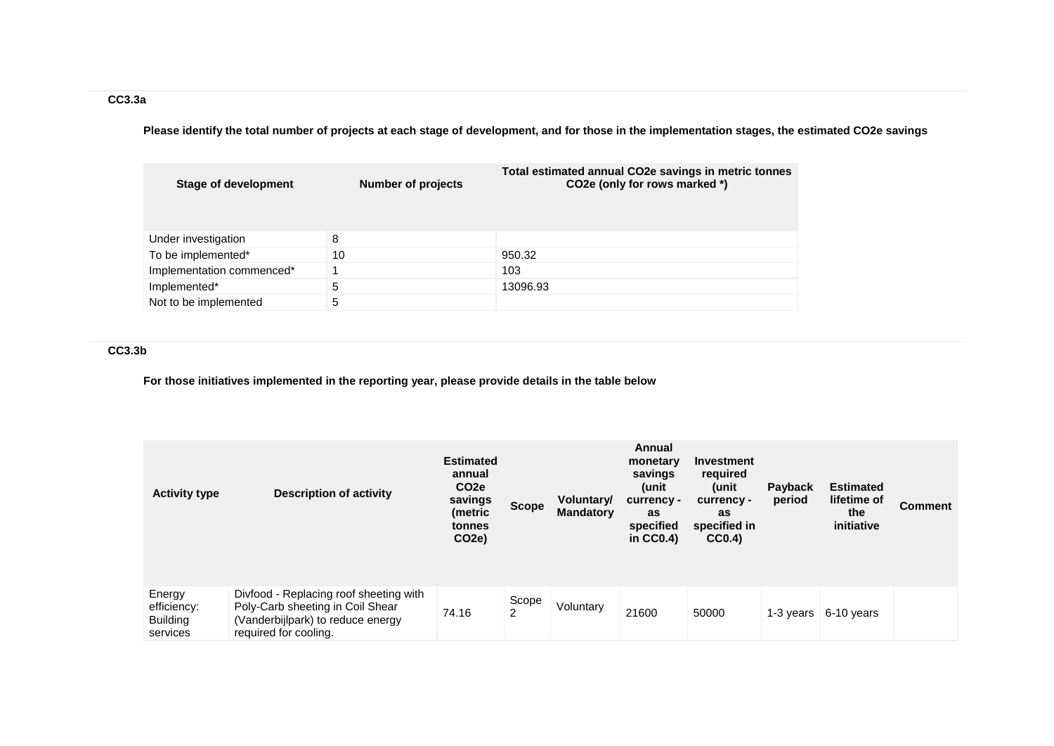**Please identify the total number of projects at each stage of development, and for those in the implementation stages, the estimated CO2e savings**

| <b>Stage of development</b> | <b>Number of projects</b> | Total estimated annual CO2e savings in metric tonnes<br>CO2e (only for rows marked *) |
|-----------------------------|---------------------------|---------------------------------------------------------------------------------------|
| Under investigation         | 8                         |                                                                                       |
| To be implemented*          | 10                        | 950.32                                                                                |
| Implementation commenced*   |                           | 103                                                                                   |
| Implemented*                | 5                         | 13096.93                                                                              |
| Not to be implemented       | 5                         |                                                                                       |

# **CC3.3b**

**For those initiatives implemented in the reporting year, please provide details in the table below**

| <b>Activity type</b>                                 | <b>Description of activity</b>                                                                                                           | <b>Estimated</b><br>annual<br>CO <sub>2</sub> e<br>savings<br>(metric<br>tonnes<br>CO <sub>2e</sub> ) | <b>Scope</b> | Voluntary/<br><b>Mandatory</b> | Annual<br>monetary<br>savings<br>(unit<br>currency -<br>as<br>specified<br>in $CC0.4$ ) | Investment<br>required<br>(unit<br>currency -<br>as<br>specified in<br>CC0.4 | Payback<br>period | <b>Estimated</b><br>lifetime of<br>the<br>initiative | <b>Comment</b> |
|------------------------------------------------------|------------------------------------------------------------------------------------------------------------------------------------------|-------------------------------------------------------------------------------------------------------|--------------|--------------------------------|-----------------------------------------------------------------------------------------|------------------------------------------------------------------------------|-------------------|------------------------------------------------------|----------------|
| Energy<br>efficiency:<br><b>Building</b><br>services | Divfood - Replacing roof sheeting with<br>Poly-Carb sheeting in Coil Shear<br>(Vanderbijlpark) to reduce energy<br>required for cooling. | 74.16                                                                                                 | Scope<br>2   | Voluntary                      | 21600                                                                                   | 50000                                                                        | 1-3 years         | 6-10 years                                           |                |

## **CC3.3a**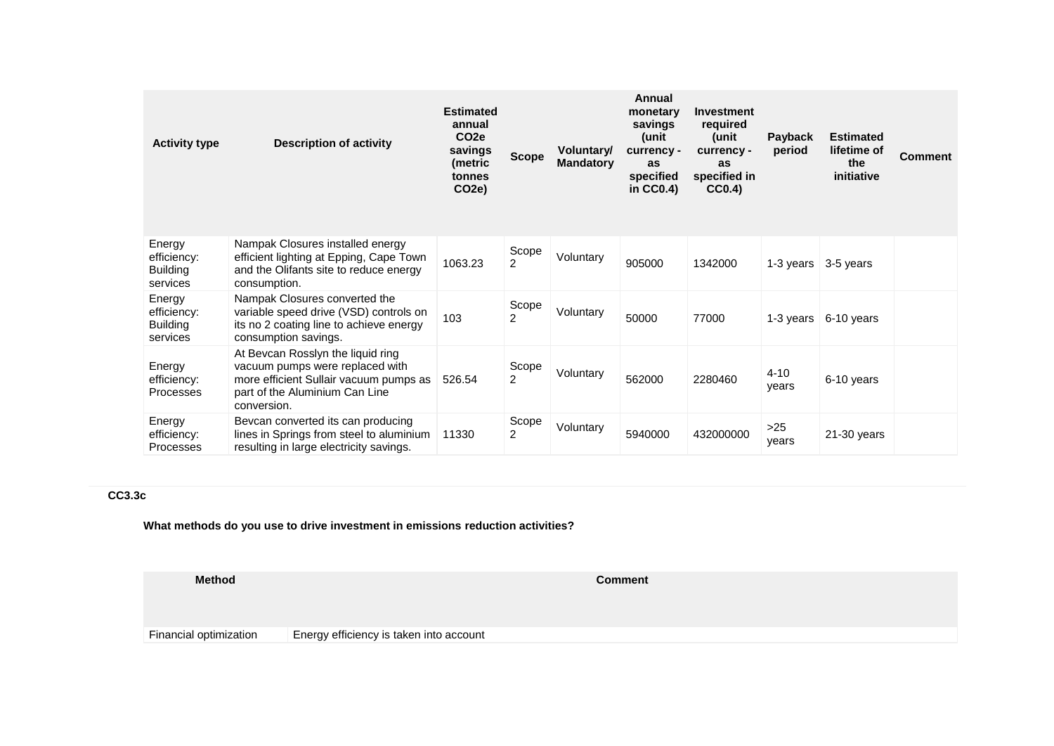| <b>Activity type</b>                                 | <b>Description of activity</b>                                                                                                                                  | <b>Estimated</b><br>annual<br>CO <sub>2e</sub><br>savings<br>(metric<br>tonnes<br>CO <sub>2</sub> e) | <b>Scope</b>            | <b>Voluntary</b><br><b>Mandatory</b> | Annual<br>monetary<br>savings<br>unit)<br>currency -<br>as<br>specified<br>in $CC0.4$ ) | <b>Investment</b><br>required<br>unit)<br>currency -<br>as<br>specified in<br>CC0.4) | <b>Payback</b><br>period      | <b>Estimated</b><br>lifetime of<br>the<br>initiative | Comment |
|------------------------------------------------------|-----------------------------------------------------------------------------------------------------------------------------------------------------------------|------------------------------------------------------------------------------------------------------|-------------------------|--------------------------------------|-----------------------------------------------------------------------------------------|--------------------------------------------------------------------------------------|-------------------------------|------------------------------------------------------|---------|
| Energy<br>efficiency:<br><b>Building</b><br>services | Nampak Closures installed energy<br>efficient lighting at Epping, Cape Town<br>and the Olifants site to reduce energy<br>consumption.                           | 1063.23                                                                                              | Scope<br>2              | Voluntary                            | 905000                                                                                  | 1342000                                                                              | 1-3 years $\sqrt{3}$ -5 years |                                                      |         |
| Energy<br>efficiency:<br><b>Building</b><br>services | Nampak Closures converted the<br>variable speed drive (VSD) controls on<br>its no 2 coating line to achieve energy<br>consumption savings.                      | 103                                                                                                  | Scope<br>$\overline{2}$ | Voluntary                            | 50000                                                                                   | 77000                                                                                | 1-3 years                     | 6-10 years                                           |         |
| Energy<br>efficiency:<br>Processes                   | At Bevcan Rosslyn the liquid ring<br>vacuum pumps were replaced with<br>more efficient Sullair vacuum pumps as<br>part of the Aluminium Can Line<br>conversion. | 526.54                                                                                               | Scope<br>$\overline{2}$ | Voluntary                            | 562000                                                                                  | 2280460                                                                              | $4 - 10$<br>years             | 6-10 years                                           |         |
| Energy<br>efficiency:<br>Processes                   | Bevcan converted its can producing<br>lines in Springs from steel to aluminium<br>resulting in large electricity savings.                                       | 11330                                                                                                | Scope<br>$\overline{2}$ | Voluntary                            | 5940000                                                                                 | 432000000                                                                            | >25<br>years                  | 21-30 years                                          |         |

# **CC3.3c**

**What methods do you use to drive investment in emissions reduction activities?**

**Method Comment**

Financial optimization Energy efficiency is taken into account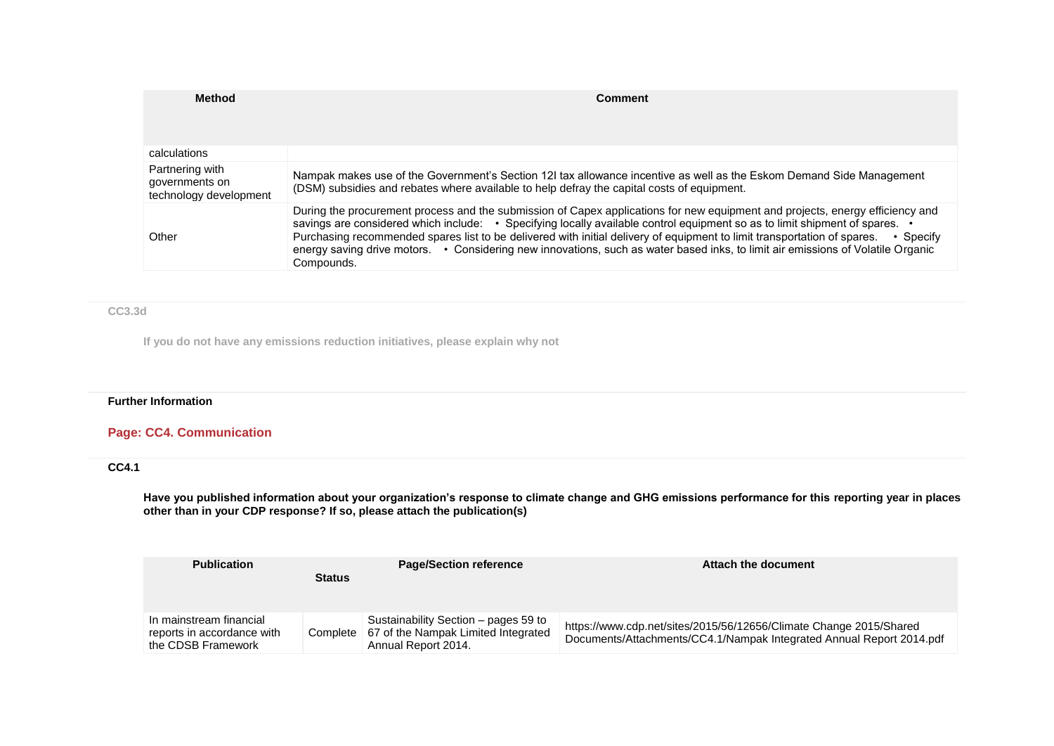| <b>Method</b>                                               | Comment                                                                                                                                                                                                                                                                                                                                                                                                                                                                                                                                                      |
|-------------------------------------------------------------|--------------------------------------------------------------------------------------------------------------------------------------------------------------------------------------------------------------------------------------------------------------------------------------------------------------------------------------------------------------------------------------------------------------------------------------------------------------------------------------------------------------------------------------------------------------|
|                                                             |                                                                                                                                                                                                                                                                                                                                                                                                                                                                                                                                                              |
| calculations                                                |                                                                                                                                                                                                                                                                                                                                                                                                                                                                                                                                                              |
| Partnering with<br>governments on<br>technology development | Nampak makes use of the Government's Section 12I tax allowance incentive as well as the Eskom Demand Side Management<br>(DSM) subsidies and rebates where available to help defray the capital costs of equipment.                                                                                                                                                                                                                                                                                                                                           |
| Other                                                       | During the procurement process and the submission of Capex applications for new equipment and projects, energy efficiency and<br>savings are considered which include: • Specifying locally available control equipment so as to limit shipment of spares. •<br>Purchasing recommended spares list to be delivered with initial delivery of equipment to limit transportation of spares.<br>$\cdot$ Specify<br>energy saving drive motors. • Considering new innovations, such as water based inks, to limit air emissions of Volatile Organic<br>Compounds. |

### **CC3.3d**

**If you do not have any emissions reduction initiatives, please explain why not**

### **Further Information**

# **Page: CC4. Communication**

## **CC4.1**

**Have you published information about your organization's response to climate change and GHG emissions performance for this reporting year in places other than in your CDP response? If so, please attach the publication(s)**

| <b>Publication</b>                                                          | <b>Status</b> | <b>Page/Section reference</b>                                                                                 | Attach the document                                                                                                                        |
|-----------------------------------------------------------------------------|---------------|---------------------------------------------------------------------------------------------------------------|--------------------------------------------------------------------------------------------------------------------------------------------|
| In mainstream financial<br>reports in accordance with<br>the CDSB Framework |               | Sustainability Section – pages 59 to<br>Complete   67 of the Nampak Limited Integrated<br>Annual Report 2014. | https://www.cdp.net/sites/2015/56/12656/Climate Change 2015/Shared<br>Documents/Attachments/CC4.1/Nampak Integrated Annual Report 2014.pdf |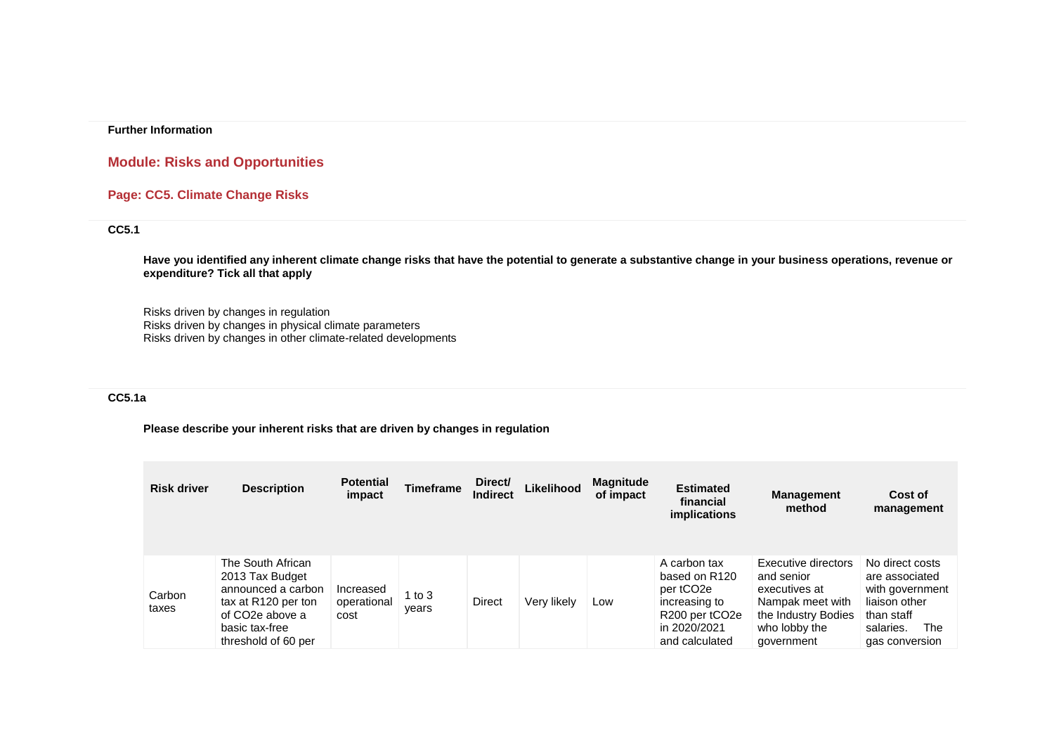### **Further Information**

# **Module: Risks and Opportunities**

# **Page: CC5. Climate Change Risks**

## **CC5.1**

**Have you identified any inherent climate change risks that have the potential to generate a substantive change in your business operations, revenue or expenditure? Tick all that apply**

Risks driven by changes in regulation Risks driven by changes in physical climate parameters Risks driven by changes in other climate-related developments

## **CC5.1a**

### **Please describe your inherent risks that are driven by changes in regulation**

| <b>Risk driver</b> | <b>Description</b>                                                                                                                            | <b>Potential</b><br>impact       | Timeframe       | Direct/<br><b>Indirect</b> | Likelihood  | <b>Magnitude</b><br>of impact | <b>Estimated</b><br>financial<br><i>implications</i>                                                                                                 | <b>Management</b><br>method                                                                                                  | Cost of<br>management                                                                                                     |
|--------------------|-----------------------------------------------------------------------------------------------------------------------------------------------|----------------------------------|-----------------|----------------------------|-------------|-------------------------------|------------------------------------------------------------------------------------------------------------------------------------------------------|------------------------------------------------------------------------------------------------------------------------------|---------------------------------------------------------------------------------------------------------------------------|
| Carbon<br>taxes    | The South African<br>2013 Tax Budget<br>announced a carbon<br>tax at R120 per ton<br>of CO2e above a<br>basic tax-free<br>threshold of 60 per | Increased<br>operational<br>cost | 1 to 3<br>years | <b>Direct</b>              | Very likely | Low                           | A carbon tax<br>based on R120<br>per tCO <sub>2</sub> e<br>increasing to<br>R <sub>200</sub> per tCO <sub>2e</sub><br>in 2020/2021<br>and calculated | Executive directors<br>and senior<br>executives at<br>Nampak meet with<br>the Industry Bodies<br>who lobby the<br>government | No direct costs<br>are associated<br>with government<br>liaison other<br>than staff<br>salaries.<br>The<br>gas conversion |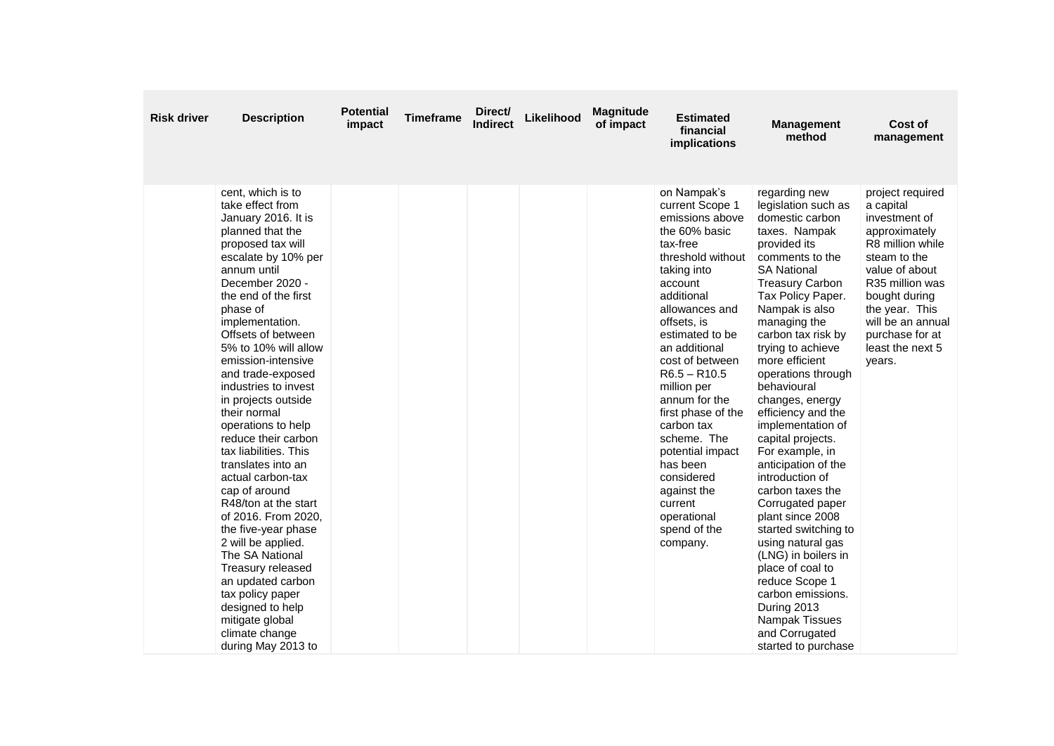| <b>Risk driver</b> | <b>Description</b>                                                                                                                                                                                                                                                                                                                                                                                                                                                                                                                                                                                                                                                                                                                                                          | <b>Potential</b><br>impact | <b>Timeframe</b> | Direct/<br><b>Indirect</b> | Likelihood | <b>Magnitude</b><br>of impact | <b>Estimated</b><br>financial<br>implications                                                                                                                                                                                                                                                                                                                                                                                                               | <b>Management</b><br>method                                                                                                                                                                                                                                                                                                                                                                                                                                                                                                                                                                                                                                                                                                               | Cost of<br>management                                                                                                                                                                                                                             |
|--------------------|-----------------------------------------------------------------------------------------------------------------------------------------------------------------------------------------------------------------------------------------------------------------------------------------------------------------------------------------------------------------------------------------------------------------------------------------------------------------------------------------------------------------------------------------------------------------------------------------------------------------------------------------------------------------------------------------------------------------------------------------------------------------------------|----------------------------|------------------|----------------------------|------------|-------------------------------|-------------------------------------------------------------------------------------------------------------------------------------------------------------------------------------------------------------------------------------------------------------------------------------------------------------------------------------------------------------------------------------------------------------------------------------------------------------|-------------------------------------------------------------------------------------------------------------------------------------------------------------------------------------------------------------------------------------------------------------------------------------------------------------------------------------------------------------------------------------------------------------------------------------------------------------------------------------------------------------------------------------------------------------------------------------------------------------------------------------------------------------------------------------------------------------------------------------------|---------------------------------------------------------------------------------------------------------------------------------------------------------------------------------------------------------------------------------------------------|
|                    | cent, which is to<br>take effect from<br>January 2016. It is<br>planned that the<br>proposed tax will<br>escalate by 10% per<br>annum until<br>December 2020 -<br>the end of the first<br>phase of<br>implementation.<br>Offsets of between<br>5% to 10% will allow<br>emission-intensive<br>and trade-exposed<br>industries to invest<br>in projects outside<br>their normal<br>operations to help<br>reduce their carbon<br>tax liabilities. This<br>translates into an<br>actual carbon-tax<br>cap of around<br>R48/ton at the start<br>of 2016. From 2020,<br>the five-year phase<br>2 will be applied.<br>The SA National<br>Treasury released<br>an updated carbon<br>tax policy paper<br>designed to help<br>mitigate global<br>climate change<br>during May 2013 to |                            |                  |                            |            |                               | on Nampak's<br>current Scope 1<br>emissions above<br>the 60% basic<br>tax-free<br>threshold without<br>taking into<br>account<br>additional<br>allowances and<br>offsets, is<br>estimated to be<br>an additional<br>cost of between<br>$R6.5 - R10.5$<br>million per<br>annum for the<br>first phase of the<br>carbon tax<br>scheme. The<br>potential impact<br>has been<br>considered<br>against the<br>current<br>operational<br>spend of the<br>company. | regarding new<br>legislation such as<br>domestic carbon<br>taxes. Nampak<br>provided its<br>comments to the<br><b>SA National</b><br><b>Treasury Carbon</b><br>Tax Policy Paper.<br>Nampak is also<br>managing the<br>carbon tax risk by<br>trying to achieve<br>more efficient<br>operations through<br>behavioural<br>changes, energy<br>efficiency and the<br>implementation of<br>capital projects.<br>For example, in<br>anticipation of the<br>introduction of<br>carbon taxes the<br>Corrugated paper<br>plant since 2008<br>started switching to<br>using natural gas<br>(LNG) in boilers in<br>place of coal to<br>reduce Scope 1<br>carbon emissions.<br>During 2013<br>Nampak Tissues<br>and Corrugated<br>started to purchase | project required<br>a capital<br>investment of<br>approximately<br>R8 million while<br>steam to the<br>value of about<br>R35 million was<br>bought during<br>the year. This<br>will be an annual<br>purchase for at<br>least the next 5<br>years. |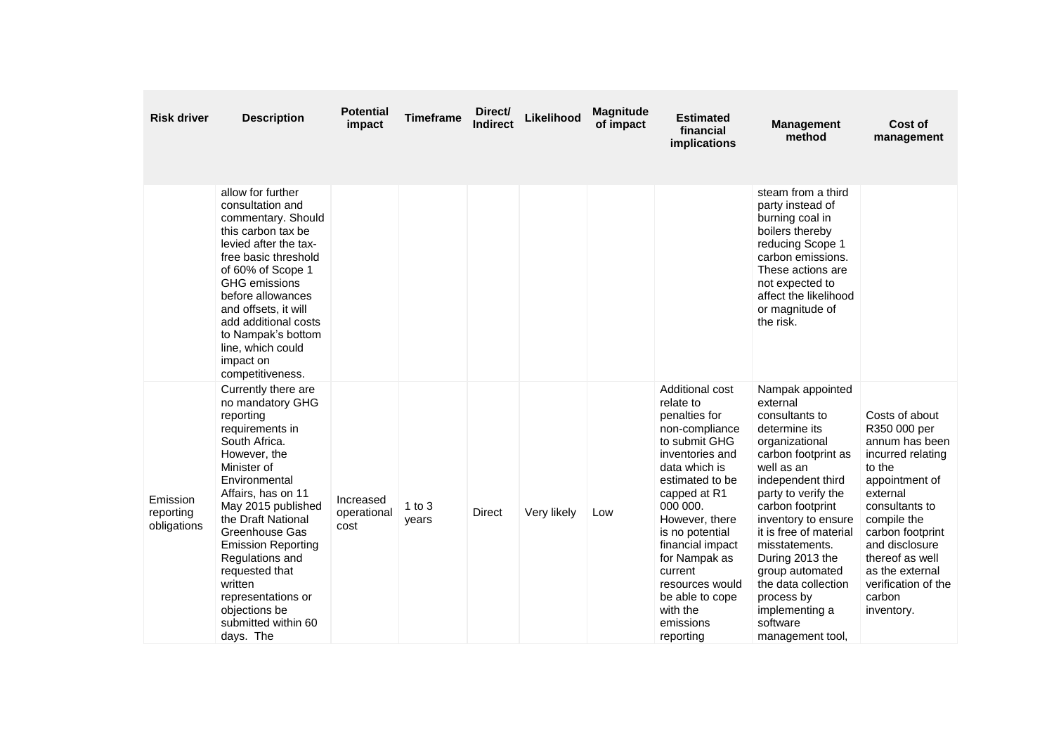| <b>Risk driver</b>                   | <b>Description</b>                                                                                                                                                                                                                                                                                                                                                                   | Potential<br>impact              | <b>Timeframe</b>  | Direct/<br><b>Indirect</b> | Likelihood  | <b>Magnitude</b><br>of impact | <b>Estimated</b><br>financial<br>implications                                                                                                                                                                                                                                                                                        | <b>Management</b><br>method                                                                                                                                                                                                                                                                                                                                                            | Cost of<br>management                                                                                                                                                                                                                                                     |
|--------------------------------------|--------------------------------------------------------------------------------------------------------------------------------------------------------------------------------------------------------------------------------------------------------------------------------------------------------------------------------------------------------------------------------------|----------------------------------|-------------------|----------------------------|-------------|-------------------------------|--------------------------------------------------------------------------------------------------------------------------------------------------------------------------------------------------------------------------------------------------------------------------------------------------------------------------------------|----------------------------------------------------------------------------------------------------------------------------------------------------------------------------------------------------------------------------------------------------------------------------------------------------------------------------------------------------------------------------------------|---------------------------------------------------------------------------------------------------------------------------------------------------------------------------------------------------------------------------------------------------------------------------|
|                                      | allow for further<br>consultation and<br>commentary. Should<br>this carbon tax be<br>levied after the tax-<br>free basic threshold<br>of 60% of Scope 1<br>GHG emissions<br>before allowances<br>and offsets, it will<br>add additional costs<br>to Nampak's bottom<br>line, which could<br>impact on<br>competitiveness.                                                            |                                  |                   |                            |             |                               |                                                                                                                                                                                                                                                                                                                                      | steam from a third<br>party instead of<br>burning coal in<br>boilers thereby<br>reducing Scope 1<br>carbon emissions.<br>These actions are<br>not expected to<br>affect the likelihood<br>or magnitude of<br>the risk.                                                                                                                                                                 |                                                                                                                                                                                                                                                                           |
| Emission<br>reporting<br>obligations | Currently there are<br>no mandatory GHG<br>reporting<br>requirements in<br>South Africa.<br>However, the<br>Minister of<br>Environmental<br>Affairs, has on 11<br>May 2015 published<br>the Draft National<br>Greenhouse Gas<br><b>Emission Reporting</b><br>Regulations and<br>requested that<br>written<br>representations or<br>objections be<br>submitted within 60<br>days. The | Increased<br>operational<br>cost | 1 to $3$<br>years | <b>Direct</b>              | Very likely | Low                           | Additional cost<br>relate to<br>penalties for<br>non-compliance<br>to submit GHG<br>inventories and<br>data which is<br>estimated to be<br>capped at R1<br>000 000.<br>However, there<br>is no potential<br>financial impact<br>for Nampak as<br>current<br>resources would<br>be able to cope<br>with the<br>emissions<br>reporting | Nampak appointed<br>external<br>consultants to<br>determine its<br>organizational<br>carbon footprint as<br>well as an<br>independent third<br>party to verify the<br>carbon footprint<br>inventory to ensure<br>it is free of material<br>misstatements.<br>During 2013 the<br>group automated<br>the data collection<br>process by<br>implementing a<br>software<br>management tool, | Costs of about<br>R350 000 per<br>annum has been<br>incurred relating<br>to the<br>appointment of<br>external<br>consultants to<br>compile the<br>carbon footprint<br>and disclosure<br>thereof as well<br>as the external<br>verification of the<br>carbon<br>inventory. |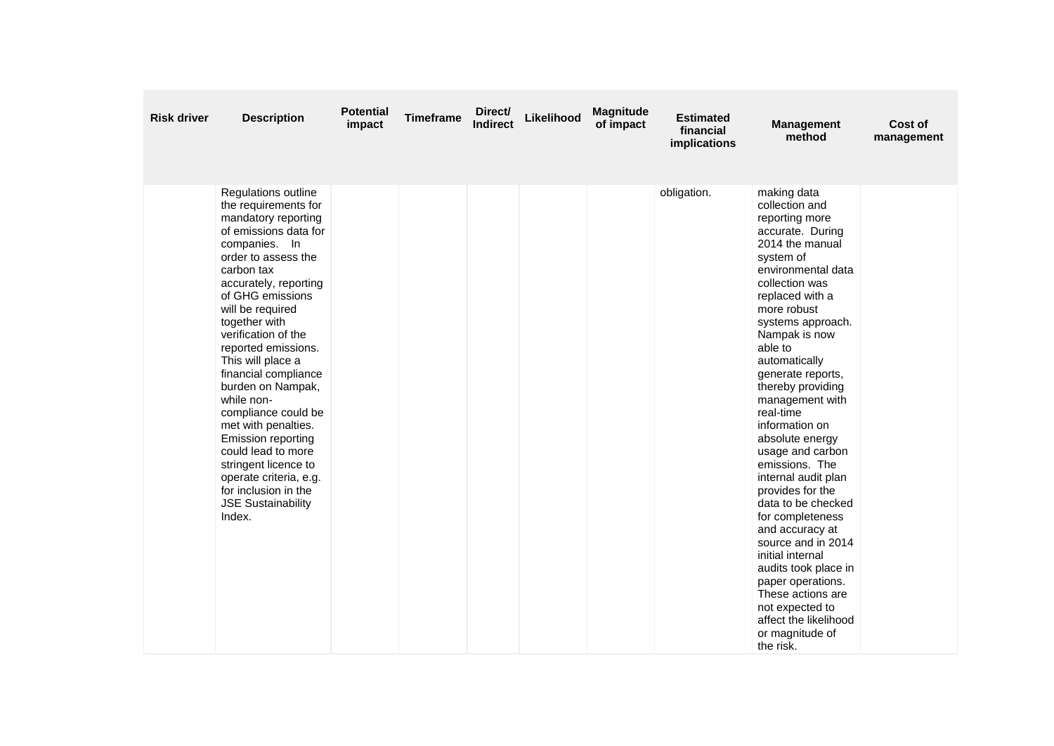| <b>Risk driver</b> | <b>Description</b>                                                                                                                                                                                                                                                                                                                                                                                                                                                                                                                                                                  | <b>Potential</b><br>impact | <b>Timeframe</b> | Direct/<br><b>Indirect</b> | Likelihood | <b>Magnitude</b><br>of impact | <b>Estimated</b><br>financial<br>implications | <b>Management</b><br>method                                                                                                                                                                                                                                                                                                                                                                                                                                                                                                                                                                                                                                                                          | Cost of<br>management |
|--------------------|-------------------------------------------------------------------------------------------------------------------------------------------------------------------------------------------------------------------------------------------------------------------------------------------------------------------------------------------------------------------------------------------------------------------------------------------------------------------------------------------------------------------------------------------------------------------------------------|----------------------------|------------------|----------------------------|------------|-------------------------------|-----------------------------------------------|------------------------------------------------------------------------------------------------------------------------------------------------------------------------------------------------------------------------------------------------------------------------------------------------------------------------------------------------------------------------------------------------------------------------------------------------------------------------------------------------------------------------------------------------------------------------------------------------------------------------------------------------------------------------------------------------------|-----------------------|
|                    | Regulations outline<br>the requirements for<br>mandatory reporting<br>of emissions data for<br>companies. In<br>order to assess the<br>carbon tax<br>accurately, reporting<br>of GHG emissions<br>will be required<br>together with<br>verification of the<br>reported emissions.<br>This will place a<br>financial compliance<br>burden on Nampak,<br>while non-<br>compliance could be<br>met with penalties.<br><b>Emission reporting</b><br>could lead to more<br>stringent licence to<br>operate criteria, e.g.<br>for inclusion in the<br><b>JSE Sustainability</b><br>Index. |                            |                  |                            |            |                               | obligation.                                   | making data<br>collection and<br>reporting more<br>accurate. During<br>2014 the manual<br>system of<br>environmental data<br>collection was<br>replaced with a<br>more robust<br>systems approach.<br>Nampak is now<br>able to<br>automatically<br>generate reports,<br>thereby providing<br>management with<br>real-time<br>information on<br>absolute energy<br>usage and carbon<br>emissions. The<br>internal audit plan<br>provides for the<br>data to be checked<br>for completeness<br>and accuracy at<br>source and in 2014<br>initial internal<br>audits took place in<br>paper operations.<br>These actions are<br>not expected to<br>affect the likelihood<br>or magnitude of<br>the risk. |                       |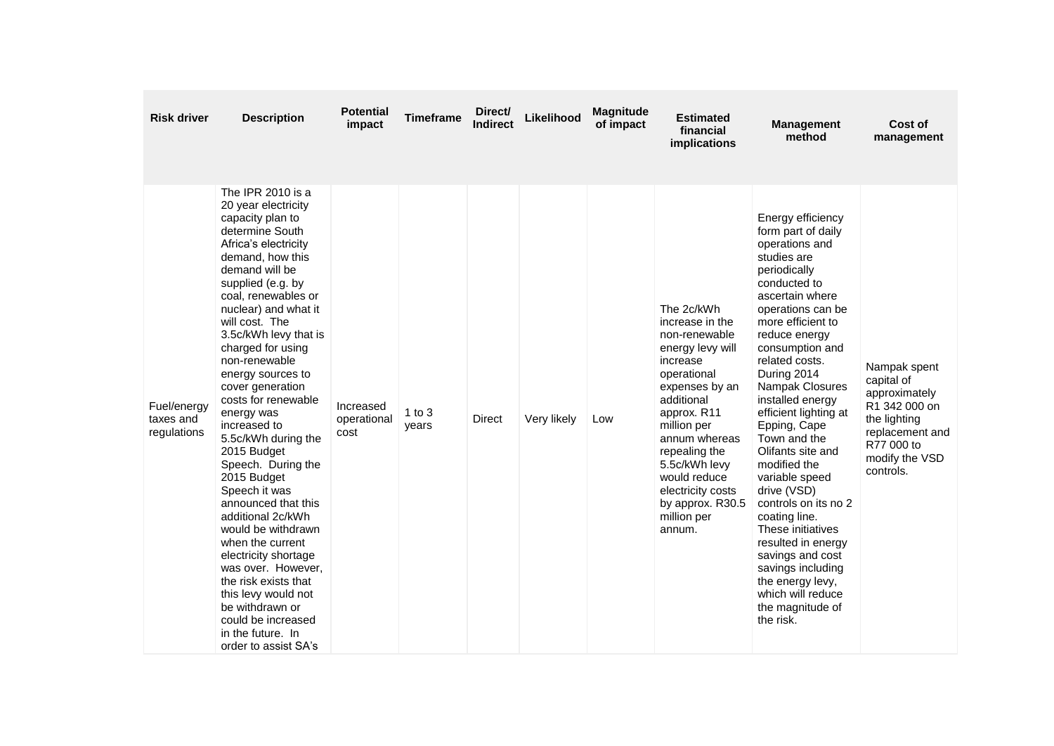| <b>Risk driver</b>                      | <b>Description</b>                                                                                                                                                                                                                                                                                                                                                                                                                                                                                                                                                                                                                                                                                                                                                    | <b>Potential</b><br>impact       | <b>Timeframe</b>    | Direct/<br>Indirect | Likelihood  | <b>Magnitude</b><br>of impact | <b>Estimated</b><br>financial<br>implications                                                                                                                                                                                                                                                    | <b>Management</b><br>method                                                                                                                                                                                                                                                                                                                                                                                                                                                                                                                                                                                             | Cost of<br>management                                                                                                                        |
|-----------------------------------------|-----------------------------------------------------------------------------------------------------------------------------------------------------------------------------------------------------------------------------------------------------------------------------------------------------------------------------------------------------------------------------------------------------------------------------------------------------------------------------------------------------------------------------------------------------------------------------------------------------------------------------------------------------------------------------------------------------------------------------------------------------------------------|----------------------------------|---------------------|---------------------|-------------|-------------------------------|--------------------------------------------------------------------------------------------------------------------------------------------------------------------------------------------------------------------------------------------------------------------------------------------------|-------------------------------------------------------------------------------------------------------------------------------------------------------------------------------------------------------------------------------------------------------------------------------------------------------------------------------------------------------------------------------------------------------------------------------------------------------------------------------------------------------------------------------------------------------------------------------------------------------------------------|----------------------------------------------------------------------------------------------------------------------------------------------|
| Fuel/energy<br>taxes and<br>regulations | The IPR 2010 is a<br>20 year electricity<br>capacity plan to<br>determine South<br>Africa's electricity<br>demand, how this<br>demand will be<br>supplied (e.g. by<br>coal, renewables or<br>nuclear) and what it<br>will cost. The<br>3.5c/kWh levy that is<br>charged for using<br>non-renewable<br>energy sources to<br>cover generation<br>costs for renewable<br>energy was<br>increased to<br>5.5c/kWh during the<br>2015 Budget<br>Speech. During the<br>2015 Budget<br>Speech it was<br>announced that this<br>additional 2c/kWh<br>would be withdrawn<br>when the current<br>electricity shortage<br>was over. However.<br>the risk exists that<br>this levy would not<br>be withdrawn or<br>could be increased<br>in the future. In<br>order to assist SA's | Increased<br>operational<br>cost | $1$ to $3$<br>years | Direct              | Very likely | Low                           | The 2c/kWh<br>increase in the<br>non-renewable<br>energy levy will<br>increase<br>operational<br>expenses by an<br>additional<br>approx. R11<br>million per<br>annum whereas<br>repealing the<br>5.5c/kWh levy<br>would reduce<br>electricity costs<br>by approx. R30.5<br>million per<br>annum. | Energy efficiency<br>form part of daily<br>operations and<br>studies are<br>periodically<br>conducted to<br>ascertain where<br>operations can be<br>more efficient to<br>reduce energy<br>consumption and<br>related costs.<br>During 2014<br>Nampak Closures<br>installed energy<br>efficient lighting at<br>Epping, Cape<br>Town and the<br>Olifants site and<br>modified the<br>variable speed<br>drive (VSD)<br>controls on its no 2<br>coating line.<br>These initiatives<br>resulted in energy<br>savings and cost<br>savings including<br>the energy levy,<br>which will reduce<br>the magnitude of<br>the risk. | Nampak spent<br>capital of<br>approximately<br>R1 342 000 on<br>the lighting<br>replacement and<br>R77 000 to<br>modify the VSD<br>controls. |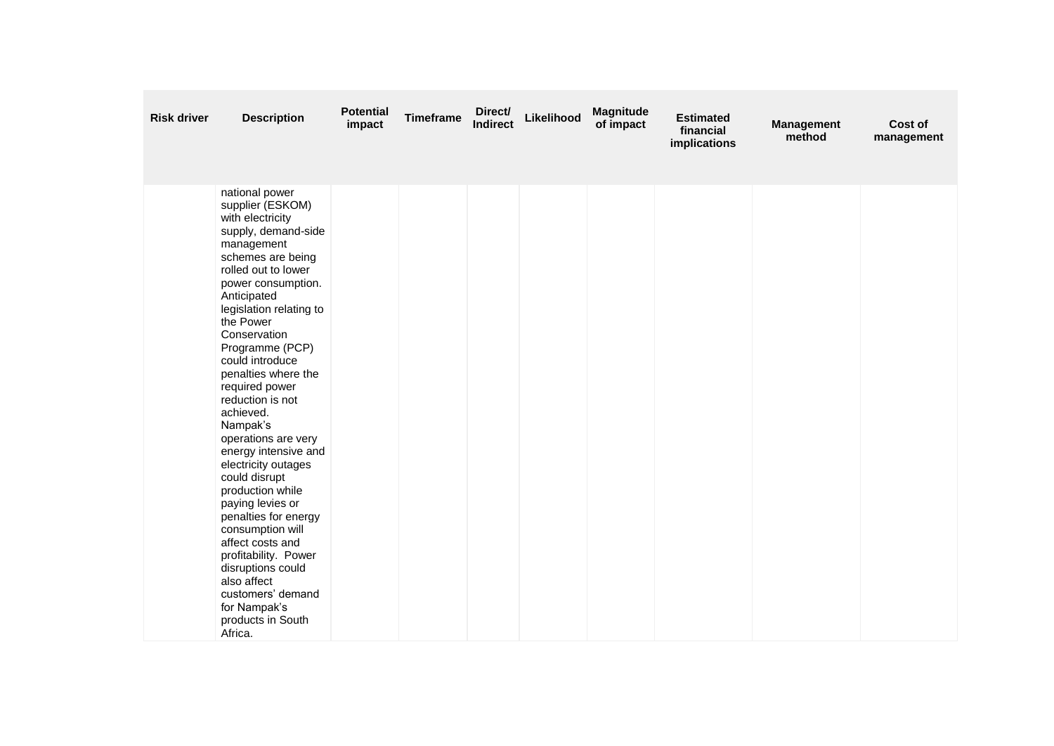| <b>Risk driver</b> | <b>Description</b>                                                                                                                                                                                                                                                                                                                                                                                                                                                                                                                                                                                                                                                                               | <b>Potential</b><br>impact | <b>Timeframe</b> | Direct/<br><b>Indirect</b> | Likelihood | <b>Magnitude</b><br>of impact | <b>Estimated</b><br>financial<br>implications | <b>Management</b><br>method | Cost of<br>management |
|--------------------|--------------------------------------------------------------------------------------------------------------------------------------------------------------------------------------------------------------------------------------------------------------------------------------------------------------------------------------------------------------------------------------------------------------------------------------------------------------------------------------------------------------------------------------------------------------------------------------------------------------------------------------------------------------------------------------------------|----------------------------|------------------|----------------------------|------------|-------------------------------|-----------------------------------------------|-----------------------------|-----------------------|
|                    | national power<br>supplier (ESKOM)<br>with electricity<br>supply, demand-side<br>management<br>schemes are being<br>rolled out to lower<br>power consumption.<br>Anticipated<br>legislation relating to<br>the Power<br>Conservation<br>Programme (PCP)<br>could introduce<br>penalties where the<br>required power<br>reduction is not<br>achieved.<br>Nampak's<br>operations are very<br>energy intensive and<br>electricity outages<br>could disrupt<br>production while<br>paying levies or<br>penalties for energy<br>consumption will<br>affect costs and<br>profitability. Power<br>disruptions could<br>also affect<br>customers' demand<br>for Nampak's<br>products in South<br>Africa. |                            |                  |                            |            |                               |                                               |                             |                       |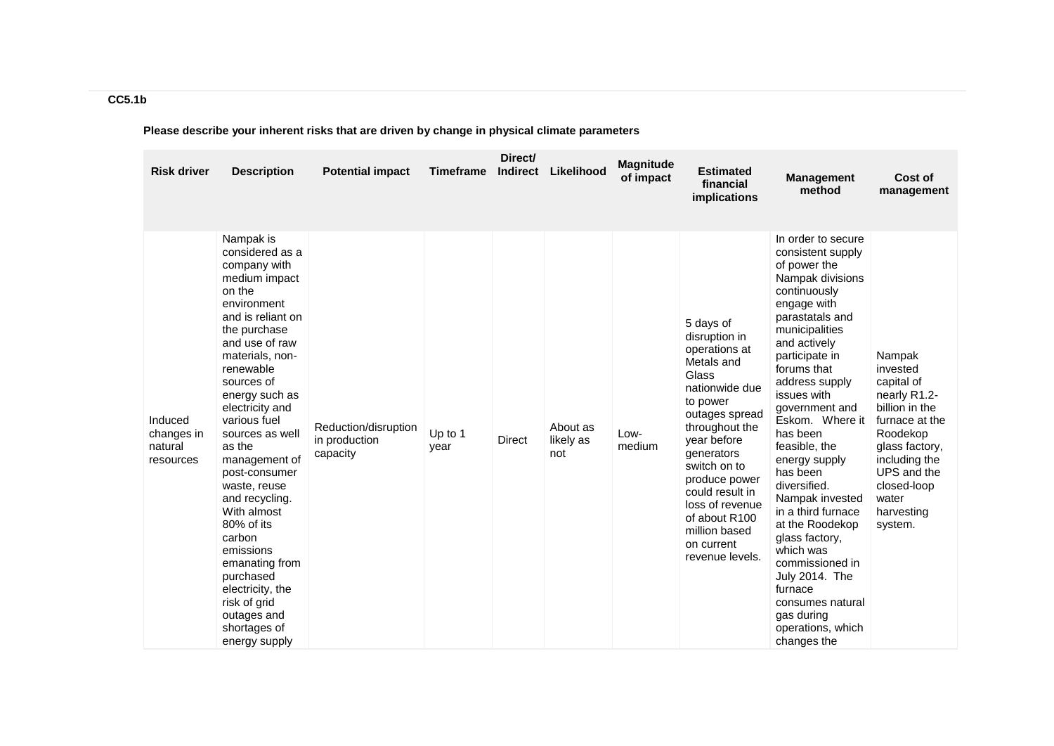| <b>Risk driver</b>                            | <b>Description</b>                                                                                                                                                                                                                                                                                                                                                                                                                                                                                                       | <b>Potential impact</b>                           | <b>Timeframe</b> | Direct/<br><b>Indirect</b> | Likelihood                   | <b>Magnitude</b><br>of impact | <b>Estimated</b><br>financial<br>implications                                                                                                                                                                                                                                                               | <b>Management</b><br>method                                                                                                                                                                                                                                                                                                                                                                                                                                                                                                                                       | Cost of<br>management                                                                                                                                                                               |
|-----------------------------------------------|--------------------------------------------------------------------------------------------------------------------------------------------------------------------------------------------------------------------------------------------------------------------------------------------------------------------------------------------------------------------------------------------------------------------------------------------------------------------------------------------------------------------------|---------------------------------------------------|------------------|----------------------------|------------------------------|-------------------------------|-------------------------------------------------------------------------------------------------------------------------------------------------------------------------------------------------------------------------------------------------------------------------------------------------------------|-------------------------------------------------------------------------------------------------------------------------------------------------------------------------------------------------------------------------------------------------------------------------------------------------------------------------------------------------------------------------------------------------------------------------------------------------------------------------------------------------------------------------------------------------------------------|-----------------------------------------------------------------------------------------------------------------------------------------------------------------------------------------------------|
| Induced<br>changes in<br>natural<br>resources | Nampak is<br>considered as a<br>company with<br>medium impact<br>on the<br>environment<br>and is reliant on<br>the purchase<br>and use of raw<br>materials, non-<br>renewable<br>sources of<br>energy such as<br>electricity and<br>various fuel<br>sources as well<br>as the<br>management of<br>post-consumer<br>waste, reuse<br>and recycling.<br>With almost<br>80% of its<br>carbon<br>emissions<br>emanating from<br>purchased<br>electricity, the<br>risk of grid<br>outages and<br>shortages of<br>energy supply | Reduction/disruption<br>in production<br>capacity | Up to 1<br>year  | Direct                     | About as<br>likely as<br>not | Low-<br>medium                | 5 days of<br>disruption in<br>operations at<br>Metals and<br>Glass<br>nationwide due<br>to power<br>outages spread<br>throughout the<br>year before<br>generators<br>switch on to<br>produce power<br>could result in<br>loss of revenue<br>of about R100<br>million based<br>on current<br>revenue levels. | In order to secure<br>consistent supply<br>of power the<br>Nampak divisions<br>continuously<br>engage with<br>parastatals and<br>municipalities<br>and actively<br>participate in<br>forums that<br>address supply<br>issues with<br>government and<br>Eskom. Where it<br>has been<br>feasible, the<br>energy supply<br>has been<br>diversified.<br>Nampak invested<br>in a third furnace<br>at the Roodekop<br>glass factory,<br>which was<br>commissioned in<br>July 2014. The<br>furnace<br>consumes natural<br>gas during<br>operations, which<br>changes the | Nampak<br>invested<br>capital of<br>nearly R1.2-<br>billion in the<br>furnace at the<br>Roodekop<br>glass factory,<br>including the<br>UPS and the<br>closed-loop<br>water<br>harvesting<br>system. |

# **Please describe your inherent risks that are driven by change in physical climate parameters**

**CC5.1b**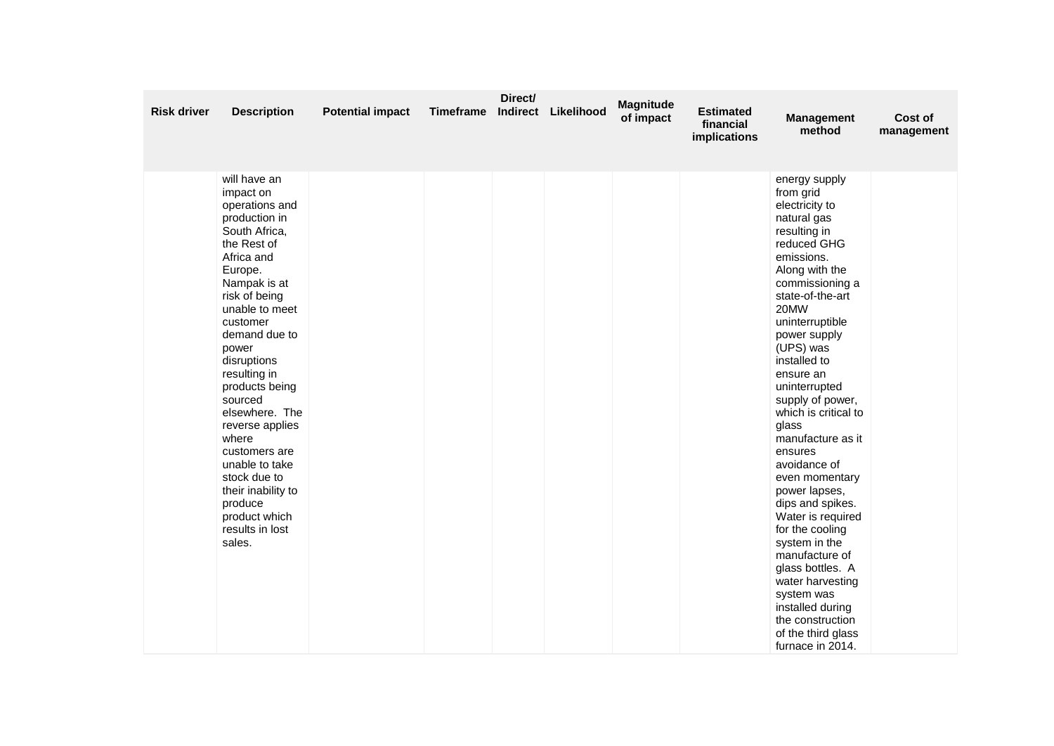| <b>Risk driver</b> | <b>Description</b>                                                                                                                                                                                                                                                                                                                                                                                                                                         | <b>Potential impact</b> | Timeframe | Direct/<br>Indirect | Likelihood | Magnitude<br>of impact | <b>Estimated</b><br>financial<br>implications | <b>Management</b><br>method                                                                                                                                                                                                                                                                                                                                                                                                                                                                                                                                                                                                                            | Cost of<br>management |
|--------------------|------------------------------------------------------------------------------------------------------------------------------------------------------------------------------------------------------------------------------------------------------------------------------------------------------------------------------------------------------------------------------------------------------------------------------------------------------------|-------------------------|-----------|---------------------|------------|------------------------|-----------------------------------------------|--------------------------------------------------------------------------------------------------------------------------------------------------------------------------------------------------------------------------------------------------------------------------------------------------------------------------------------------------------------------------------------------------------------------------------------------------------------------------------------------------------------------------------------------------------------------------------------------------------------------------------------------------------|-----------------------|
|                    | will have an<br>impact on<br>operations and<br>production in<br>South Africa,<br>the Rest of<br>Africa and<br>Europe.<br>Nampak is at<br>risk of being<br>unable to meet<br>customer<br>demand due to<br>power<br>disruptions<br>resulting in<br>products being<br>sourced<br>elsewhere. The<br>reverse applies<br>where<br>customers are<br>unable to take<br>stock due to<br>their inability to<br>produce<br>product which<br>results in lost<br>sales. |                         |           |                     |            |                        |                                               | energy supply<br>from grid<br>electricity to<br>natural gas<br>resulting in<br>reduced GHG<br>emissions.<br>Along with the<br>commissioning a<br>state-of-the-art<br>20MW<br>uninterruptible<br>power supply<br>(UPS) was<br>installed to<br>ensure an<br>uninterrupted<br>supply of power,<br>which is critical to<br>glass<br>manufacture as it<br>ensures<br>avoidance of<br>even momentary<br>power lapses,<br>dips and spikes.<br>Water is required<br>for the cooling<br>system in the<br>manufacture of<br>glass bottles. A<br>water harvesting<br>system was<br>installed during<br>the construction<br>of the third glass<br>furnace in 2014. |                       |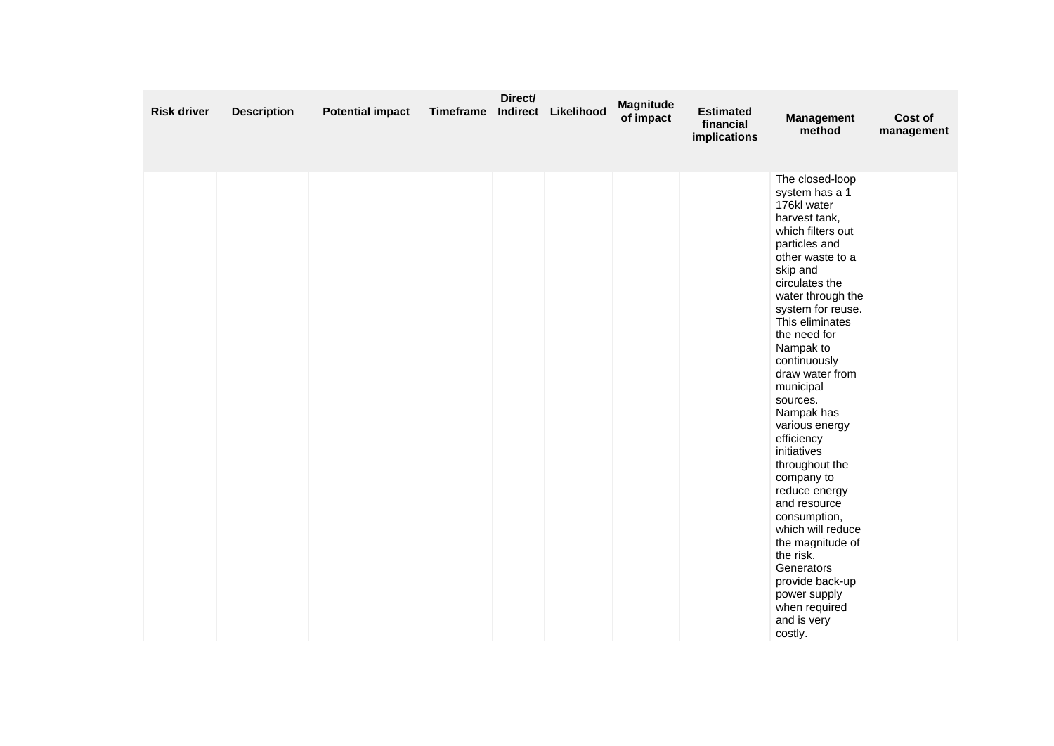| <b>Risk driver</b> | <b>Description</b> | <b>Potential impact</b> | Timeframe | Direct/ | Indirect Likelihood | <b>Magnitude</b><br>of impact | <b>Estimated</b><br>financial<br>implications | <b>Management</b><br>method                                                                                                                                                                                                                                                                                                                                                                                                                                                                                                                                                                                     | Cost of<br>management |
|--------------------|--------------------|-------------------------|-----------|---------|---------------------|-------------------------------|-----------------------------------------------|-----------------------------------------------------------------------------------------------------------------------------------------------------------------------------------------------------------------------------------------------------------------------------------------------------------------------------------------------------------------------------------------------------------------------------------------------------------------------------------------------------------------------------------------------------------------------------------------------------------------|-----------------------|
|                    |                    |                         |           |         |                     |                               |                                               | The closed-loop<br>system has a 1<br>176kl water<br>harvest tank,<br>which filters out<br>particles and<br>other waste to a<br>skip and<br>circulates the<br>water through the<br>system for reuse.<br>This eliminates<br>the need for<br>Nampak to<br>continuously<br>draw water from<br>municipal<br>sources.<br>Nampak has<br>various energy<br>efficiency<br>initiatives<br>throughout the<br>company to<br>reduce energy<br>and resource<br>consumption,<br>which will reduce<br>the magnitude of<br>the risk.<br>Generators<br>provide back-up<br>power supply<br>when required<br>and is very<br>costly. |                       |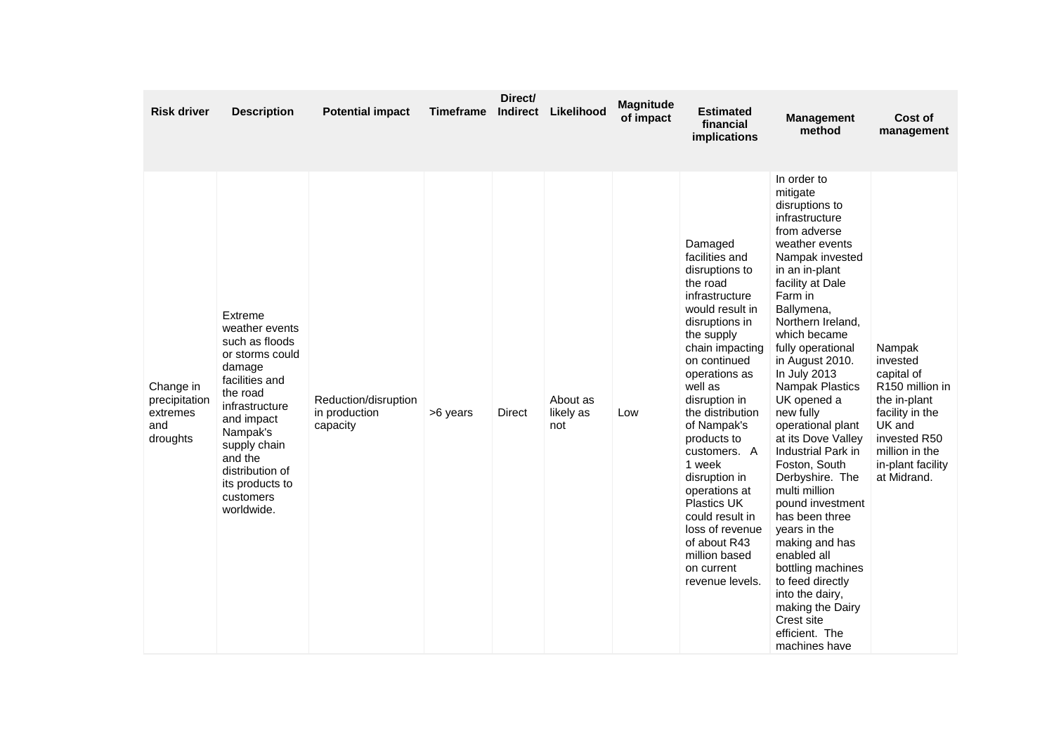| <b>Risk driver</b>                                        | <b>Description</b>                                                                                                                                                                                                                             | <b>Potential impact</b>                           | Timeframe | Direct/ | Indirect Likelihood          | <b>Magnitude</b><br>of impact | <b>Estimated</b><br>financial<br>implications                                                                                                                                                                                                                                                                                                                                                                                                            | <b>Management</b><br>method                                                                                                                                                                                                                                                                                                                                                                                                                                                                                                                                                                                                                                                      | Cost of<br>management                                                                                                                                                              |
|-----------------------------------------------------------|------------------------------------------------------------------------------------------------------------------------------------------------------------------------------------------------------------------------------------------------|---------------------------------------------------|-----------|---------|------------------------------|-------------------------------|----------------------------------------------------------------------------------------------------------------------------------------------------------------------------------------------------------------------------------------------------------------------------------------------------------------------------------------------------------------------------------------------------------------------------------------------------------|----------------------------------------------------------------------------------------------------------------------------------------------------------------------------------------------------------------------------------------------------------------------------------------------------------------------------------------------------------------------------------------------------------------------------------------------------------------------------------------------------------------------------------------------------------------------------------------------------------------------------------------------------------------------------------|------------------------------------------------------------------------------------------------------------------------------------------------------------------------------------|
| Change in<br>precipitation<br>extremes<br>and<br>droughts | Extreme<br>weather events<br>such as floods<br>or storms could<br>damage<br>facilities and<br>the road<br>infrastructure<br>and impact<br>Nampak's<br>supply chain<br>and the<br>distribution of<br>its products to<br>customers<br>worldwide. | Reduction/disruption<br>in production<br>capacity | >6 years  | Direct  | About as<br>likely as<br>not | Low                           | Damaged<br>facilities and<br>disruptions to<br>the road<br>infrastructure<br>would result in<br>disruptions in<br>the supply<br>chain impacting<br>on continued<br>operations as<br>well as<br>disruption in<br>the distribution<br>of Nampak's<br>products to<br>customers. A<br>1 week<br>disruption in<br>operations at<br><b>Plastics UK</b><br>could result in<br>loss of revenue<br>of about R43<br>million based<br>on current<br>revenue levels. | In order to<br>mitigate<br>disruptions to<br>infrastructure<br>from adverse<br>weather events<br>Nampak invested<br>in an in-plant<br>facility at Dale<br>Farm in<br>Ballymena,<br>Northern Ireland,<br>which became<br>fully operational<br>in August 2010.<br>In July 2013<br><b>Nampak Plastics</b><br>UK opened a<br>new fully<br>operational plant<br>at its Dove Valley<br>Industrial Park in<br>Foston, South<br>Derbyshire. The<br>multi million<br>pound investment<br>has been three<br>years in the<br>making and has<br>enabled all<br>bottling machines<br>to feed directly<br>into the dairy,<br>making the Dairy<br>Crest site<br>efficient. The<br>machines have | Nampak<br>invested<br>capital of<br>R <sub>150</sub> million in<br>the in-plant<br>facility in the<br>UK and<br>invested R50<br>million in the<br>in-plant facility<br>at Midrand. |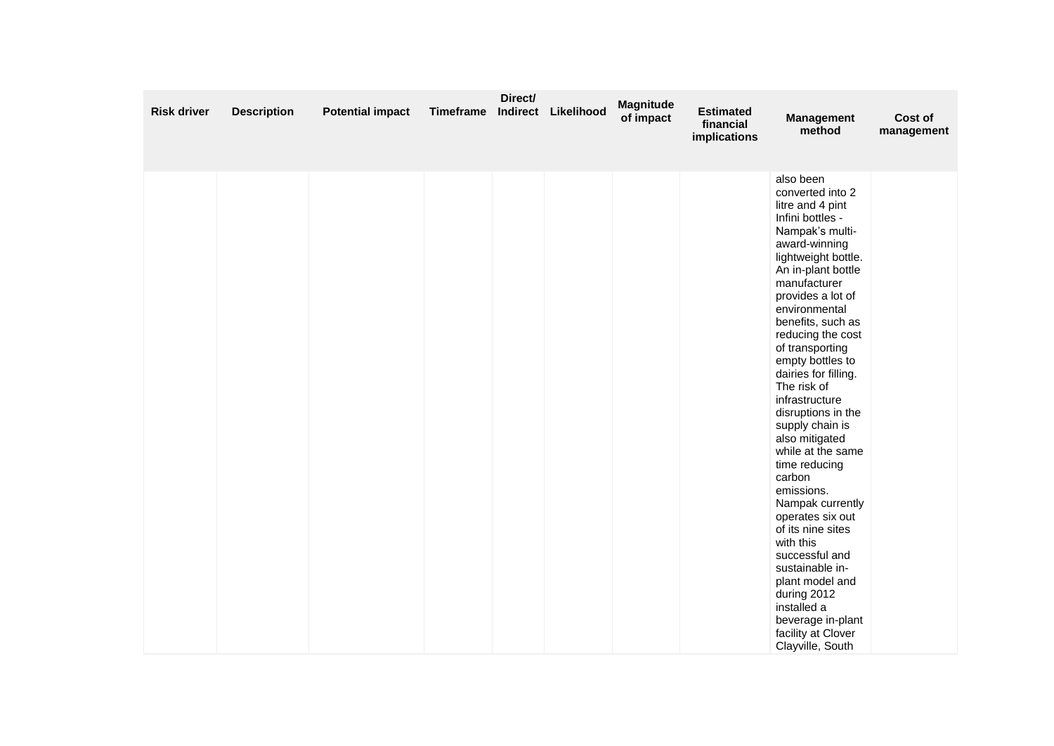| <b>Risk driver</b> | <b>Description</b> | <b>Potential impact</b> | Timeframe | Direct/ | Indirect Likelihood | <b>Magnitude</b><br>of impact | <b>Estimated</b><br>financial<br>implications | <b>Management</b><br>method                                                                                                                                                                                                                                                                                                                                                                                                                                                                                                                                                                                                                                                                                    | Cost of<br>management |
|--------------------|--------------------|-------------------------|-----------|---------|---------------------|-------------------------------|-----------------------------------------------|----------------------------------------------------------------------------------------------------------------------------------------------------------------------------------------------------------------------------------------------------------------------------------------------------------------------------------------------------------------------------------------------------------------------------------------------------------------------------------------------------------------------------------------------------------------------------------------------------------------------------------------------------------------------------------------------------------------|-----------------------|
|                    |                    |                         |           |         |                     |                               |                                               | also been<br>converted into 2<br>litre and 4 pint<br>Infini bottles -<br>Nampak's multi-<br>award-winning<br>lightweight bottle.<br>An in-plant bottle<br>manufacturer<br>provides a lot of<br>environmental<br>benefits, such as<br>reducing the cost<br>of transporting<br>empty bottles to<br>dairies for filling.<br>The risk of<br>infrastructure<br>disruptions in the<br>supply chain is<br>also mitigated<br>while at the same<br>time reducing<br>carbon<br>emissions.<br>Nampak currently<br>operates six out<br>of its nine sites<br>with this<br>successful and<br>sustainable in-<br>plant model and<br>during 2012<br>installed a<br>beverage in-plant<br>facility at Clover<br>Clayville, South |                       |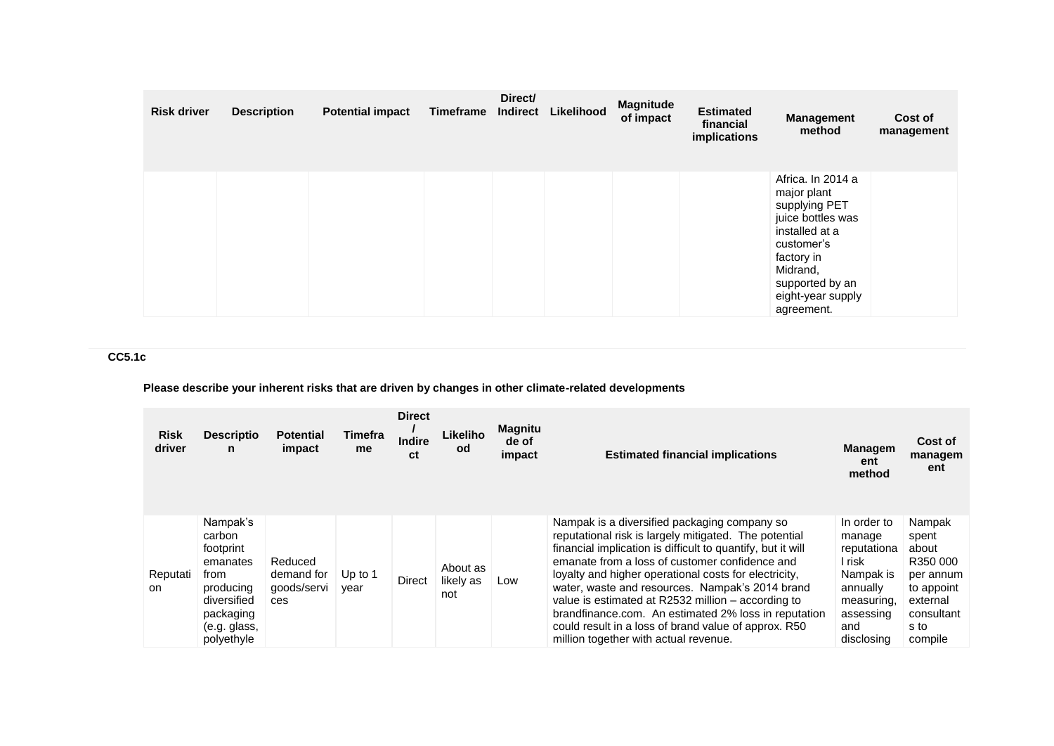| <b>Risk driver</b> | <b>Description</b> | <b>Potential impact</b> | Timeframe | Direct/<br>Indirect | Likelihood | <b>Magnitude</b><br>of impact | <b>Estimated</b><br>financial<br>implications | <b>Management</b><br>method                                                                                                                                                            | Cost of<br>management |
|--------------------|--------------------|-------------------------|-----------|---------------------|------------|-------------------------------|-----------------------------------------------|----------------------------------------------------------------------------------------------------------------------------------------------------------------------------------------|-----------------------|
|                    |                    |                         |           |                     |            |                               |                                               | Africa. In 2014 a<br>major plant<br>supplying PET<br>juice bottles was<br>installed at a<br>customer's<br>factory in<br>Midrand,<br>supported by an<br>eight-year supply<br>agreement. |                       |

# **CC5.1c**

# **Please describe your inherent risks that are driven by changes in other climate-related developments**

| <b>Risk</b><br>driver | <b>Descriptio</b><br>n                                                                                                     | <b>Potential</b><br>impact                  | Timefra<br>me     | <b>Direct</b><br><b>Indire</b><br>ct | Likeliho<br>od               | <b>Magnitu</b><br>de of<br>impact | <b>Estimated financial implications</b>                                                                                                                                                                                                                                                                                                                                                                                                                                                                                                           | <b>Managem</b><br>ent<br>method                                                                                         | Cost of<br>managem<br>ent                                                                                    |
|-----------------------|----------------------------------------------------------------------------------------------------------------------------|---------------------------------------------|-------------------|--------------------------------------|------------------------------|-----------------------------------|---------------------------------------------------------------------------------------------------------------------------------------------------------------------------------------------------------------------------------------------------------------------------------------------------------------------------------------------------------------------------------------------------------------------------------------------------------------------------------------------------------------------------------------------------|-------------------------------------------------------------------------------------------------------------------------|--------------------------------------------------------------------------------------------------------------|
| Reputati<br>on.       | Nampak's<br>carbon<br>footprint<br>emanates<br>from<br>producing<br>diversified<br>packaging<br>(e.g. glass,<br>polyethyle | Reduced<br>demand for<br>goods/servi<br>ces | Up to $1$<br>year | Direct                               | About as<br>likely as<br>not | Low                               | Nampak is a diversified packaging company so<br>reputational risk is largely mitigated. The potential<br>financial implication is difficult to quantify, but it will<br>emanate from a loss of customer confidence and<br>loyalty and higher operational costs for electricity.<br>water, waste and resources. Nampak's 2014 brand<br>value is estimated at R2532 million – according to<br>brandfinance.com. An estimated 2% loss in reputation<br>could result in a loss of brand value of approx. R50<br>million together with actual revenue. | In order to<br>manage<br>reputationa<br>l risk<br>Nampak is<br>annually<br>measuring,<br>assessing<br>and<br>disclosina | Nampak<br>spent<br>about<br>R350 000<br>per annum<br>to appoint<br>external<br>consultant<br>s to<br>compile |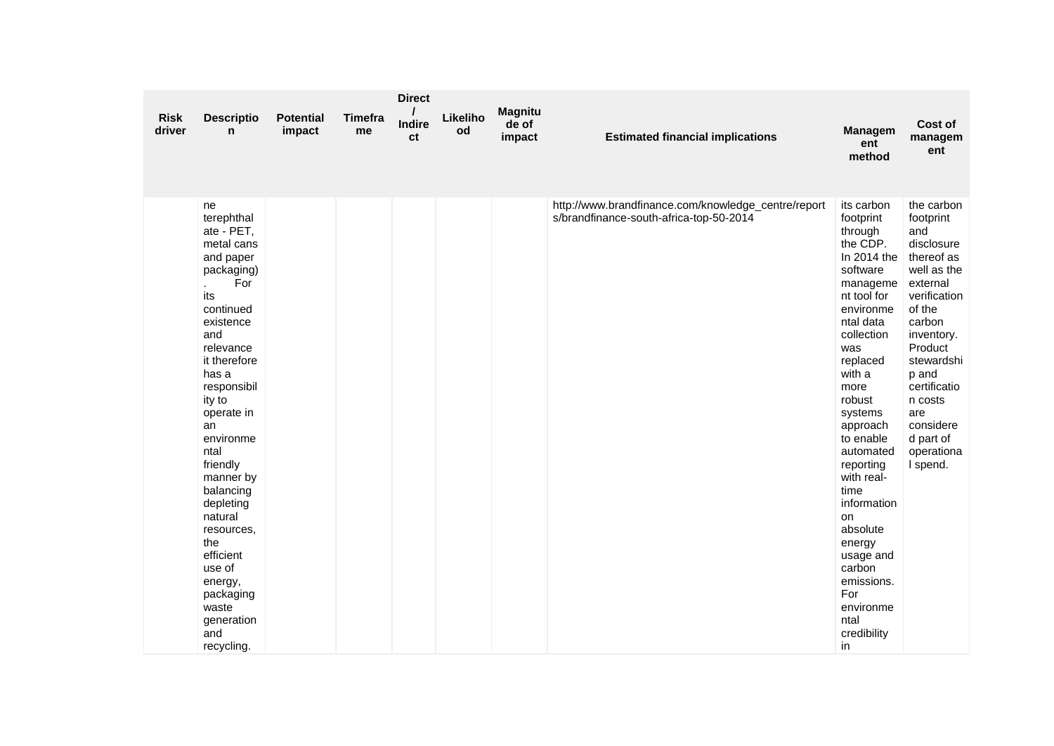| <b>Risk</b><br>driver | <b>Descriptio</b><br>n                                                                                                                                                                                                                                                                                                                                                                                       | <b>Potential</b><br>impact | <b>Timefra</b><br>me | <b>Direct</b><br><b>Indire</b><br>ct | Likeliho<br>od | <b>Magnitu</b><br>de of<br>impact | <b>Estimated financial implications</b>                                                        | <b>Managem</b><br>ent<br>method                                                                                                                                                                                                                                                                                                                                                                                           | Cost of<br>managem<br>ent                                                                                                                                                                                                                                       |
|-----------------------|--------------------------------------------------------------------------------------------------------------------------------------------------------------------------------------------------------------------------------------------------------------------------------------------------------------------------------------------------------------------------------------------------------------|----------------------------|----------------------|--------------------------------------|----------------|-----------------------------------|------------------------------------------------------------------------------------------------|---------------------------------------------------------------------------------------------------------------------------------------------------------------------------------------------------------------------------------------------------------------------------------------------------------------------------------------------------------------------------------------------------------------------------|-----------------------------------------------------------------------------------------------------------------------------------------------------------------------------------------------------------------------------------------------------------------|
|                       | ne<br>terephthal<br>ate - PET,<br>metal cans<br>and paper<br>packaging)<br>For<br>its<br>continued<br>existence<br>and<br>relevance<br>it therefore<br>has a<br>responsibil<br>ity to<br>operate in<br>an<br>environme<br>ntal<br>friendly<br>manner by<br>balancing<br>depleting<br>natural<br>resources,<br>the<br>efficient<br>use of<br>energy,<br>packaging<br>waste<br>generation<br>and<br>recycling. |                            |                      |                                      |                |                                   | http://www.brandfinance.com/knowledge_centre/report<br>s/brandfinance-south-africa-top-50-2014 | its carbon<br>footprint<br>through<br>the CDP.<br>In $2014$ the<br>software<br>manageme<br>nt tool for<br>environme<br>ntal data<br>collection<br>was<br>replaced<br>with a<br>more<br>robust<br>systems<br>approach<br>to enable<br>automated<br>reporting<br>with real-<br>time<br>information<br><b>on</b><br>absolute<br>energy<br>usage and<br>carbon<br>emissions.<br>For<br>environme<br>ntal<br>credibility<br>in | the carbon<br>footprint<br>and<br>disclosure<br>thereof as<br>well as the<br>external<br>verification<br>of the<br>carbon<br>inventory.<br>Product<br>stewardshi<br>p and<br>certificatio<br>n costs<br>are<br>considere<br>d part of<br>operationa<br>I spend. |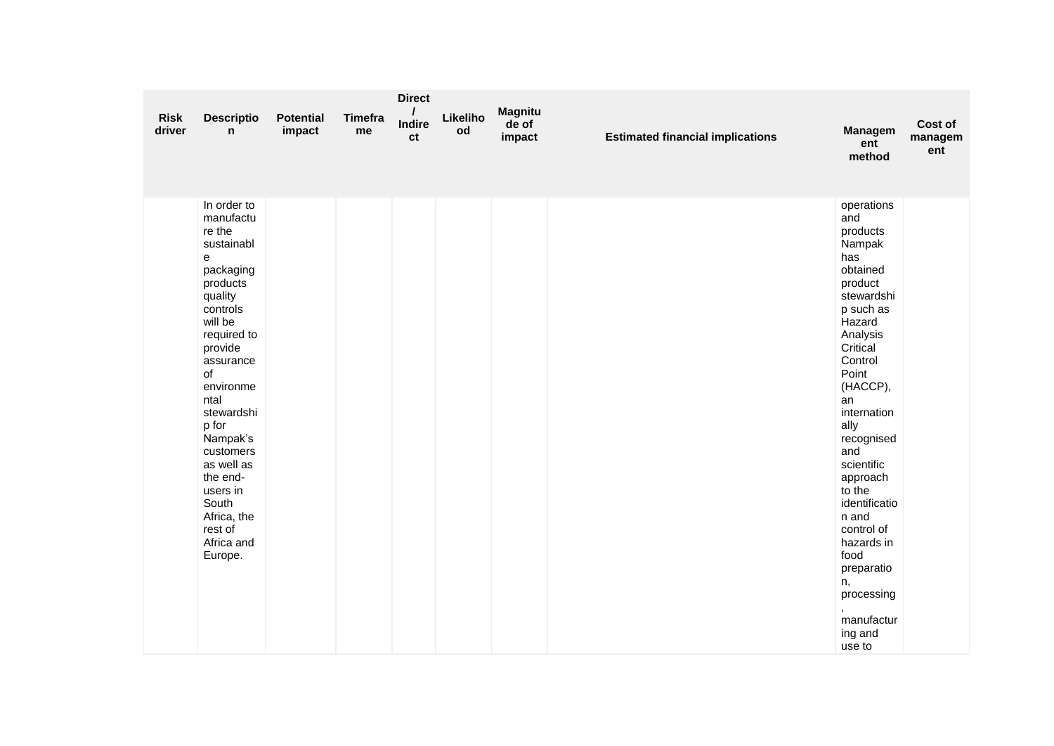| <b>Risk</b><br>driver | <b>Descriptio</b><br>n                                                                                                                                                                                                                                                                                                               | <b>Potential</b><br>impact | Timefra<br>me | <b>Direct</b><br>Indire<br>ct | Likeliho<br>od | <b>Magnitu</b><br>de of<br>impact | <b>Estimated financial implications</b> | Managem<br>ent<br>method                                                                                                                                                                                                                                                                                                                                                                    | Cost of<br>managem<br>ent |
|-----------------------|--------------------------------------------------------------------------------------------------------------------------------------------------------------------------------------------------------------------------------------------------------------------------------------------------------------------------------------|----------------------------|---------------|-------------------------------|----------------|-----------------------------------|-----------------------------------------|---------------------------------------------------------------------------------------------------------------------------------------------------------------------------------------------------------------------------------------------------------------------------------------------------------------------------------------------------------------------------------------------|---------------------------|
|                       | In order to<br>manufactu<br>re the<br>sustainabl<br>e<br>packaging<br>products<br>quality<br>controls<br>will be<br>required to<br>provide<br>assurance<br>of<br>environme<br>ntal<br>stewardshi<br>p for<br>Nampak's<br>customers<br>as well as<br>the end-<br>users in<br>South<br>Africa, the<br>rest of<br>Africa and<br>Europe. |                            |               |                               |                |                                   |                                         | operations<br>and<br>products<br>Nampak<br>has<br>obtained<br>product<br>stewardshi<br>p such as<br>Hazard<br>Analysis<br>Critical<br>Control<br>Point<br>(HACCP),<br>an<br>internation<br>ally<br>recognised<br>and<br>scientific<br>approach<br>to the<br>identificatio<br>n and<br>control of<br>hazards in<br>food<br>preparatio<br>n,<br>processing<br>manufactur<br>ing and<br>use to |                           |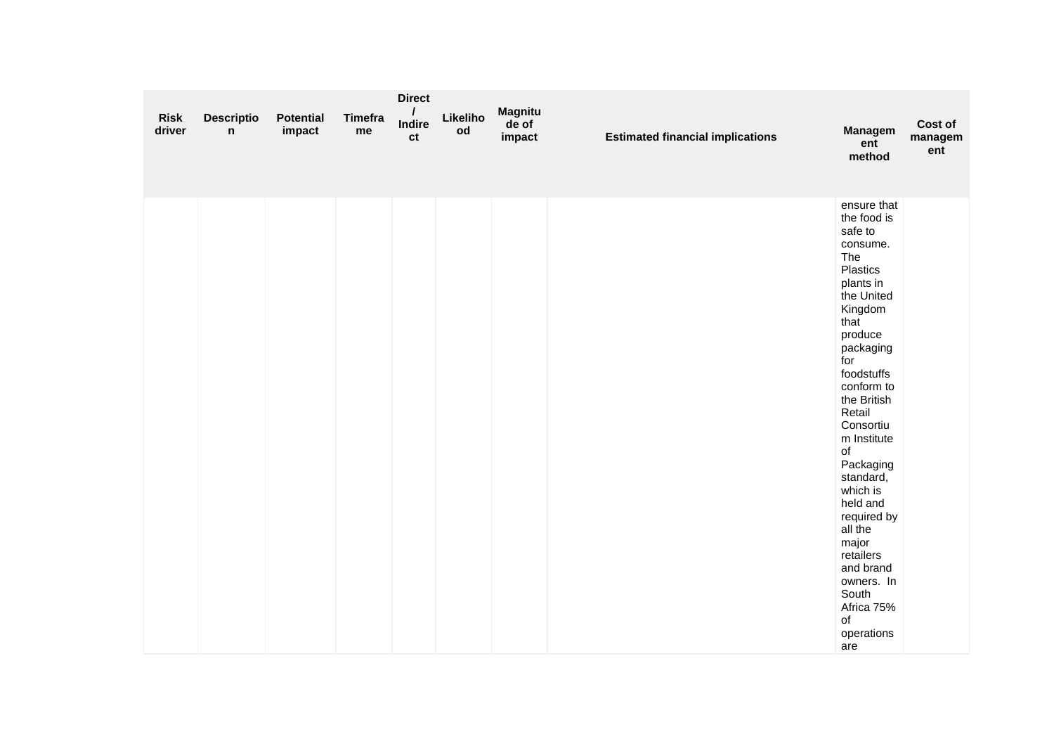| <b>Risk</b><br>driver | <b>Descriptio</b><br>n | <b>Potential</b><br>impact | <b>Timefra</b><br>me | <b>Direct</b><br><b>Indire</b><br>ct | Likeliho<br>od | <b>Magnitu</b><br>de of<br>impact | <b>Estimated financial implications</b> | <b>Managem</b><br>ent<br>method                                                                                                                                                                                                                                                                                                                                                                                         | Cost of<br>managem<br>ent |
|-----------------------|------------------------|----------------------------|----------------------|--------------------------------------|----------------|-----------------------------------|-----------------------------------------|-------------------------------------------------------------------------------------------------------------------------------------------------------------------------------------------------------------------------------------------------------------------------------------------------------------------------------------------------------------------------------------------------------------------------|---------------------------|
|                       |                        |                            |                      |                                      |                |                                   |                                         | ensure that<br>the food is<br>safe to<br>consume.<br>The<br>Plastics<br>plants in<br>the United<br>Kingdom<br>that<br>produce<br>packaging<br>for<br>foodstuffs<br>conform to<br>the British<br>Retail<br>Consortiu<br>m Institute<br>of<br>Packaging<br>standard,<br>which is<br>held and<br>required by<br>all the<br>major<br>retailers<br>and brand<br>owners. In<br>South<br>Africa 75%<br>of<br>operations<br>are |                           |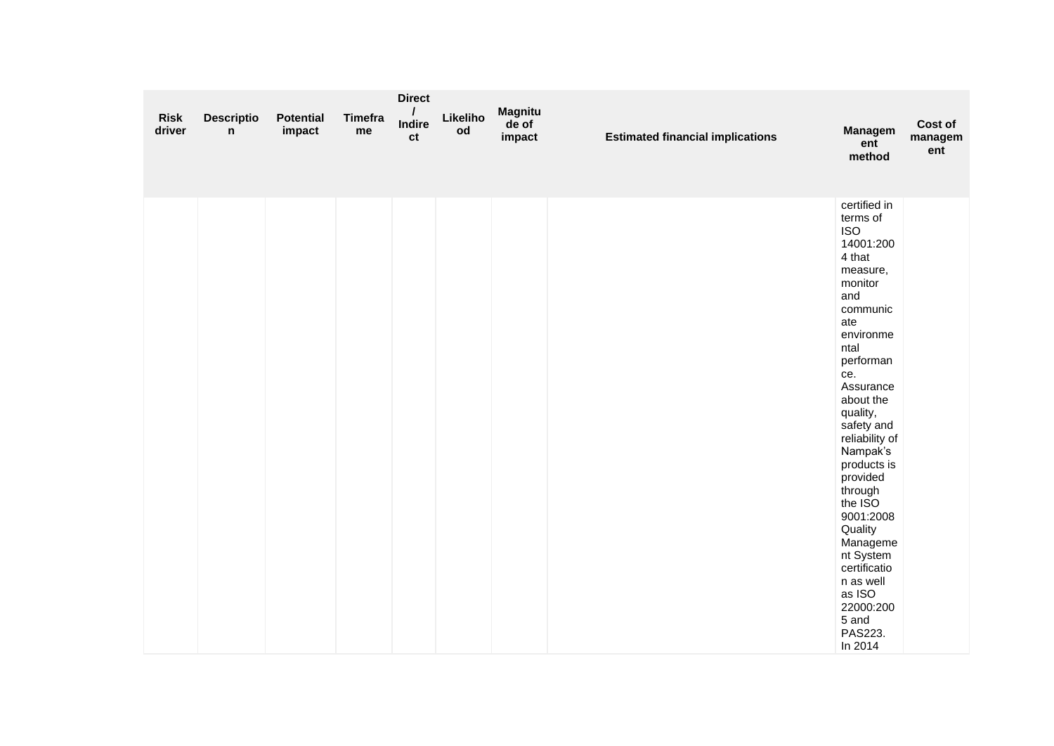| <b>Risk</b><br>driver | <b>Descriptio</b><br>n | <b>Potential</b><br>impact | <b>Timefra</b><br>me | <b>Direct</b><br>Indire<br>ct | Likeliho<br>od | <b>Magnitu</b><br>de of<br>impact | <b>Estimated financial implications</b> | <b>Managem</b><br>ent<br>method                                                                                                                                                                                                                                                                                                                                                                                                | Cost of<br>managem<br>ent |
|-----------------------|------------------------|----------------------------|----------------------|-------------------------------|----------------|-----------------------------------|-----------------------------------------|--------------------------------------------------------------------------------------------------------------------------------------------------------------------------------------------------------------------------------------------------------------------------------------------------------------------------------------------------------------------------------------------------------------------------------|---------------------------|
|                       |                        |                            |                      |                               |                |                                   |                                         | certified in<br>terms of<br><b>ISO</b><br>14001:200<br>4 that<br>measure,<br>monitor<br>and<br>communic<br>ate<br>environme<br>ntal<br>performan<br>ce.<br>Assurance<br>about the<br>quality,<br>safety and<br>reliability of<br>Nampak's<br>products is<br>provided<br>through<br>the ISO<br>9001:2008<br>Quality<br>Manageme<br>nt System<br>certificatio<br>n as well<br>as ISO<br>22000:200<br>5 and<br>PAS223.<br>In 2014 |                           |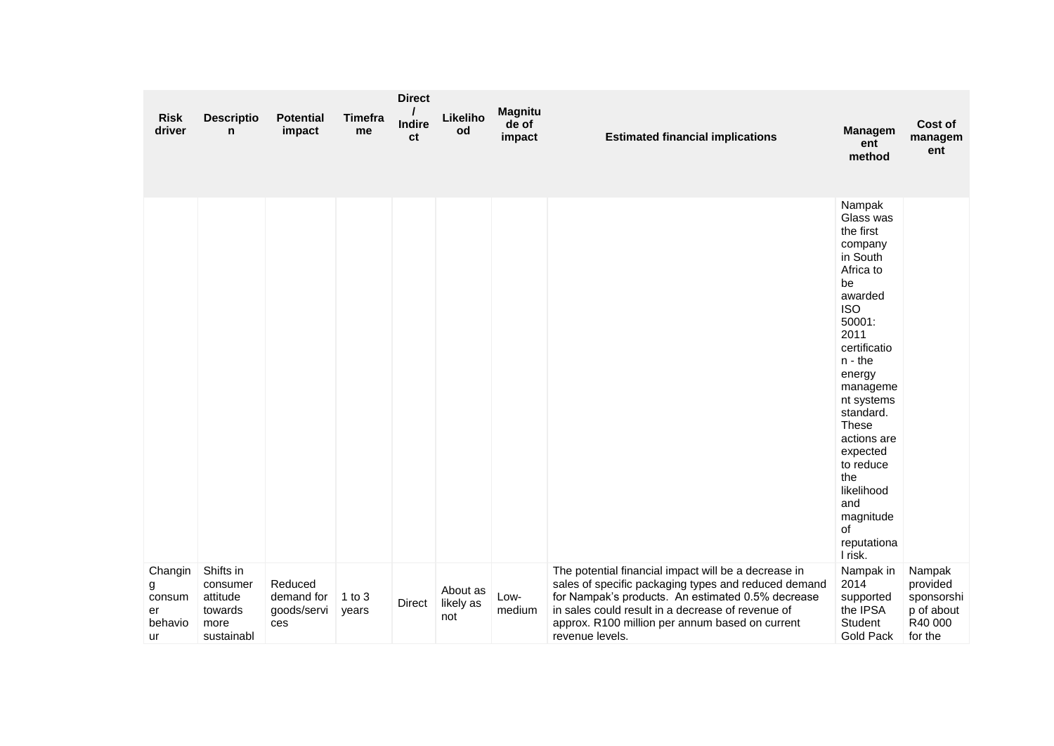| <b>Risk</b><br>driver                         | <b>Descriptio</b><br>n                                             | <b>Potential</b><br>impact                  | <b>Timefra</b><br>me | <b>Direct</b><br>Indire<br>ct | Likeliho<br>od               | <b>Magnitu</b><br>de of<br>impact | <b>Estimated financial implications</b>                                                                                                                                                                                                                                                      | <b>Managem</b><br>ent<br>method                                                                                                                                                                                                                                                                                                      | Cost of<br>managem<br>ent                                            |
|-----------------------------------------------|--------------------------------------------------------------------|---------------------------------------------|----------------------|-------------------------------|------------------------------|-----------------------------------|----------------------------------------------------------------------------------------------------------------------------------------------------------------------------------------------------------------------------------------------------------------------------------------------|--------------------------------------------------------------------------------------------------------------------------------------------------------------------------------------------------------------------------------------------------------------------------------------------------------------------------------------|----------------------------------------------------------------------|
|                                               |                                                                    |                                             |                      |                               |                              |                                   |                                                                                                                                                                                                                                                                                              | Nampak<br>Glass was<br>the first<br>company<br>in South<br>Africa to<br>be<br>awarded<br><b>ISO</b><br>50001:<br>2011<br>certificatio<br>$n - the$<br>energy<br>manageme<br>nt systems<br>standard.<br><b>These</b><br>actions are<br>expected<br>to reduce<br>the<br>likelihood<br>and<br>magnitude<br>of<br>reputationa<br>I risk. |                                                                      |
| Changin<br>g<br>consum<br>er<br>behavio<br>ur | Shifts in<br>consumer<br>attitude<br>towards<br>more<br>sustainabl | Reduced<br>demand for<br>goods/servi<br>ces | $1$ to $3$<br>years  | Direct                        | About as<br>likely as<br>not | Low-<br>medium                    | The potential financial impact will be a decrease in<br>sales of specific packaging types and reduced demand<br>for Nampak's products. An estimated 0.5% decrease<br>in sales could result in a decrease of revenue of<br>approx. R100 million per annum based on current<br>revenue levels. | Nampak in<br>2014<br>supported<br>the IPSA<br>Student<br>Gold Pack                                                                                                                                                                                                                                                                   | Nampak<br>provided<br>sponsorshi<br>p of about<br>R40 000<br>for the |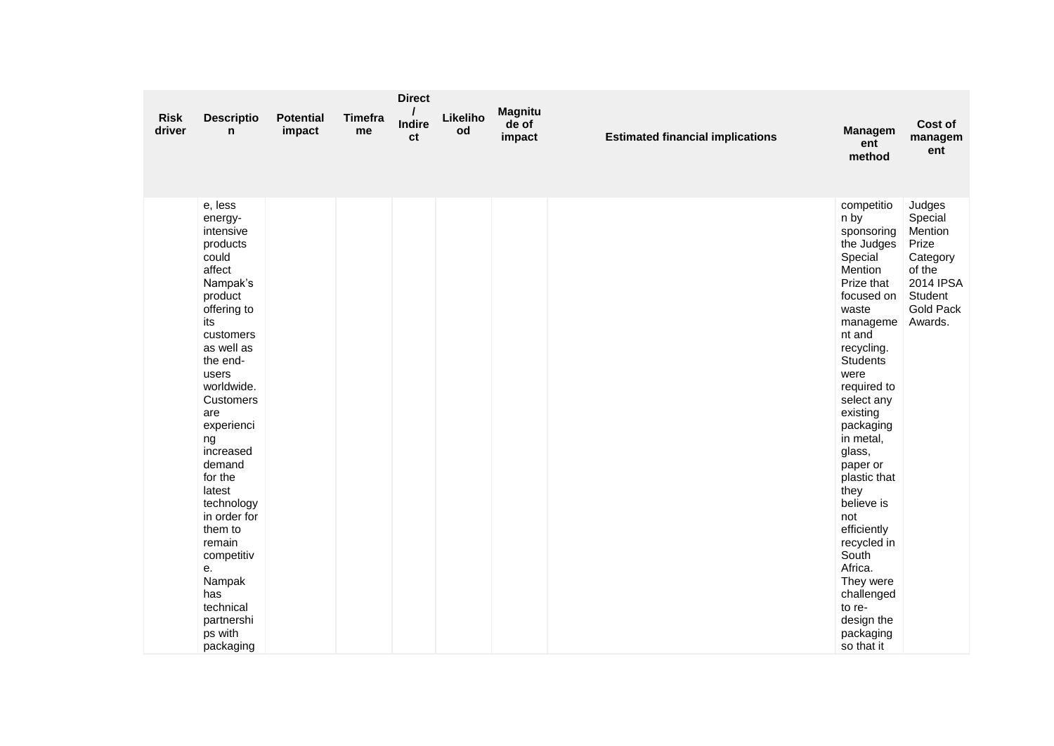|                       |                                                                                                                                                                                                                                                                                                                                                                                                                 |                            |               | <b>Direct</b>       |                |                                   |                                         |                                                                                                                                                                                                                                                                                                                                                                                                                                                |                                                                                                                    |
|-----------------------|-----------------------------------------------------------------------------------------------------------------------------------------------------------------------------------------------------------------------------------------------------------------------------------------------------------------------------------------------------------------------------------------------------------------|----------------------------|---------------|---------------------|----------------|-----------------------------------|-----------------------------------------|------------------------------------------------------------------------------------------------------------------------------------------------------------------------------------------------------------------------------------------------------------------------------------------------------------------------------------------------------------------------------------------------------------------------------------------------|--------------------------------------------------------------------------------------------------------------------|
| <b>Risk</b><br>driver | <b>Descriptio</b><br>n                                                                                                                                                                                                                                                                                                                                                                                          | <b>Potential</b><br>impact | Timefra<br>me | <b>Indire</b><br>ct | Likeliho<br>od | <b>Magnitu</b><br>de of<br>impact | <b>Estimated financial implications</b> | <b>Managem</b><br>ent<br>method                                                                                                                                                                                                                                                                                                                                                                                                                | Cost of<br>managem<br>ent                                                                                          |
|                       | e, less<br>energy-<br>intensive<br>products<br>could<br>affect<br>Nampak's<br>product<br>offering to<br>its<br>customers<br>as well as<br>the end-<br>users<br>worldwide.<br><b>Customers</b><br>are<br>experienci<br>ng<br>increased<br>demand<br>for the<br>latest<br>technology<br>in order for<br>them to<br>remain<br>competitiv<br>е.<br>Nampak<br>has<br>technical<br>partnershi<br>ps with<br>packaging |                            |               |                     |                |                                   |                                         | competitio<br>n by<br>sponsoring<br>the Judges<br>Special<br>Mention<br>Prize that<br>focused on<br>waste<br>manageme<br>nt and<br>recycling.<br><b>Students</b><br>were<br>required to<br>select any<br>existing<br>packaging<br>in metal,<br>glass,<br>paper or<br>plastic that<br>they<br>believe is<br>not<br>efficiently<br>recycled in<br>South<br>Africa.<br>They were<br>challenged<br>to re-<br>design the<br>packaging<br>so that it | Judges<br>Special<br>Mention<br>Prize<br>Category<br>of the<br>2014 IPSA<br>Student<br><b>Gold Pack</b><br>Awards. |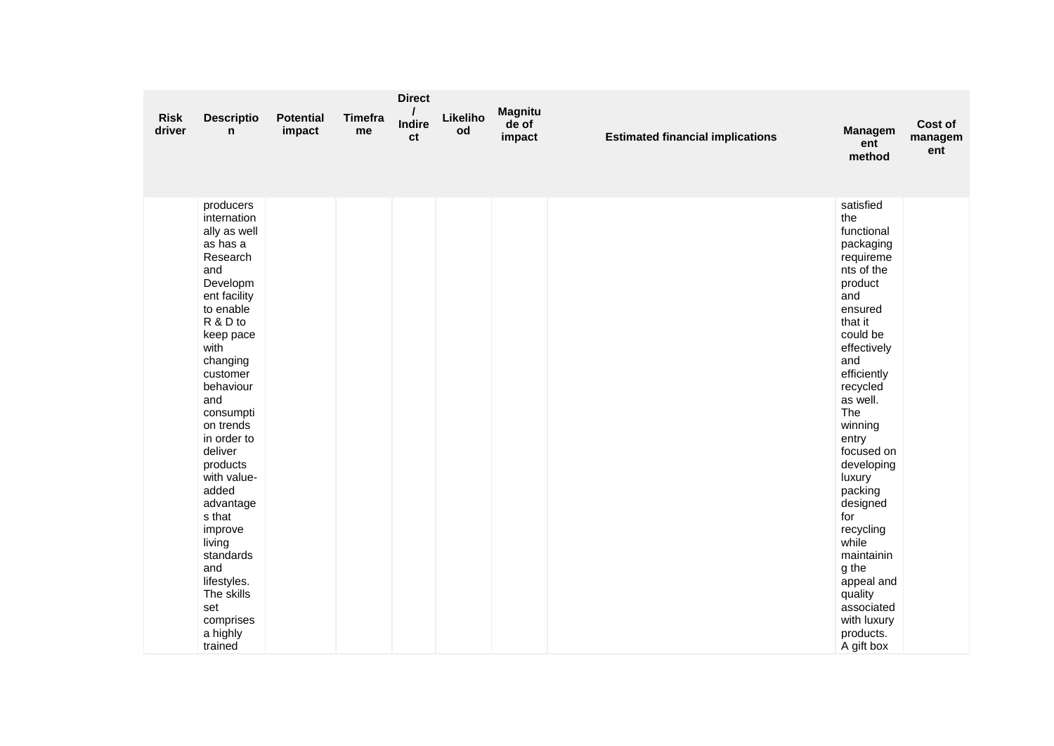| <b>Risk</b><br>driver | <b>Descriptio</b><br>n                                                                                                                                                                                                                                                                                                                                                                                                        | <b>Potential</b><br>impact | <b>Timefra</b><br>me | <b>Direct</b><br><b>Indire</b><br>ct | Likeliho<br>od | <b>Magnitu</b><br>de of<br>impact | <b>Estimated financial implications</b> | <b>Managem</b><br>ent<br>method                                                                                                                                                                                                                                                                                                                                                                                      | <b>Cost of</b><br>managem<br>ent |
|-----------------------|-------------------------------------------------------------------------------------------------------------------------------------------------------------------------------------------------------------------------------------------------------------------------------------------------------------------------------------------------------------------------------------------------------------------------------|----------------------------|----------------------|--------------------------------------|----------------|-----------------------------------|-----------------------------------------|----------------------------------------------------------------------------------------------------------------------------------------------------------------------------------------------------------------------------------------------------------------------------------------------------------------------------------------------------------------------------------------------------------------------|----------------------------------|
|                       | producers<br>internation<br>ally as well<br>as has a<br>Research<br>and<br>Developm<br>ent facility<br>to enable<br>R & D to<br>keep pace<br>with<br>changing<br>customer<br>behaviour<br>and<br>consumpti<br>on trends<br>in order to<br>deliver<br>products<br>with value-<br>added<br>advantage<br>s that<br>improve<br>living<br>standards<br>and<br>lifestyles.<br>The skills<br>set<br>comprises<br>a highly<br>trained |                            |                      |                                      |                |                                   |                                         | satisfied<br>the<br>functional<br>packaging<br>requireme<br>nts of the<br>product<br>and<br>ensured<br>that it<br>could be<br>effectively<br>and<br>efficiently<br>recycled<br>as well.<br>The<br>winning<br>entry<br>focused on<br>developing<br>luxury<br>packing<br>designed<br>for<br>recycling<br>while<br>maintainin<br>g the<br>appeal and<br>quality<br>associated<br>with luxury<br>products.<br>A gift box |                                  |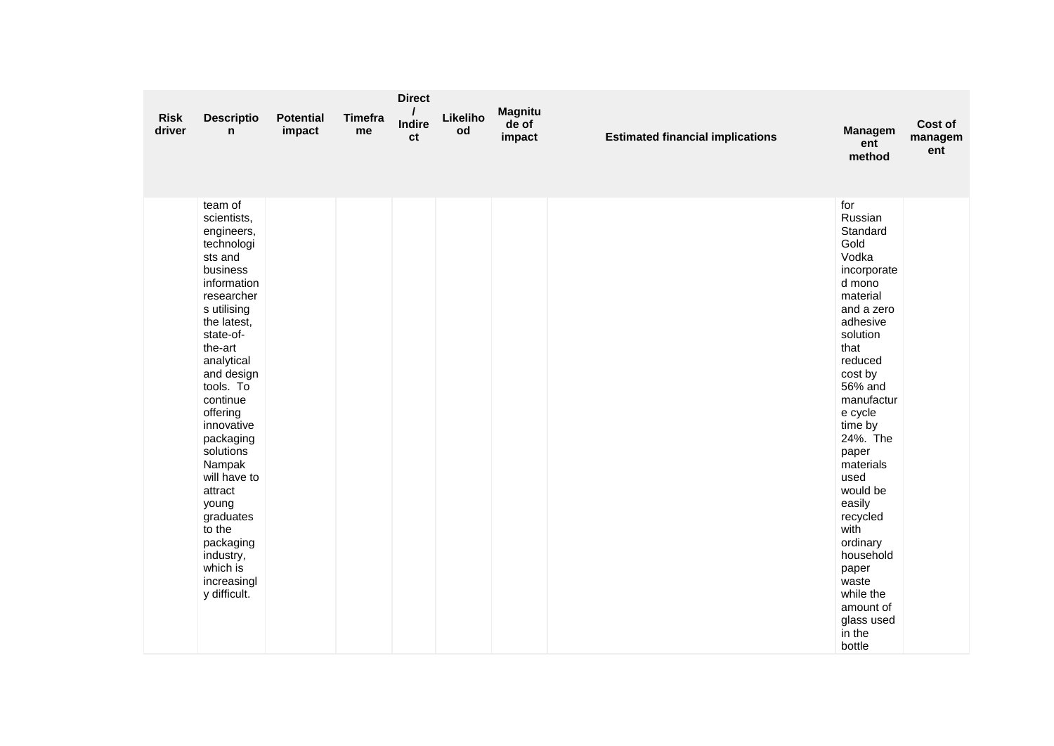| <b>Risk</b><br>driver | <b>Descriptio</b><br>n                                                                                                                                                                                                                                                                                                                                                                                          | <b>Potential</b><br>impact | <b>Timefra</b><br>me | <b>Direct</b><br><b>Indire</b><br>ct | Likeliho<br>od | <b>Magnitu</b><br>de of<br>impact | <b>Estimated financial implications</b> | Managem<br>ent<br>method                                                                                                                                                                                                                                                                                                                                                                       | Cost of<br>managem<br>ent |
|-----------------------|-----------------------------------------------------------------------------------------------------------------------------------------------------------------------------------------------------------------------------------------------------------------------------------------------------------------------------------------------------------------------------------------------------------------|----------------------------|----------------------|--------------------------------------|----------------|-----------------------------------|-----------------------------------------|------------------------------------------------------------------------------------------------------------------------------------------------------------------------------------------------------------------------------------------------------------------------------------------------------------------------------------------------------------------------------------------------|---------------------------|
|                       | team of<br>scientists,<br>engineers,<br>technologi<br>sts and<br>business<br>information<br>researcher<br>s utilising<br>the latest,<br>state-of-<br>the-art<br>analytical<br>and design<br>tools. To<br>continue<br>offering<br>innovative<br>packaging<br>solutions<br>Nampak<br>will have to<br>attract<br>young<br>graduates<br>to the<br>packaging<br>industry,<br>which is<br>increasingl<br>y difficult. |                            |                      |                                      |                |                                   |                                         | for<br>Russian<br>Standard<br>Gold<br>Vodka<br>incorporate<br>d mono<br>material<br>and a zero<br>adhesive<br>solution<br>that<br>reduced<br>cost by<br>56% and<br>manufactur<br>e cycle<br>time by<br>24%. The<br>paper<br>materials<br>used<br>would be<br>easily<br>recycled<br>with<br>ordinary<br>household<br>paper<br>waste<br>while the<br>amount of<br>glass used<br>in the<br>bottle |                           |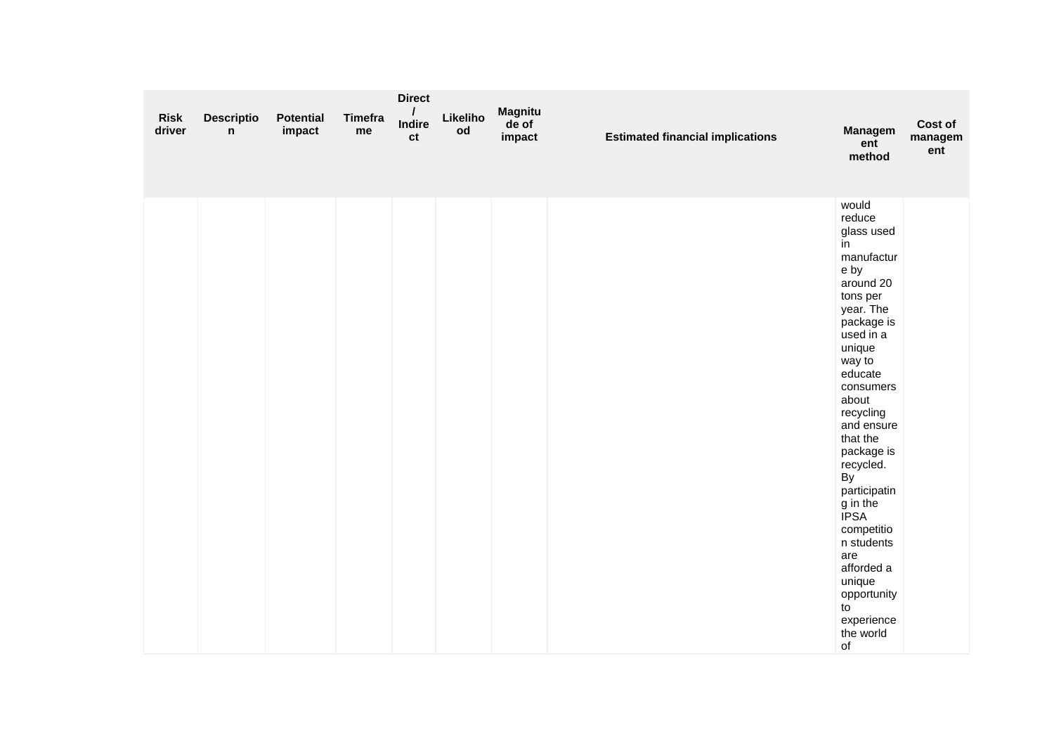| <b>Risk</b><br>driver | <b>Descriptio</b><br>n | <b>Potential</b><br>impact | Timefra<br>me | <b>Direct</b><br><b>Indire</b><br>ct | Likeliho<br>od | <b>Magnitu</b><br>de of<br>impact | <b>Estimated financial implications</b> | <b>Managem</b><br>ent<br>method                                                                                                                                                                                                                                                                                                                                                                                     | Cost of<br>managem<br>ent |
|-----------------------|------------------------|----------------------------|---------------|--------------------------------------|----------------|-----------------------------------|-----------------------------------------|---------------------------------------------------------------------------------------------------------------------------------------------------------------------------------------------------------------------------------------------------------------------------------------------------------------------------------------------------------------------------------------------------------------------|---------------------------|
|                       |                        |                            |               |                                      |                |                                   |                                         | would<br>reduce<br>glass used<br>in<br>manufactur<br>e by<br>around 20<br>tons per<br>year. The<br>package is<br>used in a<br>unique<br>way to<br>educate<br>consumers<br>about<br>recycling<br>and ensure<br>that the<br>package is<br>recycled.<br>By<br>participatin<br>g in the<br><b>IPSA</b><br>competitio<br>n students<br>are<br>afforded a<br>unique<br>opportunity<br>to<br>experience<br>the world<br>of |                           |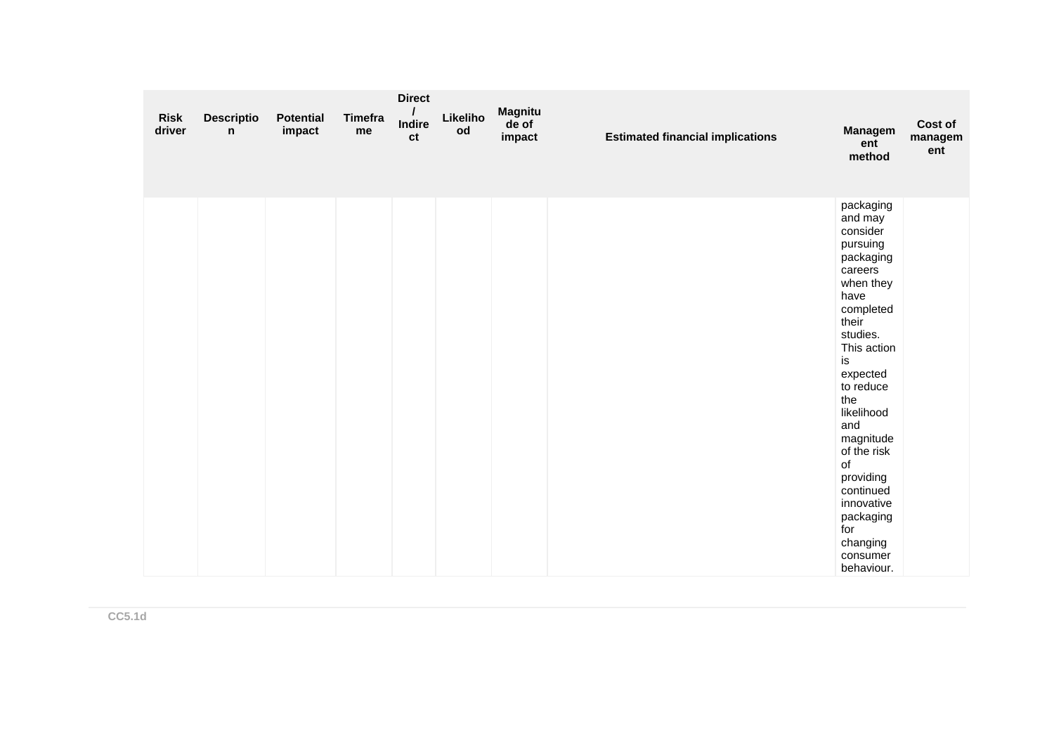| <b>Risk</b><br>driver | <b>Descriptio</b><br>n | <b>Potential</b><br>impact | <b>Timefra</b><br>me | <b>Direct</b><br><b>Indire</b><br>ct | Likeliho<br>od | <b>Magnitu</b><br>de of<br>impact | <b>Estimated financial implications</b> | Managem<br>ent<br>method                                                                                                                                                                                                                                                                                                                  | Cost of<br>managem<br>ent |
|-----------------------|------------------------|----------------------------|----------------------|--------------------------------------|----------------|-----------------------------------|-----------------------------------------|-------------------------------------------------------------------------------------------------------------------------------------------------------------------------------------------------------------------------------------------------------------------------------------------------------------------------------------------|---------------------------|
|                       |                        |                            |                      |                                      |                |                                   |                                         | packaging<br>and may<br>consider<br>pursuing<br>packaging<br>careers<br>when they<br>have<br>completed<br>their<br>studies.<br>This action<br>is<br>expected<br>to reduce<br>the<br>likelihood<br>and<br>magnitude<br>of the risk<br>of<br>providing<br>continued<br>innovative<br>packaging<br>for<br>changing<br>consumer<br>behaviour. |                           |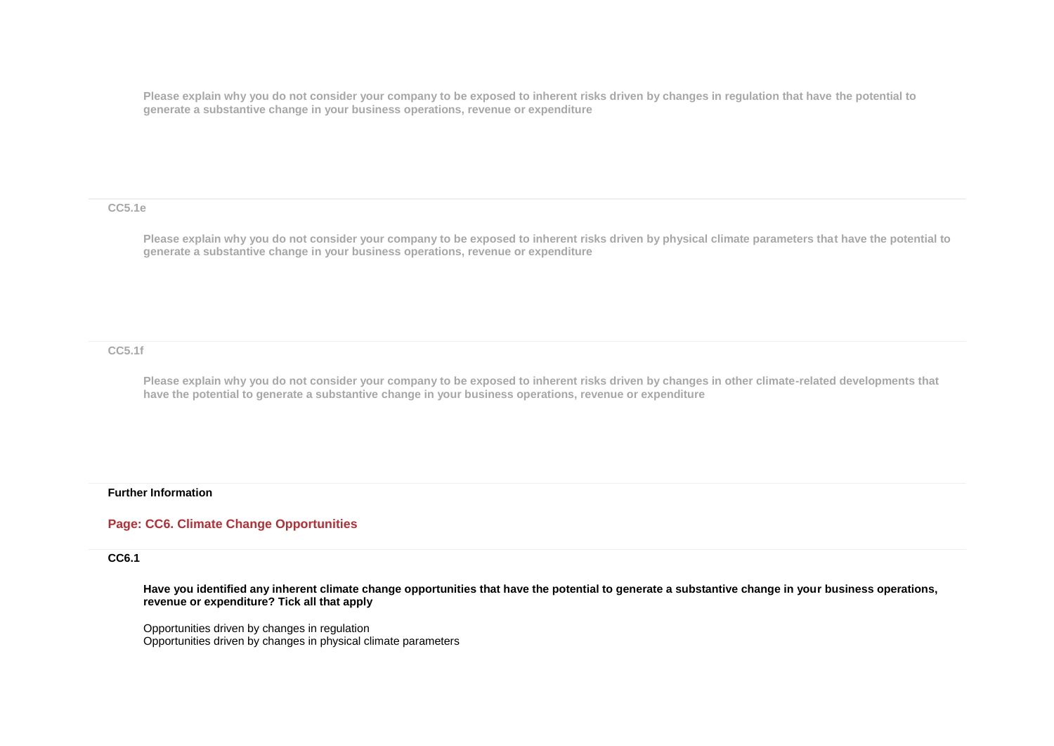**Please explain why you do not consider your company to be exposed to inherent risks driven by changes in regulation that have the potential to generate a substantive change in your business operations, revenue or expenditure** 

**CC5.1e**

**Please explain why you do not consider your company to be exposed to inherent risks driven by physical climate parameters that have the potential to generate a substantive change in your business operations, revenue or expenditure**

**CC5.1f**

**Please explain why you do not consider your company to be exposed to inherent risks driven by changes in other climate-related developments that have the potential to generate a substantive change in your business operations, revenue or expenditure**

#### **Further Information**

### **Page: CC6. Climate Change Opportunities**

**CC6.1**

**Have you identified any inherent climate change opportunities that have the potential to generate a substantive change in your business operations, revenue or expenditure? Tick all that apply**

Opportunities driven by changes in regulation Opportunities driven by changes in physical climate parameters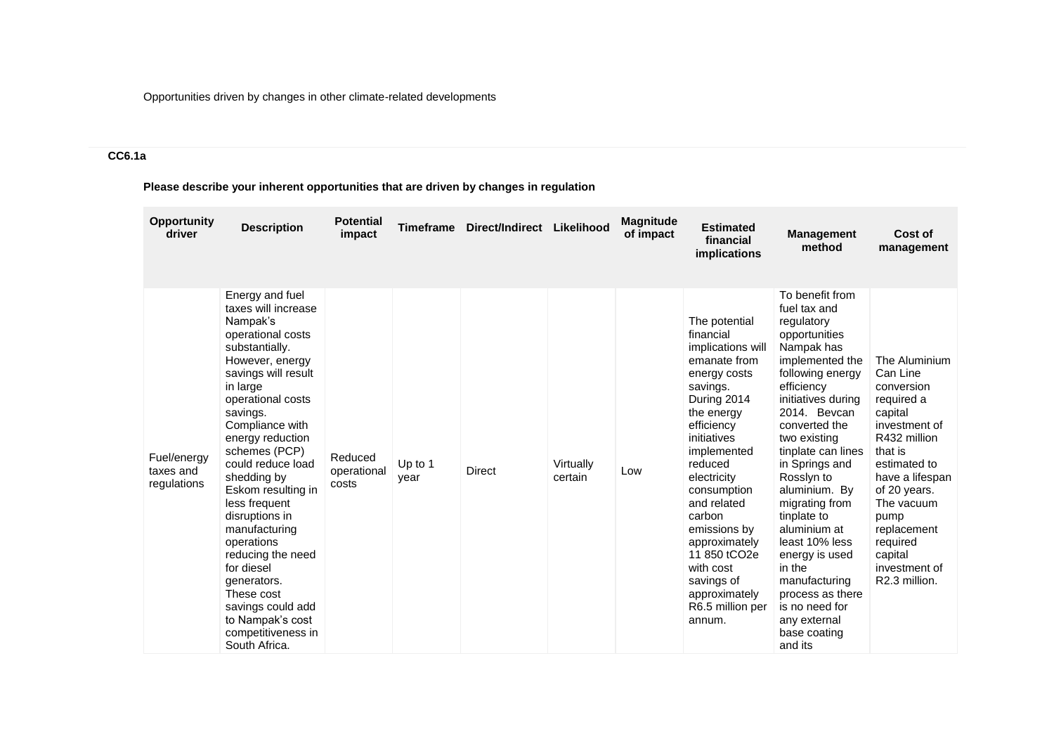Opportunities driven by changes in other climate-related developments

# **CC6.1a**

**Please describe your inherent opportunities that are driven by changes in regulation**

| <b>Opportunity</b><br>driver            | <b>Description</b>                                                                                                                                                                                                                                                                                                                                                                                                                                                                                                   | <b>Potential</b><br>impact      | <b>Timeframe</b> | Direct/Indirect Likelihood |                      | <b>Magnitude</b><br>of impact | <b>Estimated</b><br>financial<br><i>implications</i>                                                                                                                                                                                                                                                                                                                          | <b>Management</b><br>method                                                                                                                                                                                                                                                                                                                                                                                                                                                      | Cost of<br>management                                                                                                                                                                                                                                         |
|-----------------------------------------|----------------------------------------------------------------------------------------------------------------------------------------------------------------------------------------------------------------------------------------------------------------------------------------------------------------------------------------------------------------------------------------------------------------------------------------------------------------------------------------------------------------------|---------------------------------|------------------|----------------------------|----------------------|-------------------------------|-------------------------------------------------------------------------------------------------------------------------------------------------------------------------------------------------------------------------------------------------------------------------------------------------------------------------------------------------------------------------------|----------------------------------------------------------------------------------------------------------------------------------------------------------------------------------------------------------------------------------------------------------------------------------------------------------------------------------------------------------------------------------------------------------------------------------------------------------------------------------|---------------------------------------------------------------------------------------------------------------------------------------------------------------------------------------------------------------------------------------------------------------|
| Fuel/energy<br>taxes and<br>regulations | Energy and fuel<br>taxes will increase<br>Nampak's<br>operational costs<br>substantially.<br>However, energy<br>savings will result<br>in large<br>operational costs<br>savings.<br>Compliance with<br>energy reduction<br>schemes (PCP)<br>could reduce load<br>shedding by<br>Eskom resulting in<br>less frequent<br>disruptions in<br>manufacturing<br>operations<br>reducing the need<br>for diesel<br>generators.<br>These cost<br>savings could add<br>to Nampak's cost<br>competitiveness in<br>South Africa. | Reduced<br>operational<br>costs | Up to 1<br>year  | <b>Direct</b>              | Virtually<br>certain | Low                           | The potential<br>financial<br>implications will<br>emanate from<br>energy costs<br>savings.<br>During 2014<br>the energy<br>efficiency<br>initiatives<br>implemented<br>reduced<br>electricity<br>consumption<br>and related<br>carbon<br>emissions by<br>approximately<br>11 850 tCO <sub>2e</sub><br>with cost<br>savings of<br>approximately<br>R6.5 million per<br>annum. | To benefit from<br>fuel tax and<br>regulatory<br>opportunities<br>Nampak has<br>implemented the<br>following energy<br>efficiency<br>initiatives during<br>2014. Bevcan<br>converted the<br>two existing<br>tinplate can lines<br>in Springs and<br>Rossiyn to<br>aluminium. By<br>migrating from<br>tinplate to<br>aluminium at<br>least 10% less<br>energy is used<br>in the<br>manufacturing<br>process as there<br>is no need for<br>any external<br>base coating<br>and its | The Aluminium<br>Can Line<br>conversion<br>required a<br>capital<br>investment of<br>R432 million<br>that is<br>estimated to<br>have a lifespan<br>of 20 years.<br>The vacuum<br>pump<br>replacement<br>required<br>capital<br>investment of<br>R2.3 million. |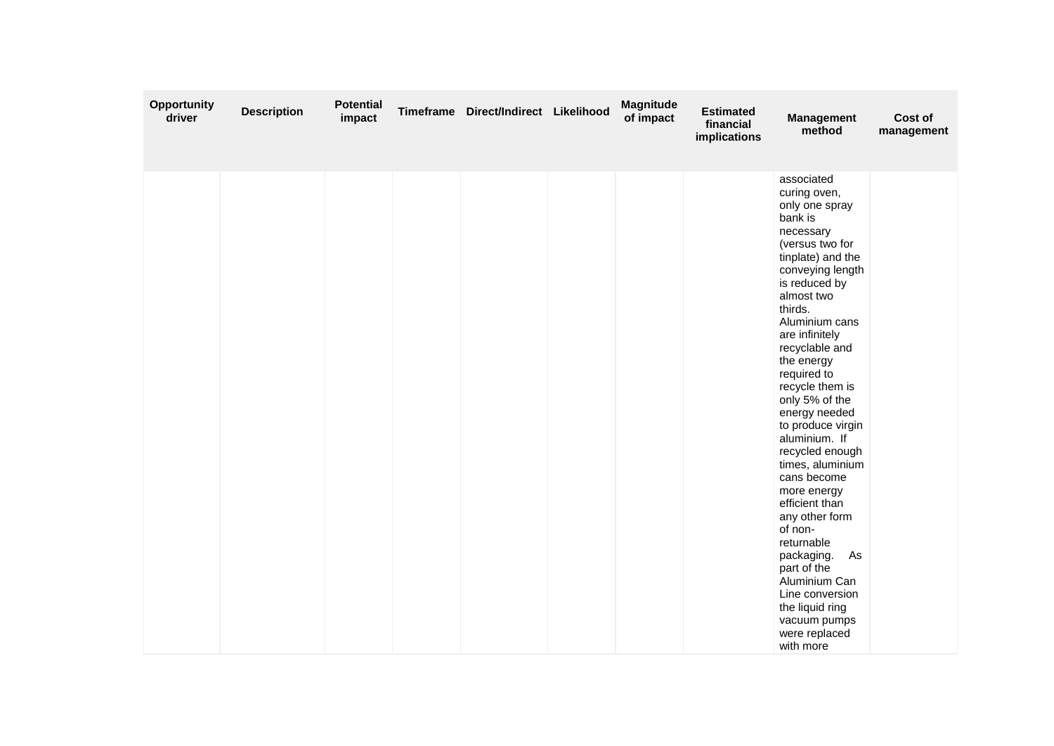| <b>Opportunity</b><br>driver | <b>Description</b> | <b>Potential</b><br>impact | Timeframe Direct/Indirect Likelihood | <b>Magnitude</b><br>of impact | <b>Estimated</b><br>financial<br>implications | <b>Management</b><br>method                                                                                                                                                                                                                                                                                                                                                                                                                                                                                                                                                                                                         | Cost of<br>management |
|------------------------------|--------------------|----------------------------|--------------------------------------|-------------------------------|-----------------------------------------------|-------------------------------------------------------------------------------------------------------------------------------------------------------------------------------------------------------------------------------------------------------------------------------------------------------------------------------------------------------------------------------------------------------------------------------------------------------------------------------------------------------------------------------------------------------------------------------------------------------------------------------------|-----------------------|
|                              |                    |                            |                                      |                               |                                               | associated<br>curing oven,<br>only one spray<br>bank is<br>necessary<br>(versus two for<br>tinplate) and the<br>conveying length<br>is reduced by<br>almost two<br>thirds.<br>Aluminium cans<br>are infinitely<br>recyclable and<br>the energy<br>required to<br>recycle them is<br>only 5% of the<br>energy needed<br>to produce virgin<br>aluminium. If<br>recycled enough<br>times, aluminium<br>cans become<br>more energy<br>efficient than<br>any other form<br>of non-<br>returnable<br>packaging.<br>As<br>part of the<br>Aluminium Can<br>Line conversion<br>the liquid ring<br>vacuum pumps<br>were replaced<br>with more |                       |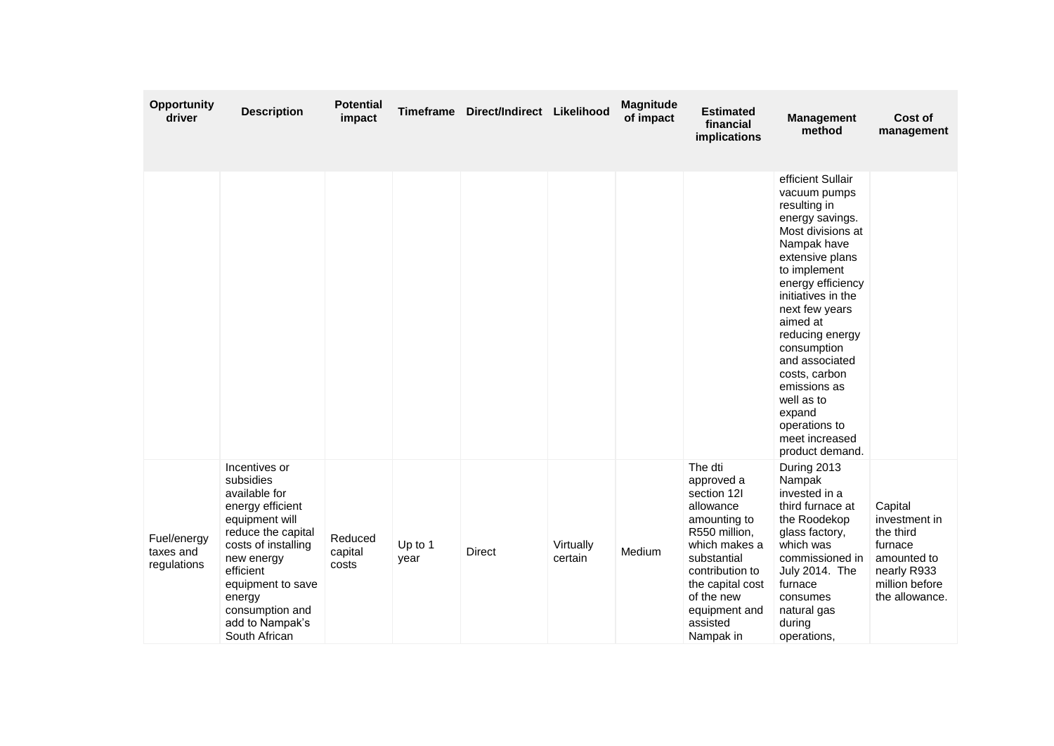| <b>Opportunity</b><br>driver            | <b>Description</b>                                                                                                                                                                                                                              | <b>Potential</b><br>impact  | <b>Timeframe</b> | Direct/Indirect Likelihood |                      | <b>Magnitude</b><br>of impact | <b>Estimated</b><br>financial<br>implications                                                                                                                                                                     | <b>Management</b><br>method                                                                                                                                                                                                                                                                                                                                                             | Cost of<br>management                                                                                              |
|-----------------------------------------|-------------------------------------------------------------------------------------------------------------------------------------------------------------------------------------------------------------------------------------------------|-----------------------------|------------------|----------------------------|----------------------|-------------------------------|-------------------------------------------------------------------------------------------------------------------------------------------------------------------------------------------------------------------|-----------------------------------------------------------------------------------------------------------------------------------------------------------------------------------------------------------------------------------------------------------------------------------------------------------------------------------------------------------------------------------------|--------------------------------------------------------------------------------------------------------------------|
|                                         |                                                                                                                                                                                                                                                 |                             |                  |                            |                      |                               |                                                                                                                                                                                                                   | efficient Sullair<br>vacuum pumps<br>resulting in<br>energy savings.<br>Most divisions at<br>Nampak have<br>extensive plans<br>to implement<br>energy efficiency<br>initiatives in the<br>next few years<br>aimed at<br>reducing energy<br>consumption<br>and associated<br>costs, carbon<br>emissions as<br>well as to<br>expand<br>operations to<br>meet increased<br>product demand. |                                                                                                                    |
| Fuel/energy<br>taxes and<br>regulations | Incentives or<br>subsidies<br>available for<br>energy efficient<br>equipment will<br>reduce the capital<br>costs of installing<br>new energy<br>efficient<br>equipment to save<br>energy<br>consumption and<br>add to Nampak's<br>South African | Reduced<br>capital<br>costs | Up to 1<br>year  | <b>Direct</b>              | Virtually<br>certain | Medium                        | The dti<br>approved a<br>section 12I<br>allowance<br>amounting to<br>R550 million,<br>which makes a<br>substantial<br>contribution to<br>the capital cost<br>of the new<br>equipment and<br>assisted<br>Nampak in | During 2013<br>Nampak<br>invested in a<br>third furnace at<br>the Roodekop<br>glass factory,<br>which was<br>commissioned in<br>July 2014. The<br>furnace<br>consumes<br>natural gas<br>during<br>operations,                                                                                                                                                                           | Capital<br>investment in<br>the third<br>furnace<br>amounted to<br>nearly R933<br>million before<br>the allowance. |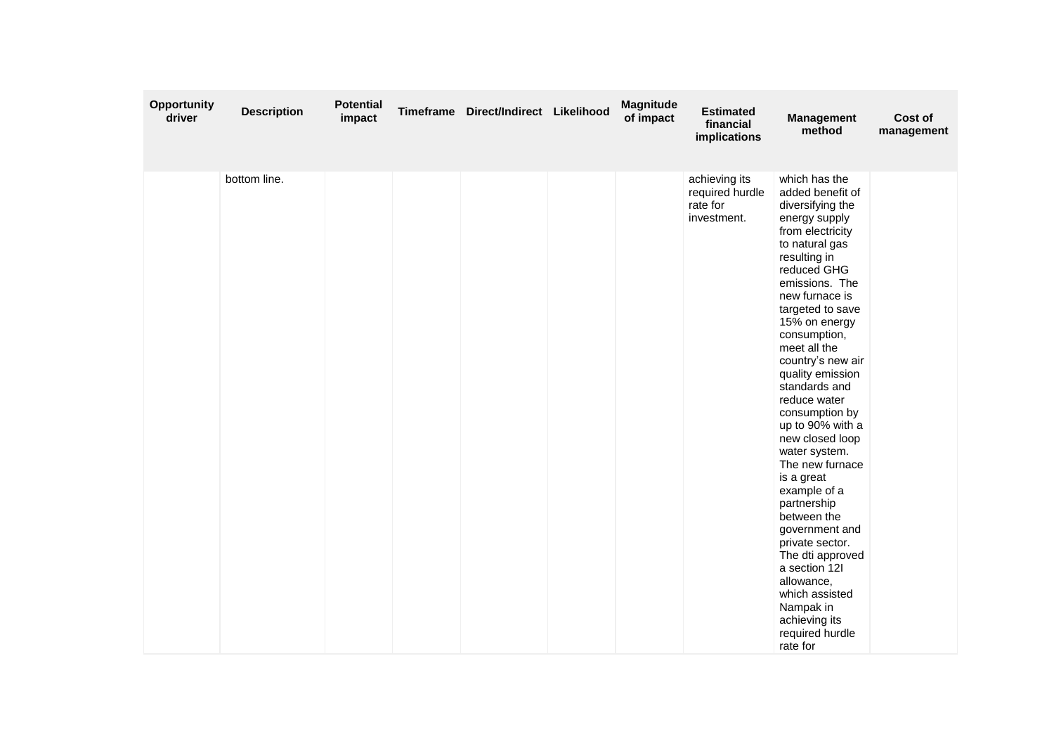| Opportunity<br>driver | <b>Description</b> | <b>Potential</b><br>impact | Timeframe | Direct/Indirect Likelihood | <b>Magnitude</b><br>of impact | <b>Estimated</b><br>financial<br>implications               | <b>Management</b><br>method                                                                                                                                                                                                                                                                                                                                                                                                                                                                                                                                                                                                                                    | Cost of<br>management |
|-----------------------|--------------------|----------------------------|-----------|----------------------------|-------------------------------|-------------------------------------------------------------|----------------------------------------------------------------------------------------------------------------------------------------------------------------------------------------------------------------------------------------------------------------------------------------------------------------------------------------------------------------------------------------------------------------------------------------------------------------------------------------------------------------------------------------------------------------------------------------------------------------------------------------------------------------|-----------------------|
|                       | bottom line.       |                            |           |                            |                               | achieving its<br>required hurdle<br>rate for<br>investment. | which has the<br>added benefit of<br>diversifying the<br>energy supply<br>from electricity<br>to natural gas<br>resulting in<br>reduced GHG<br>emissions. The<br>new furnace is<br>targeted to save<br>15% on energy<br>consumption,<br>meet all the<br>country's new air<br>quality emission<br>standards and<br>reduce water<br>consumption by<br>up to 90% with a<br>new closed loop<br>water system.<br>The new furnace<br>is a great<br>example of a<br>partnership<br>between the<br>government and<br>private sector.<br>The dti approved<br>a section 12I<br>allowance,<br>which assisted<br>Nampak in<br>achieving its<br>required hurdle<br>rate for |                       |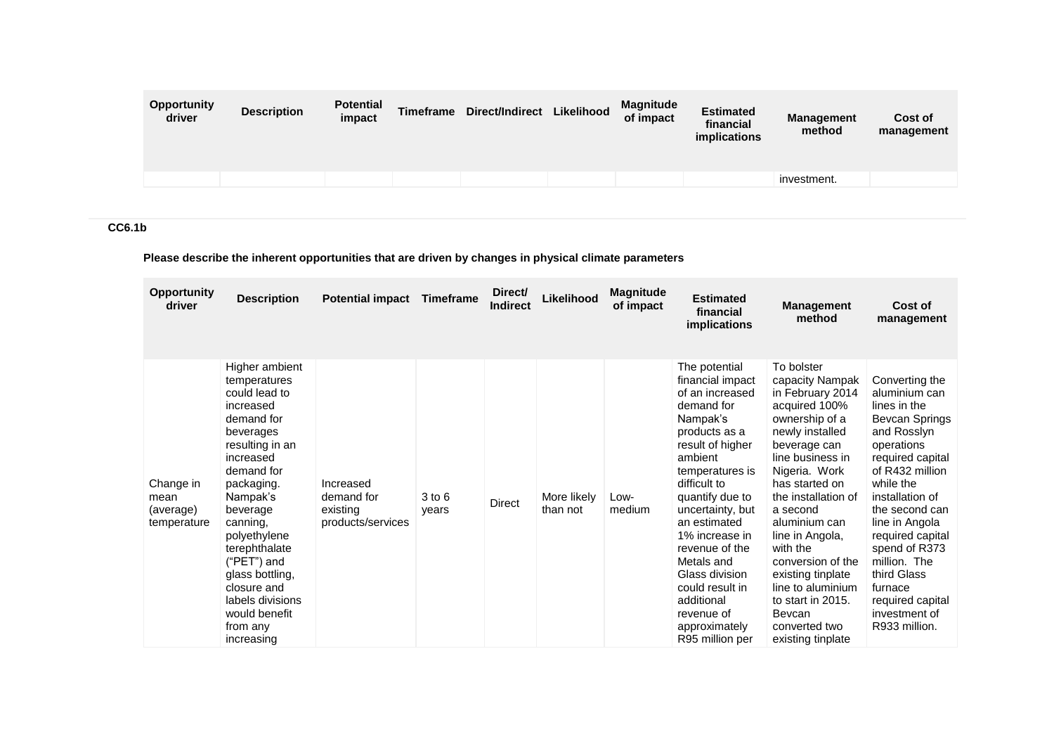| <b>Opportunity</b><br>driver | <b>Description</b> | <b>Potential</b><br>impact | <b>Timeframe</b> | Direct/Indirect | Likelihood | <b>Magnitude</b><br>of impact | <b>Estimated</b><br>financial<br>implications | <b>Management</b><br>method | Cost of<br>management |
|------------------------------|--------------------|----------------------------|------------------|-----------------|------------|-------------------------------|-----------------------------------------------|-----------------------------|-----------------------|
|                              |                    |                            |                  |                 |            |                               |                                               | investment.                 |                       |

# **CC6.1b**

# **Please describe the inherent opportunities that are driven by changes in physical climate parameters**

| Opportunity<br>driver                         | <b>Description</b>                                                                                                                                                                                                                                                                                                                       | <b>Potential impact</b>                                  | <b>Timeframe</b>    | Direct/<br><b>Indirect</b> | Likelihood              | <b>Magnitude</b><br>of impact | <b>Estimated</b><br>financial<br>implications                                                                                                                                                                                                                                                                                                                                   | <b>Management</b><br>method                                                                                                                                                                                                                                                                                                                                                                           | Cost of<br>management                                                                                                                                                                                                                                                                                                                          |
|-----------------------------------------------|------------------------------------------------------------------------------------------------------------------------------------------------------------------------------------------------------------------------------------------------------------------------------------------------------------------------------------------|----------------------------------------------------------|---------------------|----------------------------|-------------------------|-------------------------------|---------------------------------------------------------------------------------------------------------------------------------------------------------------------------------------------------------------------------------------------------------------------------------------------------------------------------------------------------------------------------------|-------------------------------------------------------------------------------------------------------------------------------------------------------------------------------------------------------------------------------------------------------------------------------------------------------------------------------------------------------------------------------------------------------|------------------------------------------------------------------------------------------------------------------------------------------------------------------------------------------------------------------------------------------------------------------------------------------------------------------------------------------------|
| Change in<br>mean<br>(average)<br>temperature | Higher ambient<br>temperatures<br>could lead to<br>increased<br>demand for<br>beverages<br>resulting in an<br>increased<br>demand for<br>packaging.<br>Nampak's<br>beverage<br>canning,<br>polyethylene<br>terephthalate<br>("PET") and<br>glass bottling,<br>closure and<br>labels divisions<br>would benefit<br>from any<br>increasing | Increased<br>demand for<br>existing<br>products/services | $3$ to $6$<br>years | Direct                     | More likely<br>than not | Low-<br>medium                | The potential<br>financial impact<br>of an increased<br>demand for<br>Nampak's<br>products as a<br>result of higher<br>ambient<br>temperatures is<br>difficult to<br>quantify due to<br>uncertainty, but<br>an estimated<br>1% increase in<br>revenue of the<br>Metals and<br>Glass division<br>could result in<br>additional<br>revenue of<br>approximately<br>R95 million per | To bolster<br>capacity Nampak<br>in February 2014<br>acquired 100%<br>ownership of a<br>newly installed<br>beverage can<br>line business in<br>Nigeria. Work<br>has started on<br>the installation of<br>a second<br>aluminium can<br>line in Angola,<br>with the<br>conversion of the<br>existing tinplate<br>line to aluminium<br>to start in 2015.<br>Bevcan<br>converted two<br>existing tinplate | Converting the<br>aluminium can<br>lines in the<br>Bevcan Springs<br>and Rosslyn<br>operations<br>required capital<br>of R432 million<br>while the<br>installation of<br>the second can<br>line in Angola<br>required capital<br>spend of R373<br>million. The<br>third Glass<br>furnace<br>required capital<br>investment of<br>R933 million. |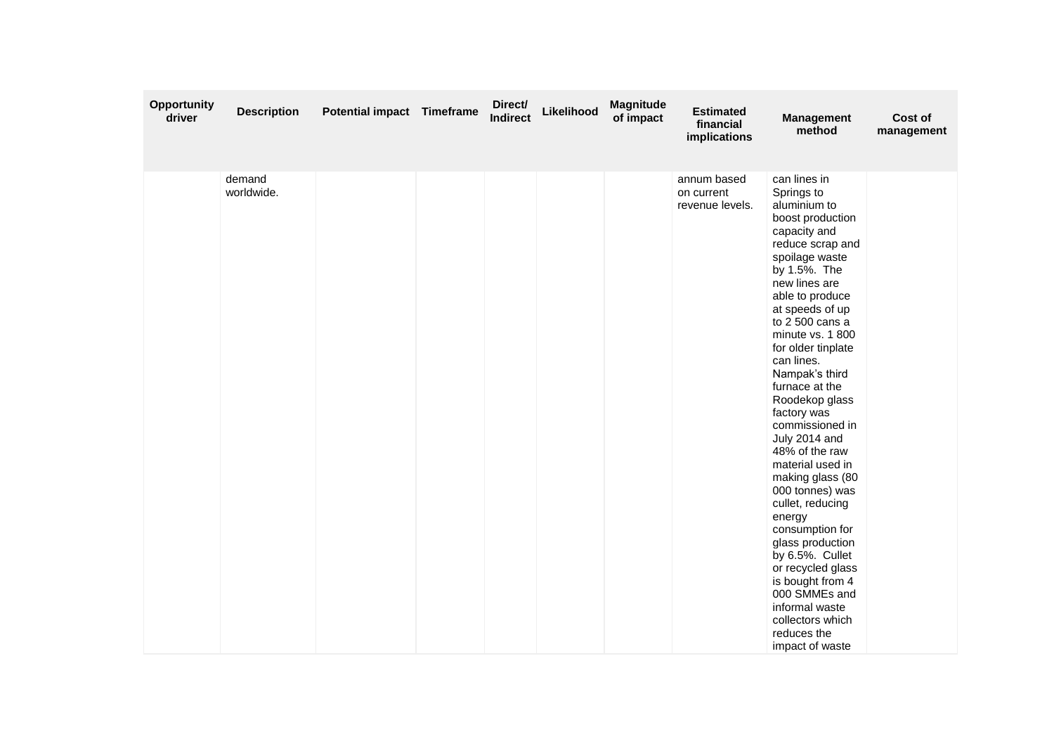| Opportunity<br>driver | <b>Description</b>   | Potential impact Timeframe | Direct/<br>Indirect | Likelihood | <b>Magnitude</b><br>of impact | <b>Estimated</b><br>financial<br>implications | <b>Management</b><br>method                                                                                                                                                                                                                                                                                                                                                                                                                                                                                                                                                                                                                                                           | Cost of<br>management |
|-----------------------|----------------------|----------------------------|---------------------|------------|-------------------------------|-----------------------------------------------|---------------------------------------------------------------------------------------------------------------------------------------------------------------------------------------------------------------------------------------------------------------------------------------------------------------------------------------------------------------------------------------------------------------------------------------------------------------------------------------------------------------------------------------------------------------------------------------------------------------------------------------------------------------------------------------|-----------------------|
|                       | demand<br>worldwide. |                            |                     |            |                               | annum based<br>on current<br>revenue levels.  | can lines in<br>Springs to<br>aluminium to<br>boost production<br>capacity and<br>reduce scrap and<br>spoilage waste<br>by 1.5%. The<br>new lines are<br>able to produce<br>at speeds of up<br>to 2 500 cans a<br>minute vs. 1800<br>for older tinplate<br>can lines.<br>Nampak's third<br>furnace at the<br>Roodekop glass<br>factory was<br>commissioned in<br>July 2014 and<br>48% of the raw<br>material used in<br>making glass (80<br>000 tonnes) was<br>cullet, reducing<br>energy<br>consumption for<br>glass production<br>by 6.5%. Cullet<br>or recycled glass<br>is bought from 4<br>000 SMMEs and<br>informal waste<br>collectors which<br>reduces the<br>impact of waste |                       |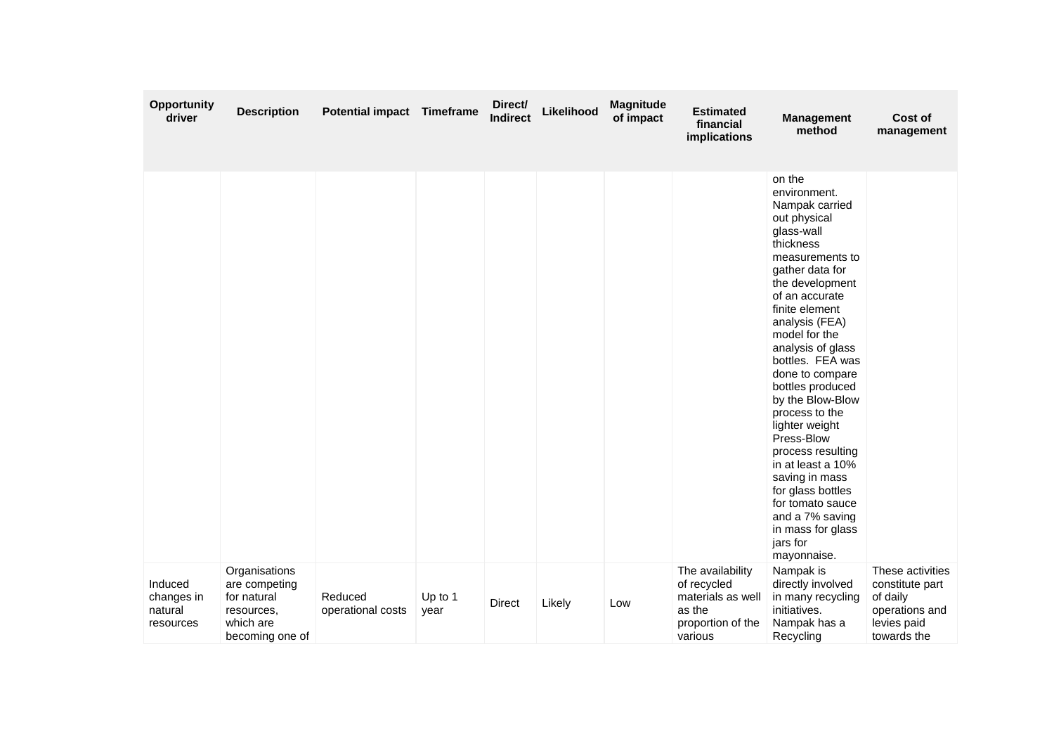| Opportunity<br>driver                         | <b>Description</b>                                                                          | <b>Potential impact Timeframe</b> |                 | Direct/<br><b>Indirect</b> | Likelihood | Magnitude<br>of impact | <b>Estimated</b><br>financial<br>implications                                                  | <b>Management</b><br>method                                                                                                                                                                                                                                                                                                                                                                                                                                                                                                                       | Cost of<br>management                                                                           |
|-----------------------------------------------|---------------------------------------------------------------------------------------------|-----------------------------------|-----------------|----------------------------|------------|------------------------|------------------------------------------------------------------------------------------------|---------------------------------------------------------------------------------------------------------------------------------------------------------------------------------------------------------------------------------------------------------------------------------------------------------------------------------------------------------------------------------------------------------------------------------------------------------------------------------------------------------------------------------------------------|-------------------------------------------------------------------------------------------------|
|                                               |                                                                                             |                                   |                 |                            |            |                        |                                                                                                | on the<br>environment.<br>Nampak carried<br>out physical<br>glass-wall<br>thickness<br>measurements to<br>gather data for<br>the development<br>of an accurate<br>finite element<br>analysis (FEA)<br>model for the<br>analysis of glass<br>bottles. FEA was<br>done to compare<br>bottles produced<br>by the Blow-Blow<br>process to the<br>lighter weight<br>Press-Blow<br>process resulting<br>in at least a 10%<br>saving in mass<br>for glass bottles<br>for tomato sauce<br>and a 7% saving<br>in mass for glass<br>jars for<br>mayonnaise. |                                                                                                 |
| Induced<br>changes in<br>natural<br>resources | Organisations<br>are competing<br>for natural<br>resources,<br>which are<br>becoming one of | Reduced<br>operational costs      | Up to 1<br>year | Direct                     | Likely     | Low                    | The availability<br>of recycled<br>materials as well<br>as the<br>proportion of the<br>various | Nampak is<br>directly involved<br>in many recycling<br>initiatives.<br>Nampak has a<br>Recycling                                                                                                                                                                                                                                                                                                                                                                                                                                                  | These activities<br>constitute part<br>of daily<br>operations and<br>levies paid<br>towards the |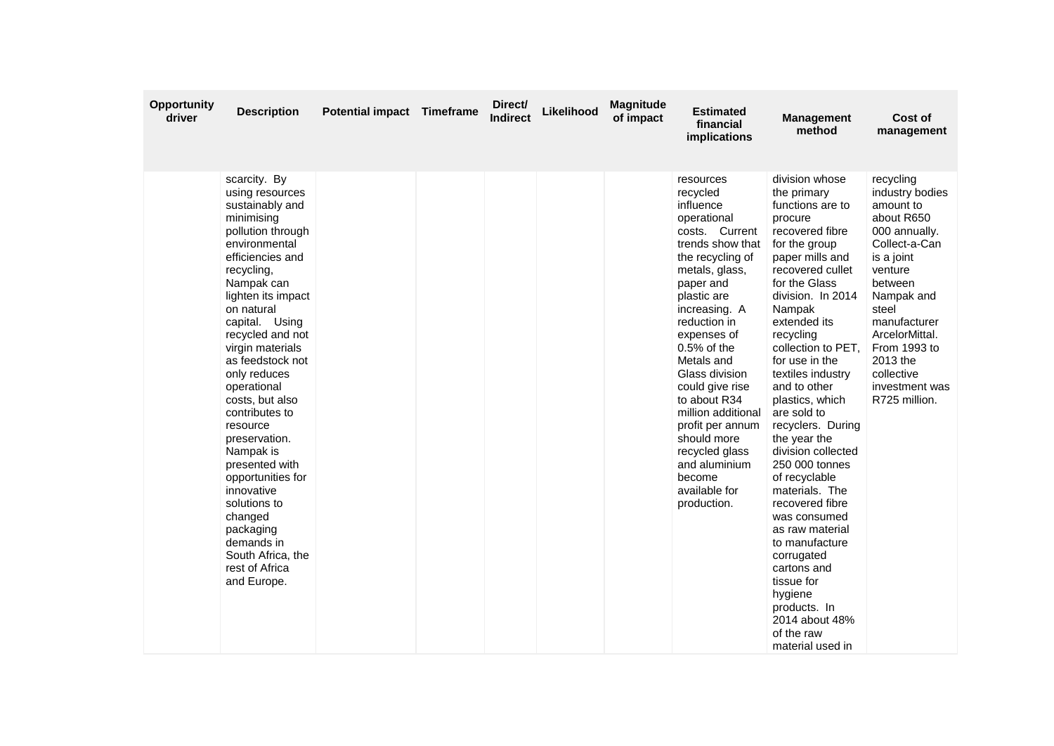| <b>Opportunity</b><br>driver | <b>Description</b>                                                                                                                                                                                                                                                                                                                                                                                                                                                                                                                                      | <b>Potential impact Timeframe</b> | Direct/<br>Indirect | Likelihood | <b>Magnitude</b><br>of impact | <b>Estimated</b><br>financial<br>implications                                                                                                                                                                                                                                                                                                                                                                                       | <b>Management</b><br>method                                                                                                                                                                                                                                                                                                                                                                                                                                                                                                                                                                                                                           | Cost of<br>management                                                                                                                                                                                                                                               |
|------------------------------|---------------------------------------------------------------------------------------------------------------------------------------------------------------------------------------------------------------------------------------------------------------------------------------------------------------------------------------------------------------------------------------------------------------------------------------------------------------------------------------------------------------------------------------------------------|-----------------------------------|---------------------|------------|-------------------------------|-------------------------------------------------------------------------------------------------------------------------------------------------------------------------------------------------------------------------------------------------------------------------------------------------------------------------------------------------------------------------------------------------------------------------------------|-------------------------------------------------------------------------------------------------------------------------------------------------------------------------------------------------------------------------------------------------------------------------------------------------------------------------------------------------------------------------------------------------------------------------------------------------------------------------------------------------------------------------------------------------------------------------------------------------------------------------------------------------------|---------------------------------------------------------------------------------------------------------------------------------------------------------------------------------------------------------------------------------------------------------------------|
|                              | scarcity. By<br>using resources<br>sustainably and<br>minimising<br>pollution through<br>environmental<br>efficiencies and<br>recycling,<br>Nampak can<br>lighten its impact<br>on natural<br>capital. Using<br>recycled and not<br>virgin materials<br>as feedstock not<br>only reduces<br>operational<br>costs, but also<br>contributes to<br>resource<br>preservation.<br>Nampak is<br>presented with<br>opportunities for<br>innovative<br>solutions to<br>changed<br>packaging<br>demands in<br>South Africa, the<br>rest of Africa<br>and Europe. |                                   |                     |            |                               | resources<br>recycled<br>influence<br>operational<br>costs. Current<br>trends show that<br>the recycling of<br>metals, glass,<br>paper and<br>plastic are<br>increasing. A<br>reduction in<br>expenses of<br>$0.5%$ of the<br>Metals and<br>Glass division<br>could give rise<br>to about R34<br>million additional<br>profit per annum<br>should more<br>recycled glass<br>and aluminium<br>become<br>available for<br>production. | division whose<br>the primary<br>functions are to<br>procure<br>recovered fibre<br>for the group<br>paper mills and<br>recovered cullet<br>for the Glass<br>division. In 2014<br>Nampak<br>extended its<br>recycling<br>collection to PET,<br>for use in the<br>textiles industry<br>and to other<br>plastics, which<br>are sold to<br>recyclers. During<br>the year the<br>division collected<br>250 000 tonnes<br>of recyclable<br>materials. The<br>recovered fibre<br>was consumed<br>as raw material<br>to manufacture<br>corrugated<br>cartons and<br>tissue for<br>hygiene<br>products. In<br>2014 about 48%<br>of the raw<br>material used in | recycling<br>industry bodies<br>amount to<br>about R650<br>000 annually.<br>Collect-a-Can<br>is a joint<br>venture<br>between<br>Nampak and<br>steel<br>manufacturer<br>ArcelorMittal.<br>From 1993 to<br>2013 the<br>collective<br>investment was<br>R725 million. |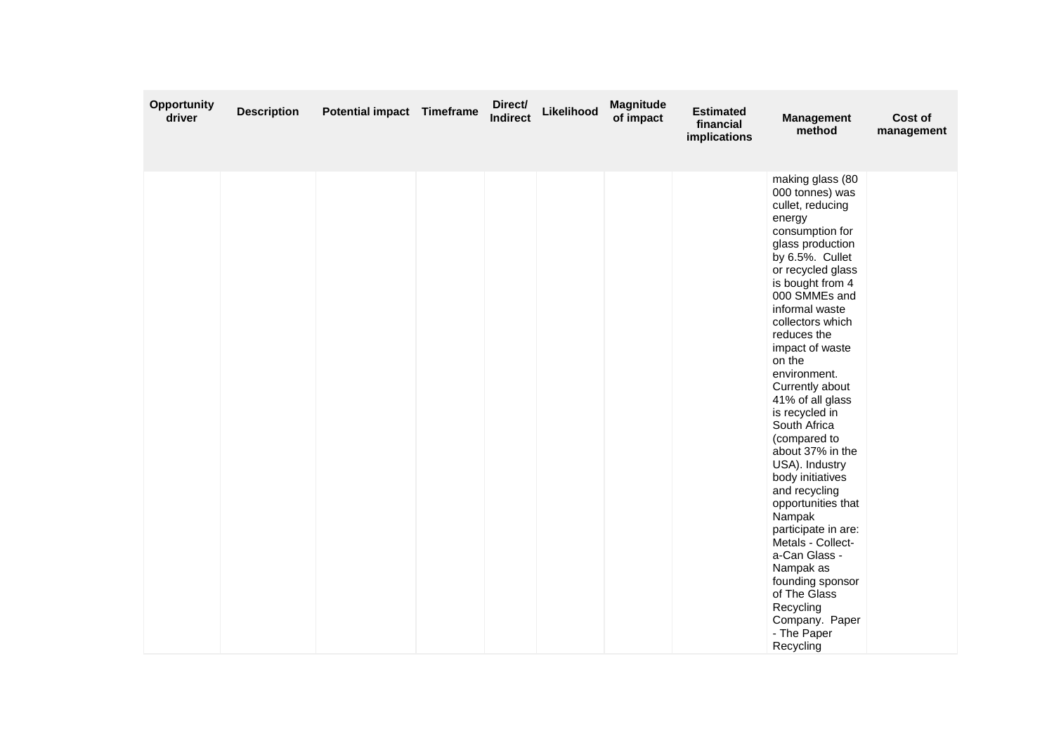| Opportunity<br>driver | <b>Description</b> | Potential impact Timeframe | Direct/<br><b>Indirect</b> | Likelihood | <b>Magnitude</b><br>of impact | <b>Estimated</b><br>financial<br>implications | <b>Management</b><br>method                                                                                                                                                                                                                                                                                                                                                                                                                                                                                                                                                                                                                                          | Cost of<br>management |
|-----------------------|--------------------|----------------------------|----------------------------|------------|-------------------------------|-----------------------------------------------|----------------------------------------------------------------------------------------------------------------------------------------------------------------------------------------------------------------------------------------------------------------------------------------------------------------------------------------------------------------------------------------------------------------------------------------------------------------------------------------------------------------------------------------------------------------------------------------------------------------------------------------------------------------------|-----------------------|
|                       |                    |                            |                            |            |                               |                                               | making glass (80<br>000 tonnes) was<br>cullet, reducing<br>energy<br>consumption for<br>glass production<br>by 6.5%. Cullet<br>or recycled glass<br>is bought from 4<br>000 SMMEs and<br>informal waste<br>collectors which<br>reduces the<br>impact of waste<br>on the<br>environment.<br>Currently about<br>41% of all glass<br>is recycled in<br>South Africa<br>(compared to<br>about 37% in the<br>USA). Industry<br>body initiatives<br>and recycling<br>opportunities that<br>Nampak<br>participate in are:<br>Metals - Collect-<br>a-Can Glass -<br>Nampak as<br>founding sponsor<br>of The Glass<br>Recycling<br>Company. Paper<br>- The Paper<br>Recycling |                       |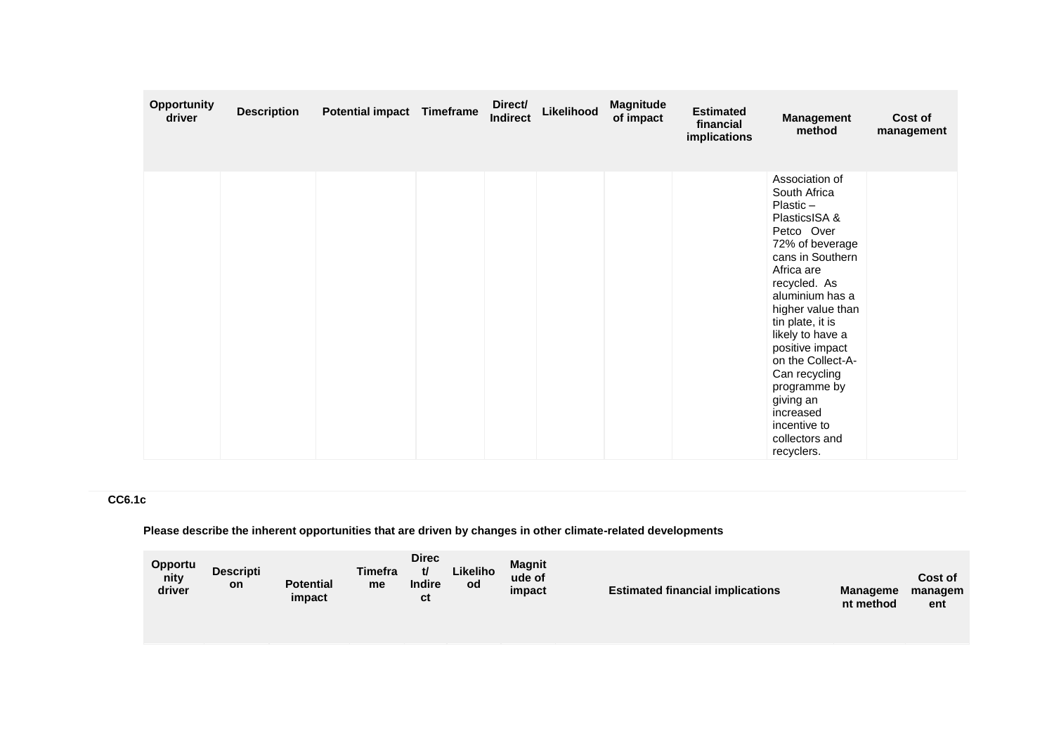| <b>Opportunity</b><br>driver | <b>Description</b> | <b>Potential impact Timeframe</b> | Direct/<br><b>Indirect</b> | Likelihood | <b>Magnitude</b><br>of impact | <b>Estimated</b><br>financial<br>implications | <b>Management</b><br>method                                                                                                                                                                                                                                                                                                                                                          | Cost of<br>management |
|------------------------------|--------------------|-----------------------------------|----------------------------|------------|-------------------------------|-----------------------------------------------|--------------------------------------------------------------------------------------------------------------------------------------------------------------------------------------------------------------------------------------------------------------------------------------------------------------------------------------------------------------------------------------|-----------------------|
|                              |                    |                                   |                            |            |                               |                                               | Association of<br>South Africa<br>$Plastic -$<br>PlasticsISA &<br>Petco Over<br>72% of beverage<br>cans in Southern<br>Africa are<br>recycled. As<br>aluminium has a<br>higher value than<br>tin plate, it is<br>likely to have a<br>positive impact<br>on the Collect-A-<br>Can recycling<br>programme by<br>giving an<br>increased<br>incentive to<br>collectors and<br>recyclers. |                       |

# **CC6.1c**

**Please describe the inherent opportunities that are driven by changes in other climate-related developments**

| <b>Opportu</b><br>nity<br>driver | <b>Descripti</b><br>on | <b>Potential</b><br>impact | <b>Timefra</b><br>me | <b>Direc</b><br>tl<br><b>Indire</b><br>ct | Likeliho<br>od | <b>Magnit</b><br>ude of<br>impact | <b>Estimated financial implications</b> | <b>Manageme</b><br>nt method | Cost of<br>managem<br>ent |
|----------------------------------|------------------------|----------------------------|----------------------|-------------------------------------------|----------------|-----------------------------------|-----------------------------------------|------------------------------|---------------------------|
|----------------------------------|------------------------|----------------------------|----------------------|-------------------------------------------|----------------|-----------------------------------|-----------------------------------------|------------------------------|---------------------------|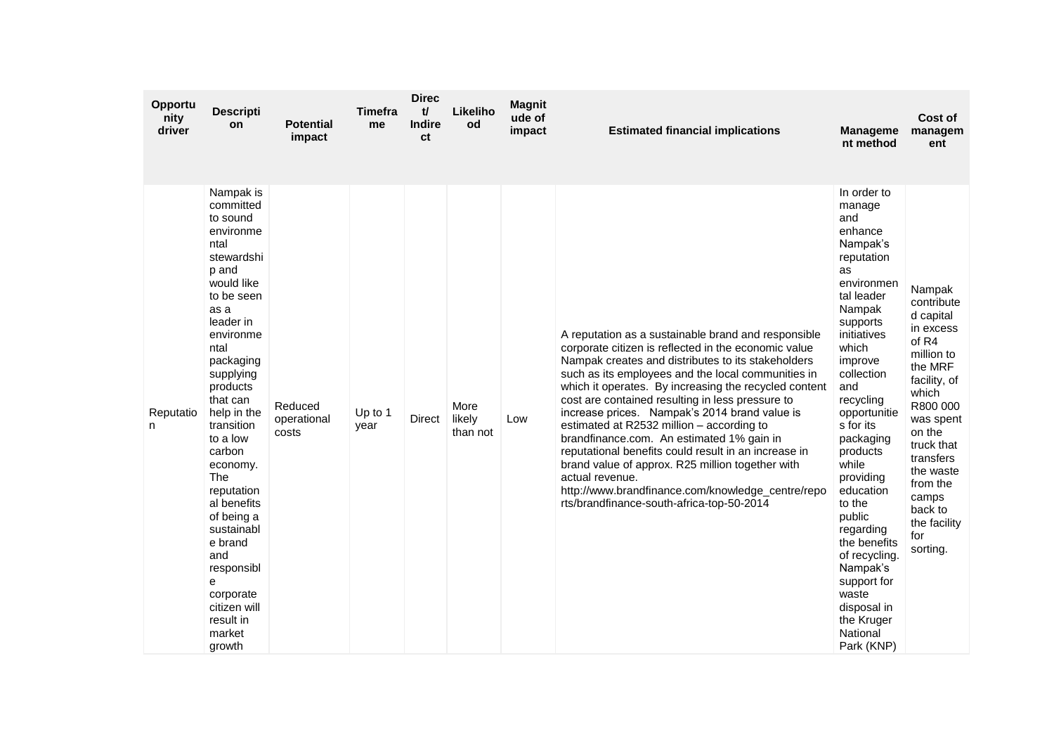| Opportu<br>nity<br>driver | <b>Descripti</b><br>on                                                                                                                                                                                                                                                                                                                                                                                                                          | <b>Potential</b><br>impact      | <b>Timefra</b><br>me | <b>Direc</b><br>tl<br><b>Indire</b><br><b>ct</b> | Likeliho<br>od             | <b>Magnit</b><br>ude of<br>impact | <b>Estimated financial implications</b>                                                                                                                                                                                                                                                                                                                                                                                                                                                                                                                                                                                                                                                                          | <b>Manageme</b><br>nt method                                                                                                                                                                                                                                                                                                                                                                                                                         | Cost of<br>managem<br>ent                                                                                                                                                                                                                               |
|---------------------------|-------------------------------------------------------------------------------------------------------------------------------------------------------------------------------------------------------------------------------------------------------------------------------------------------------------------------------------------------------------------------------------------------------------------------------------------------|---------------------------------|----------------------|--------------------------------------------------|----------------------------|-----------------------------------|------------------------------------------------------------------------------------------------------------------------------------------------------------------------------------------------------------------------------------------------------------------------------------------------------------------------------------------------------------------------------------------------------------------------------------------------------------------------------------------------------------------------------------------------------------------------------------------------------------------------------------------------------------------------------------------------------------------|------------------------------------------------------------------------------------------------------------------------------------------------------------------------------------------------------------------------------------------------------------------------------------------------------------------------------------------------------------------------------------------------------------------------------------------------------|---------------------------------------------------------------------------------------------------------------------------------------------------------------------------------------------------------------------------------------------------------|
| Reputatio<br>n.           | Nampak is<br>committed<br>to sound<br>environme<br>ntal<br>stewardshi<br>p and<br>would like<br>to be seen<br>as a<br>leader in<br>environme<br>ntal<br>packaging<br>supplying<br>products<br>that can<br>help in the<br>transition<br>to a low<br>carbon<br>economy.<br><b>The</b><br>reputation<br>al benefits<br>of being a<br>sustainabl<br>e brand<br>and<br>responsibl<br>е<br>corporate<br>citizen will<br>result in<br>market<br>growth | Reduced<br>operational<br>costs | Up to 1<br>year      | Direct                                           | More<br>likely<br>than not | Low                               | A reputation as a sustainable brand and responsible<br>corporate citizen is reflected in the economic value<br>Nampak creates and distributes to its stakeholders<br>such as its employees and the local communities in<br>which it operates. By increasing the recycled content<br>cost are contained resulting in less pressure to<br>increase prices. Nampak's 2014 brand value is<br>estimated at R2532 million - according to<br>brandfinance.com. An estimated 1% gain in<br>reputational benefits could result in an increase in<br>brand value of approx. R25 million together with<br>actual revenue.<br>http://www.brandfinance.com/knowledge_centre/repo<br>rts/brandfinance-south-africa-top-50-2014 | In order to<br>manage<br>and<br>enhance<br>Nampak's<br>reputation<br>as<br>environmen<br>tal leader<br>Nampak<br>supports<br>initiatives<br>which<br>improve<br>collection<br>and<br>recycling<br>opportunitie<br>s for its<br>packaging<br>products<br>while<br>providing<br>education<br>to the<br>public<br>regarding<br>the benefits<br>of recycling.<br>Nampak's<br>support for<br>waste<br>disposal in<br>the Kruger<br>National<br>Park (KNP) | Nampak<br>contribute<br>d capital<br>in excess<br>of R4<br>million to<br>the MRF<br>facility, of<br>which<br>R800 000<br>was spent<br>on the<br>truck that<br>transfers<br>the waste<br>from the<br>camps<br>back to<br>the facility<br>for<br>sorting. |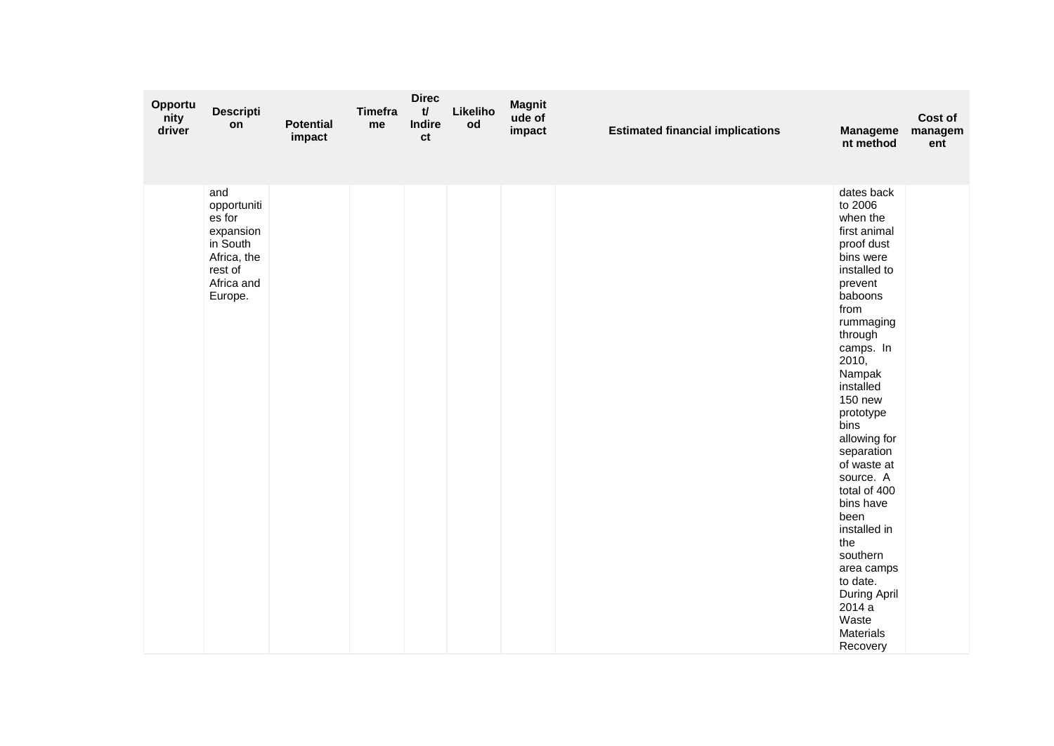| Opportu<br>nity<br>driver | <b>Descripti</b><br>on                                                                                   | <b>Potential</b><br>impact | Timefra<br>me | <b>Direc</b><br>$\mathbf{t}$<br><b>Indire</b><br>ct | Likeliho<br>od | <b>Magnit</b><br>ude of<br>impact | <b>Estimated financial implications</b> | <b>Manageme</b><br>nt method                                                                                                                                                                                                                                                                                                                                                                                                                                         | Cost of<br>managem<br>ent |
|---------------------------|----------------------------------------------------------------------------------------------------------|----------------------------|---------------|-----------------------------------------------------|----------------|-----------------------------------|-----------------------------------------|----------------------------------------------------------------------------------------------------------------------------------------------------------------------------------------------------------------------------------------------------------------------------------------------------------------------------------------------------------------------------------------------------------------------------------------------------------------------|---------------------------|
|                           | and<br>opportuniti<br>es for<br>expansion<br>in South<br>Africa, the<br>rest of<br>Africa and<br>Europe. |                            |               |                                                     |                |                                   |                                         | dates back<br>to 2006<br>when the<br>first animal<br>proof dust<br>bins were<br>installed to<br>prevent<br>baboons<br>from<br>rummaging<br>through<br>camps. In<br>2010,<br>Nampak<br>installed<br><b>150 new</b><br>prototype<br>bins<br>allowing for<br>separation<br>of waste at<br>source. A<br>total of 400<br>bins have<br>been<br>installed in<br>the<br>southern<br>area camps<br>to date.<br>During April<br>2014a<br>Waste<br><b>Materials</b><br>Recovery |                           |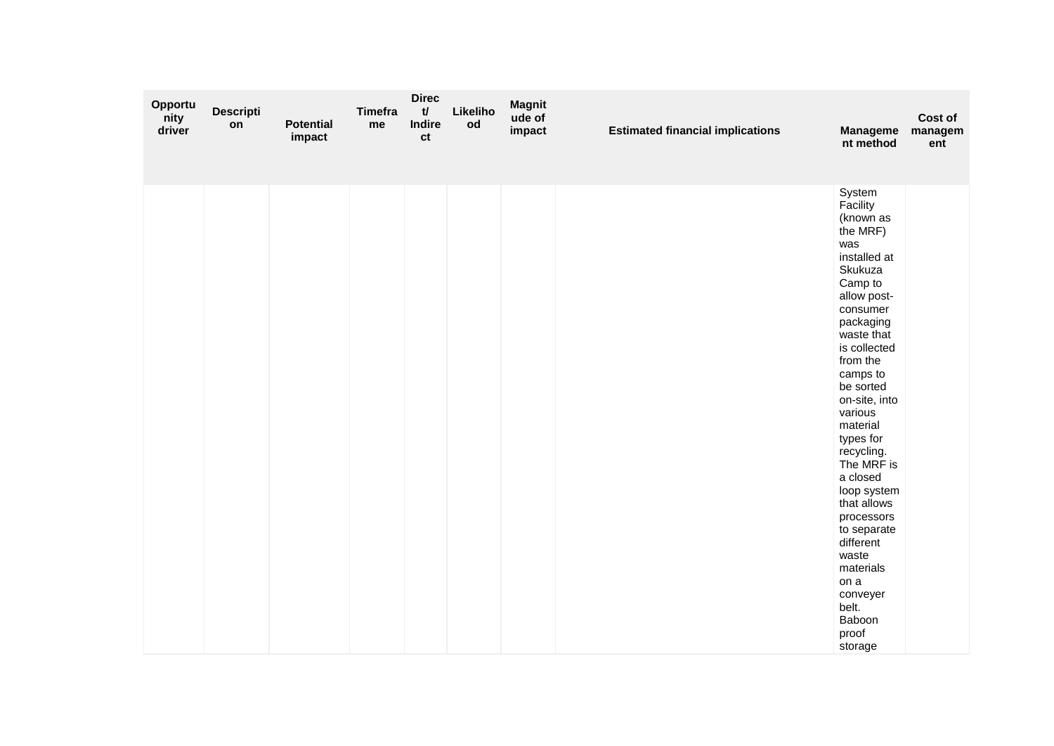| Opportu<br>nity<br>driver | <b>Descripti</b><br>on | <b>Potential</b><br>impact | Timefra<br>me | <b>Direc</b><br>t/<br><b>Indire</b><br>ct | Likeliho<br>od | <b>Magnit</b><br>ude of<br>impact | <b>Estimated financial implications</b> | <b>Manageme</b><br>nt method                                                                                                                                                                                                                                                                                                                                                                                                                              | Cost of<br>managem<br>ent |
|---------------------------|------------------------|----------------------------|---------------|-------------------------------------------|----------------|-----------------------------------|-----------------------------------------|-----------------------------------------------------------------------------------------------------------------------------------------------------------------------------------------------------------------------------------------------------------------------------------------------------------------------------------------------------------------------------------------------------------------------------------------------------------|---------------------------|
|                           |                        |                            |               |                                           |                |                                   |                                         | System<br>Facility<br>(known as<br>the MRF)<br>was<br>installed at<br>Skukuza<br>Camp to<br>allow post-<br>consumer<br>packaging<br>waste that<br>is collected<br>from the<br>camps to<br>be sorted<br>on-site, into<br>various<br>material<br>types for<br>recycling.<br>The MRF is<br>a closed<br>loop system<br>that allows<br>processors<br>to separate<br>different<br>waste<br>materials<br>on a<br>conveyer<br>belt.<br>Baboon<br>proof<br>storage |                           |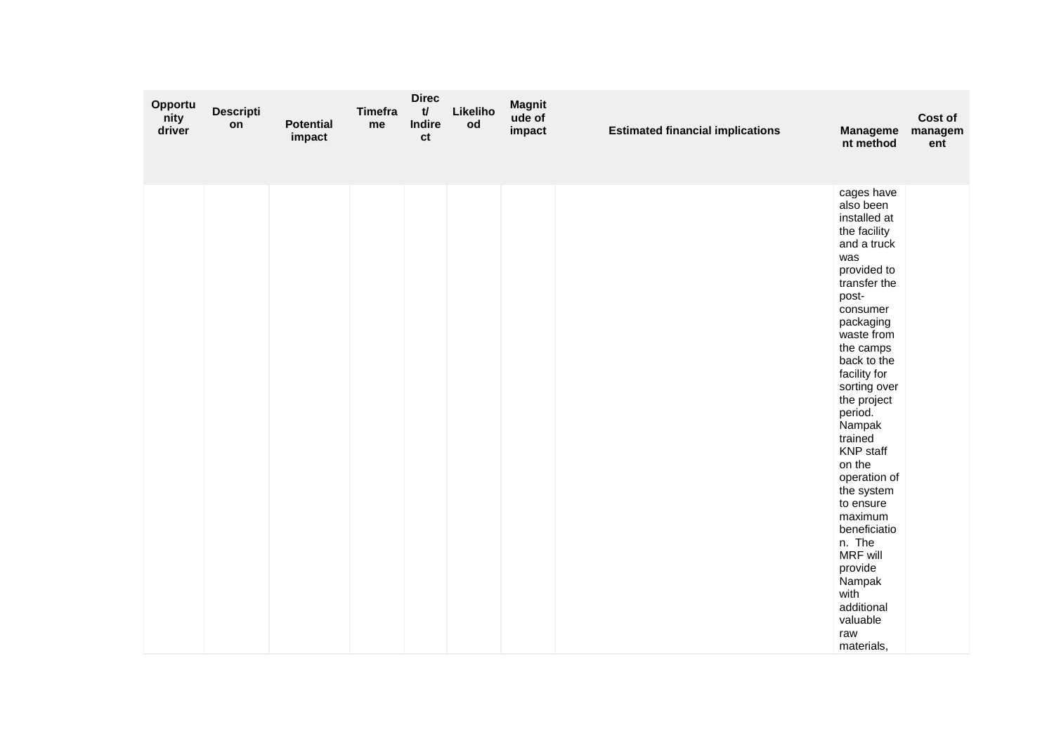| Opportu<br>nity<br>driver | <b>Descripti</b><br>on | <b>Potential</b><br>impact | <b>Timefra</b><br>me | <b>Direc</b><br>t/<br>Indire<br>ct | Likeliho<br>od | <b>Magnit</b><br>ude of<br>impact | <b>Estimated financial implications</b> | <b>Manageme</b><br>nt method                                                                                                                                                                                                                                                                                                                                                                                                                                                  | Cost of<br>managem<br>ent |
|---------------------------|------------------------|----------------------------|----------------------|------------------------------------|----------------|-----------------------------------|-----------------------------------------|-------------------------------------------------------------------------------------------------------------------------------------------------------------------------------------------------------------------------------------------------------------------------------------------------------------------------------------------------------------------------------------------------------------------------------------------------------------------------------|---------------------------|
|                           |                        |                            |                      |                                    |                |                                   |                                         | cages have<br>also been<br>installed at<br>the facility<br>and a truck<br>was<br>provided to<br>transfer the<br>post-<br>consumer<br>packaging<br>waste from<br>the camps<br>back to the<br>facility for<br>sorting over<br>the project<br>period.<br>Nampak<br>trained<br><b>KNP</b> staff<br>on the<br>operation of<br>the system<br>to ensure<br>maximum<br>beneficiatio<br>n. The<br>MRF will<br>provide<br>Nampak<br>with<br>additional<br>valuable<br>raw<br>materials, |                           |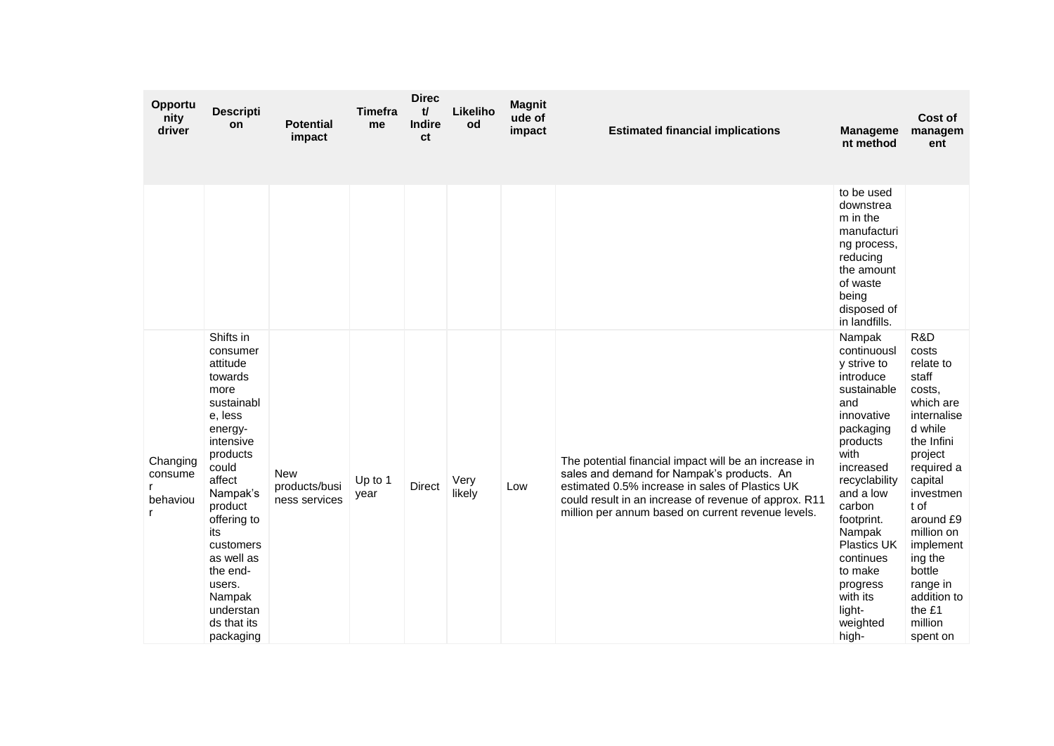| Opportu<br>nity<br>driver       | <b>Descripti</b><br>on                                                                                                                                                                                                                                                                | <b>Potential</b><br>impact                   | <b>Timefra</b><br>me | <b>Direc</b><br>$\mathbf{t}$<br><b>Indire</b><br>ct | Likeliho<br>od | <b>Magnit</b><br>ude of<br>impact | <b>Estimated financial implications</b>                                                                                                                                                                                                                               | <b>Manageme</b><br>nt method                                                                                                                                                                                                                                                                             | Cost of<br>managem<br>ent                                                                                                                                                                                                                                                           |
|---------------------------------|---------------------------------------------------------------------------------------------------------------------------------------------------------------------------------------------------------------------------------------------------------------------------------------|----------------------------------------------|----------------------|-----------------------------------------------------|----------------|-----------------------------------|-----------------------------------------------------------------------------------------------------------------------------------------------------------------------------------------------------------------------------------------------------------------------|----------------------------------------------------------------------------------------------------------------------------------------------------------------------------------------------------------------------------------------------------------------------------------------------------------|-------------------------------------------------------------------------------------------------------------------------------------------------------------------------------------------------------------------------------------------------------------------------------------|
|                                 |                                                                                                                                                                                                                                                                                       |                                              |                      |                                                     |                |                                   |                                                                                                                                                                                                                                                                       | to be used<br>downstrea<br>m in the<br>manufacturi<br>ng process,<br>reducing<br>the amount<br>of waste<br>being<br>disposed of<br>in landfills.                                                                                                                                                         |                                                                                                                                                                                                                                                                                     |
| Changing<br>consume<br>behaviou | Shifts in<br>consumer<br>attitude<br>towards<br>more<br>sustainabl<br>e, less<br>energy-<br>intensive<br>products<br>could<br>affect<br>Nampak's<br>product<br>offering to<br>its<br>customers<br>as well as<br>the end-<br>users.<br>Nampak<br>understan<br>ds that its<br>packaging | <b>New</b><br>products/busi<br>ness services | Up to 1<br>year      | <b>Direct</b>                                       | Very<br>likely | Low                               | The potential financial impact will be an increase in<br>sales and demand for Nampak's products. An<br>estimated 0.5% increase in sales of Plastics UK<br>could result in an increase of revenue of approx. R11<br>million per annum based on current revenue levels. | Nampak<br>continuousl<br>y strive to<br>introduce<br>sustainable<br>and<br>innovative<br>packaging<br>products<br>with<br>increased<br>recyclability<br>and a low<br>carbon<br>footprint.<br>Nampak<br><b>Plastics UK</b><br>continues<br>to make<br>progress<br>with its<br>light-<br>weighted<br>high- | R&D<br>costs<br>relate to<br>staff<br>costs.<br>which are<br>internalise<br>d while<br>the Infini<br>project<br>required a<br>capital<br>investmen<br>t of<br>around £9<br>million on<br>implement<br>ing the<br>bottle<br>range in<br>addition to<br>the £1<br>million<br>spent on |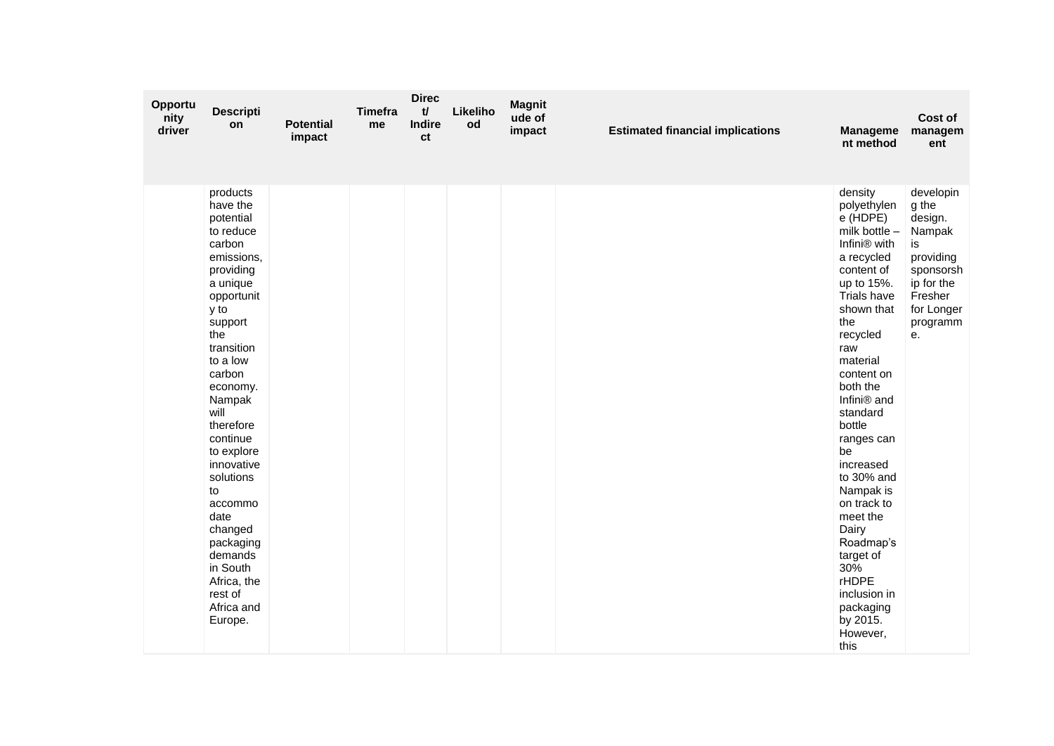| Opportu<br>nity<br>driver | <b>Descripti</b><br>on                                                                                                                                                                                                                                                                                                                                                                                 | <b>Potential</b><br>impact | <b>Timefra</b><br>me | <b>Direc</b><br>$\mathbf{t}$<br>Indire<br>ct | Likeliho<br>od | <b>Magnit</b><br>ude of<br>impact | <b>Estimated financial implications</b> | <b>Manageme</b><br>nt method                                                                                                                                                                                                                                                                                                                                                                                                                                                   | Cost of<br>managem<br>ent                                                                                                        |
|---------------------------|--------------------------------------------------------------------------------------------------------------------------------------------------------------------------------------------------------------------------------------------------------------------------------------------------------------------------------------------------------------------------------------------------------|----------------------------|----------------------|----------------------------------------------|----------------|-----------------------------------|-----------------------------------------|--------------------------------------------------------------------------------------------------------------------------------------------------------------------------------------------------------------------------------------------------------------------------------------------------------------------------------------------------------------------------------------------------------------------------------------------------------------------------------|----------------------------------------------------------------------------------------------------------------------------------|
|                           | products<br>have the<br>potential<br>to reduce<br>carbon<br>emissions,<br>providing<br>a unique<br>opportunit<br>y to<br>support<br>the<br>transition<br>to a low<br>carbon<br>economy.<br>Nampak<br>will<br>therefore<br>continue<br>to explore<br>innovative<br>solutions<br>to<br>accommo<br>date<br>changed<br>packaging<br>demands<br>in South<br>Africa, the<br>rest of<br>Africa and<br>Europe. |                            |                      |                                              |                |                                   |                                         | density<br>polyethylen<br>e (HDPE)<br>milk bottle $-$<br>Infini <sup>®</sup> with<br>a recycled<br>content of<br>up to 15%.<br>Trials have<br>shown that<br>the<br>recycled<br>raw<br>material<br>content on<br>both the<br>Infini® and<br>standard<br>bottle<br>ranges can<br>be<br>increased<br>to 30% and<br>Nampak is<br>on track to<br>meet the<br>Dairy<br>Roadmap's<br>target of<br>$30\%$<br><b>rHDPE</b><br>inclusion in<br>packaging<br>by 2015.<br>However,<br>this | developin<br>g the<br>design.<br>Nampak<br>is<br>providing<br>sponsorsh<br>ip for the<br>Fresher<br>for Longer<br>programm<br>e. |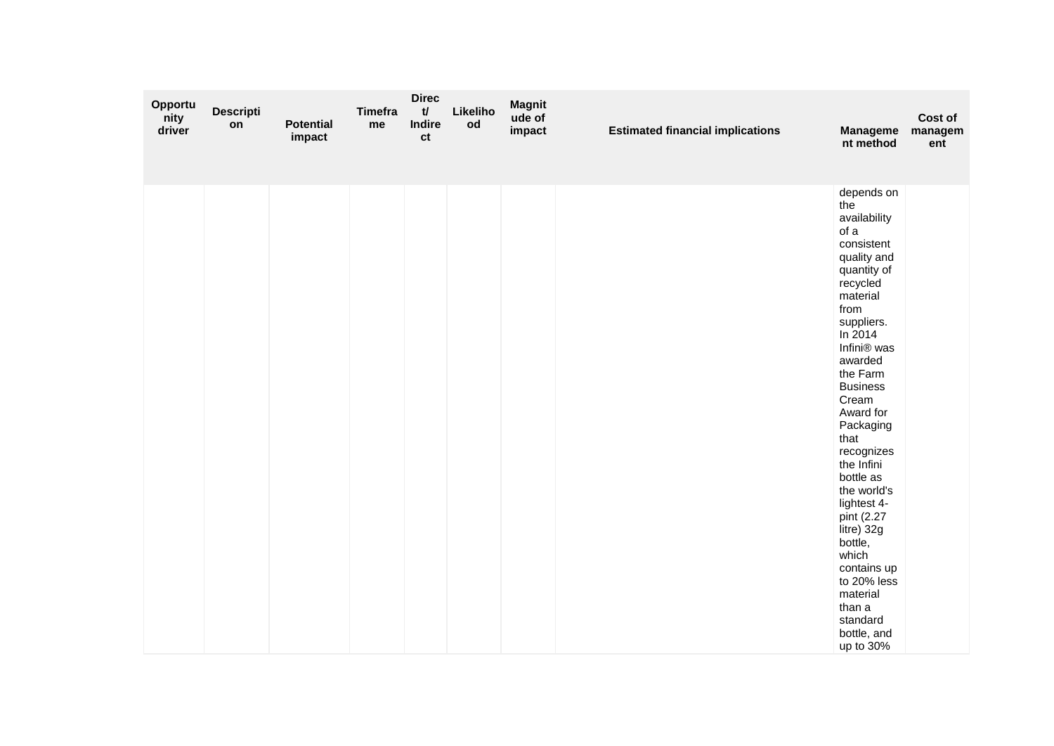| Opportu<br>nity<br>driver | <b>Descripti</b><br>on | <b>Potential</b><br>impact | <b>Timefra</b><br>me | <b>Direc</b><br>t/<br>Indire<br>ct | Likeliho<br>od | <b>Magnit</b><br>ude of<br>impact | <b>Estimated financial implications</b> | <b>Manageme</b><br>nt method                                                                                                                                                                                                                                                                                                                                                                                                                                          | Cost of<br>managem<br>ent |
|---------------------------|------------------------|----------------------------|----------------------|------------------------------------|----------------|-----------------------------------|-----------------------------------------|-----------------------------------------------------------------------------------------------------------------------------------------------------------------------------------------------------------------------------------------------------------------------------------------------------------------------------------------------------------------------------------------------------------------------------------------------------------------------|---------------------------|
|                           |                        |                            |                      |                                    |                |                                   |                                         | depends on<br>the<br>availability<br>of a<br>consistent<br>quality and<br>quantity of<br>recycled<br>material<br>from<br>suppliers.<br>In 2014<br>Infini® was<br>awarded<br>the Farm<br><b>Business</b><br>Cream<br>Award for<br>Packaging<br>that<br>recognizes<br>the Infini<br>bottle as<br>the world's<br>lightest 4-<br>pint (2.27<br>litre) 32g<br>bottle,<br>which<br>contains up<br>to 20% less<br>material<br>than a<br>standard<br>bottle, and<br>up to 30% |                           |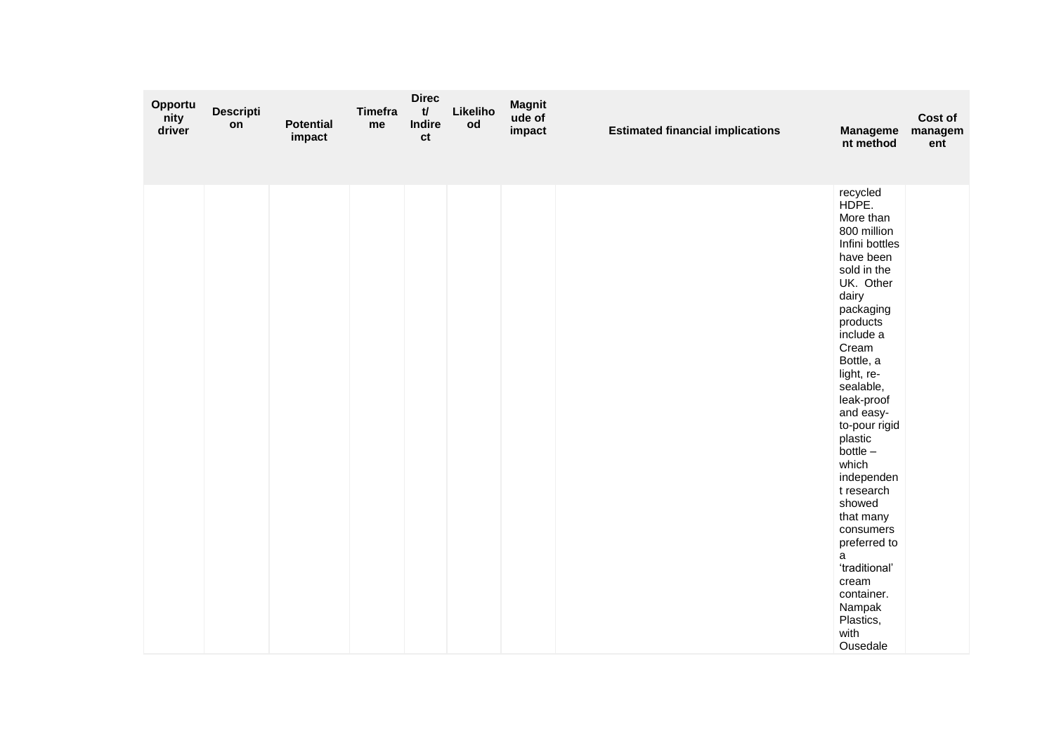| Opportu<br>nity<br>driver | <b>Descripti</b><br>on | <b>Potential</b><br>impact | <b>Timefra</b><br>me | <b>Direc</b><br>$\mathbf{t}$<br>Indire<br>ct | Likeliho<br>od | <b>Magnit</b><br>ude of<br>impact | <b>Estimated financial implications</b> | <b>Manageme</b><br>nt method                                                                                                                                                                                                                                                                                                                                                                                                                                   | Cost of<br>managem<br>ent |
|---------------------------|------------------------|----------------------------|----------------------|----------------------------------------------|----------------|-----------------------------------|-----------------------------------------|----------------------------------------------------------------------------------------------------------------------------------------------------------------------------------------------------------------------------------------------------------------------------------------------------------------------------------------------------------------------------------------------------------------------------------------------------------------|---------------------------|
|                           |                        |                            |                      |                                              |                |                                   |                                         | recycled<br>HDPE.<br>More than<br>800 million<br>Infini bottles<br>have been<br>sold in the<br>UK. Other<br>dairy<br>packaging<br>products<br>include a<br>Cream<br>Bottle, a<br>light, re-<br>sealable,<br>leak-proof<br>and easy-<br>to-pour rigid<br>plastic<br>$bottle -$<br>which<br>independen<br>t research<br>showed<br>that many<br>consumers<br>preferred to<br>a<br>'traditional'<br>cream<br>container.<br>Nampak<br>Plastics,<br>with<br>Ousedale |                           |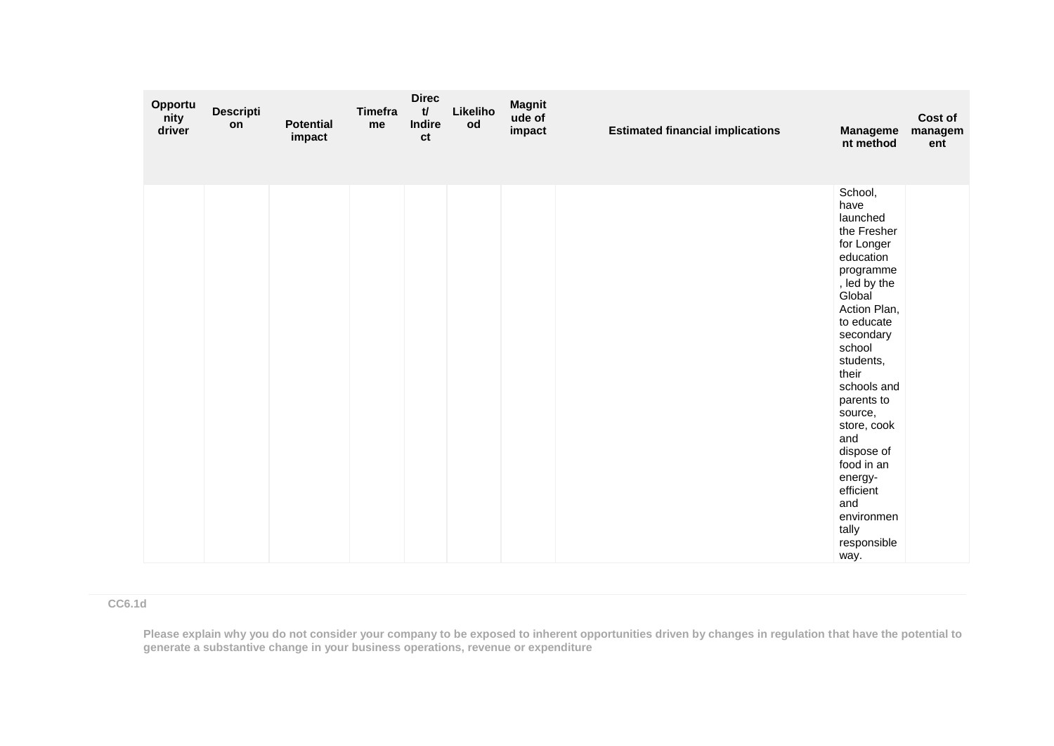| Opportu<br>nity<br>driver | <b>Descripti</b><br>on | <b>Potential</b><br>impact | <b>Timefra</b><br>me | <b>Direc</b><br>t<br>Indire<br>ct | Likeliho<br>od | <b>Magnit</b><br>ude of<br>impact | <b>Estimated financial implications</b> | <b>Manageme</b><br>nt method                                                                                                                                                                                                                                                                                                                                   | Cost of<br>managem<br>ent |
|---------------------------|------------------------|----------------------------|----------------------|-----------------------------------|----------------|-----------------------------------|-----------------------------------------|----------------------------------------------------------------------------------------------------------------------------------------------------------------------------------------------------------------------------------------------------------------------------------------------------------------------------------------------------------------|---------------------------|
|                           |                        |                            |                      |                                   |                |                                   |                                         | School,<br>have<br>launched<br>the Fresher<br>for Longer<br>education<br>programme<br>, led by the<br>Global<br>Action Plan,<br>to educate<br>secondary<br>school<br>students,<br>their<br>schools and<br>parents to<br>source,<br>store, cook<br>and<br>dispose of<br>food in an<br>energy-<br>efficient<br>and<br>environmen<br>tally<br>responsible<br>way. |                           |

**CC6.1d**

**Please explain why you do not consider your company to be exposed to inherent opportunities driven by changes in regulation that have the potential to generate a substantive change in your business operations, revenue or expenditure**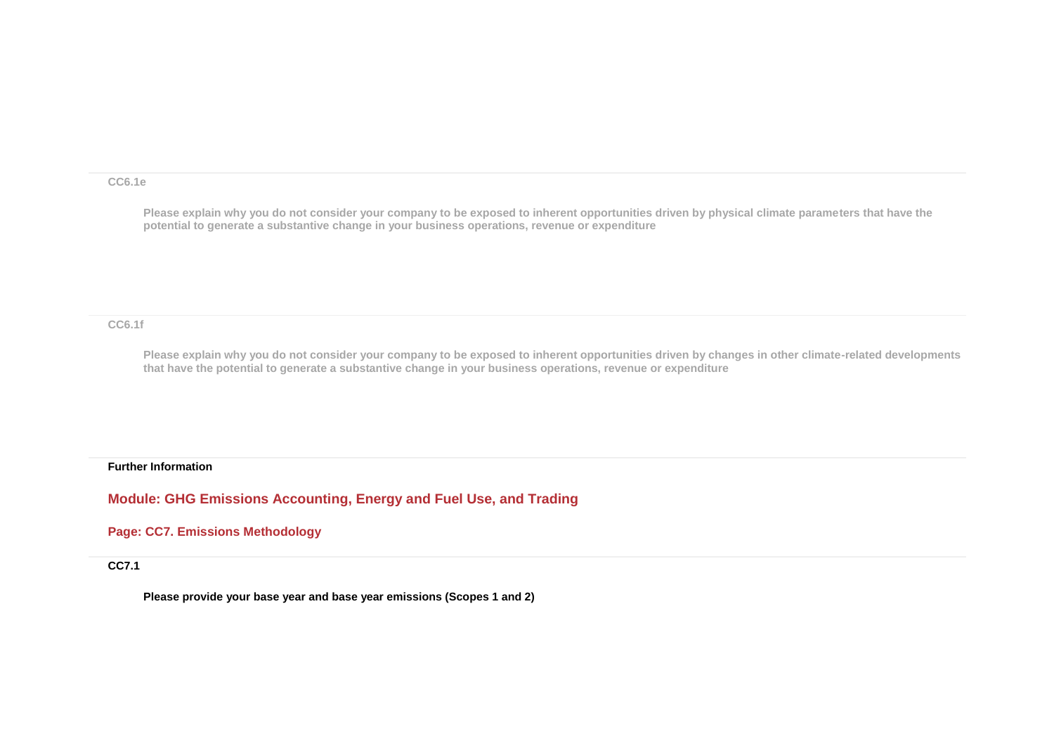#### **CC6.1e**

**Please explain why you do not consider your company to be exposed to inherent opportunities driven by physical climate parameters that have the potential to generate a substantive change in your business operations, revenue or expenditure**

#### **CC6.1f**

**Please explain why you do not consider your company to be exposed to inherent opportunities driven by changes in other climate-related developments that have the potential to generate a substantive change in your business operations, revenue or expenditure**

#### **Further Information**

**Module: GHG Emissions Accounting, Energy and Fuel Use, and Trading**

**Page: CC7. Emissions Methodology**

**CC7.1**

**Please provide your base year and base year emissions (Scopes 1 and 2)**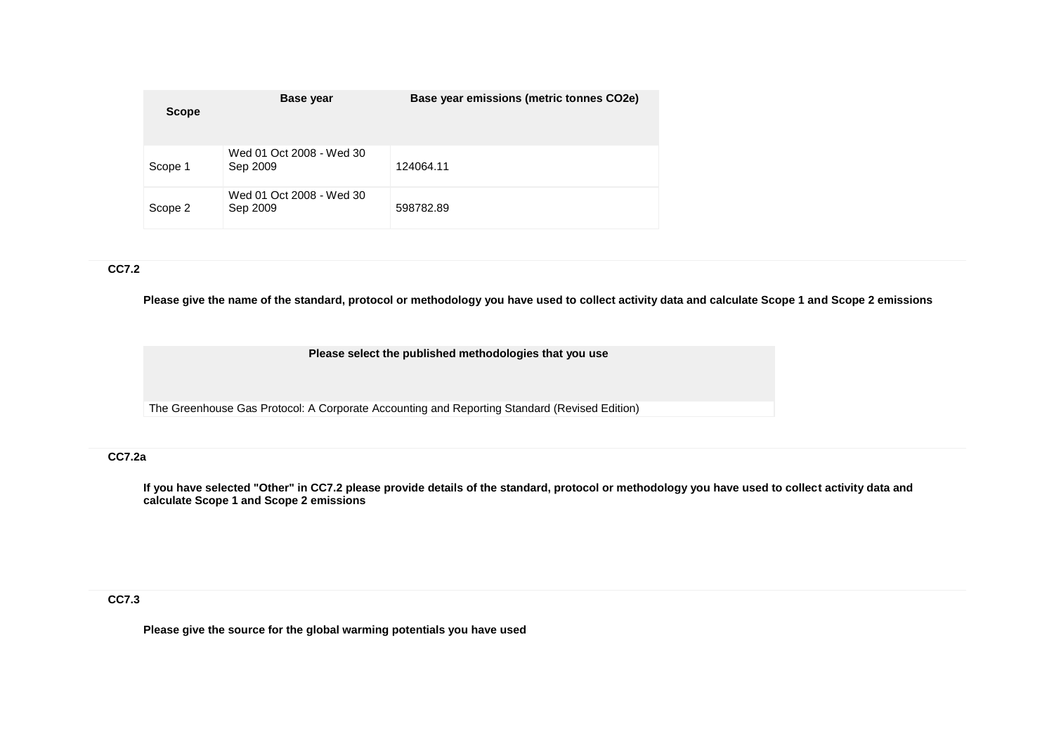| <b>Scope</b> | <b>Base year</b>                     | Base year emissions (metric tonnes CO2e) |
|--------------|--------------------------------------|------------------------------------------|
| Scope 1      | Wed 01 Oct 2008 - Wed 30<br>Sep 2009 | 124064.11                                |
| Scope 2      | Wed 01 Oct 2008 - Wed 30<br>Sep 2009 | 598782.89                                |

## **CC7.2**

**Please give the name of the standard, protocol or methodology you have used to collect activity data and calculate Scope 1 and Scope 2 emissions** 

**Please select the published methodologies that you use**

The Greenhouse Gas Protocol: A Corporate Accounting and Reporting Standard (Revised Edition)

# **CC7.2a**

**If you have selected "Other" in CC7.2 please provide details of the standard, protocol or methodology you have used to collect activity data and calculate Scope 1 and Scope 2 emissions**

**CC7.3**

**Please give the source for the global warming potentials you have used**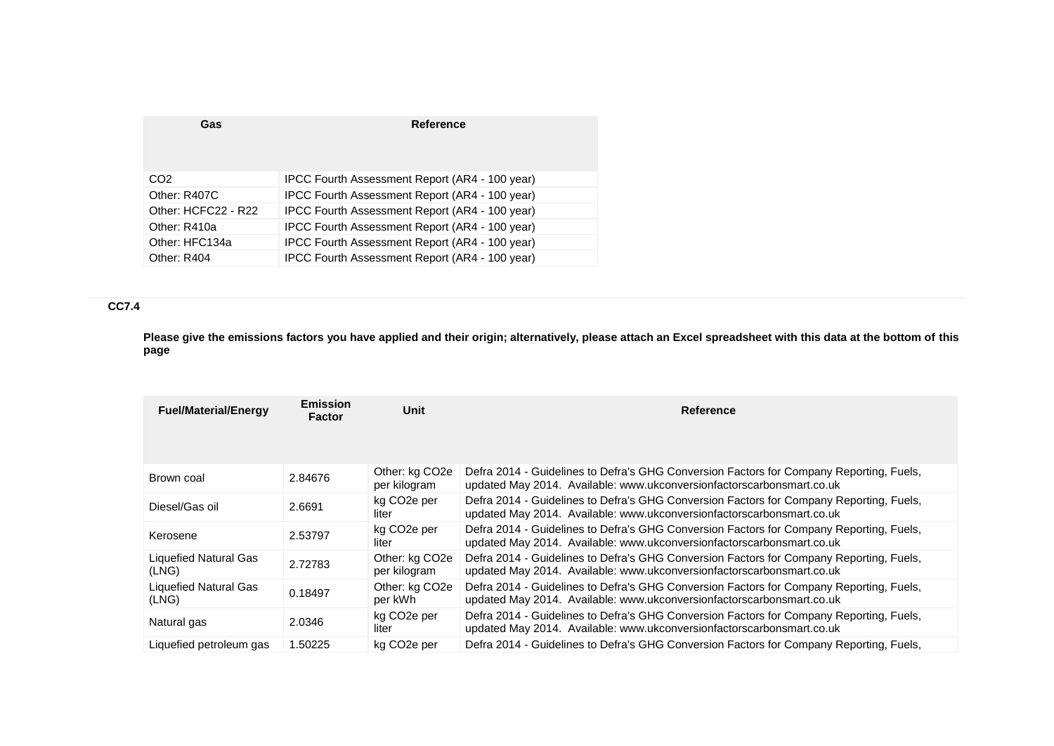| Gas                 | <b>Reference</b>                               |
|---------------------|------------------------------------------------|
| CO2                 | IPCC Fourth Assessment Report (AR4 - 100 year) |
| Other: R407C        | IPCC Fourth Assessment Report (AR4 - 100 year) |
| Other: HCFC22 - R22 | IPCC Fourth Assessment Report (AR4 - 100 year) |
| Other: R410a        | IPCC Fourth Assessment Report (AR4 - 100 year) |
| Other: HFC134a      | IPCC Fourth Assessment Report (AR4 - 100 year) |
| Other: R404         | IPCC Fourth Assessment Report (AR4 - 100 year) |
|                     |                                                |

# **CC7.4**

**Please give the emissions factors you have applied and their origin; alternatively, please attach an Excel spreadsheet with this data at the bottom of this page**

| <b>Fuel/Material/Energy</b>           | <b>Emission</b><br>Factor | Unit                                        | Reference                                                                                                                                                        |
|---------------------------------------|---------------------------|---------------------------------------------|------------------------------------------------------------------------------------------------------------------------------------------------------------------|
|                                       |                           |                                             |                                                                                                                                                                  |
| Brown coal                            | 2.84676                   | Other: kg CO <sub>2</sub> e<br>per kilogram | Defra 2014 - Guidelines to Defra's GHG Conversion Factors for Company Reporting, Fuels,<br>updated May 2014. Available: www.ukconversionfactorscarbonsmart.co.uk |
| Diesel/Gas oil                        | 2.6691                    | kg CO <sub>2</sub> e per<br>liter           | Defra 2014 - Guidelines to Defra's GHG Conversion Factors for Company Reporting, Fuels,<br>updated May 2014. Available: www.ukconversionfactorscarbonsmart.co.uk |
| Kerosene                              | 2.53797                   | kg CO <sub>2</sub> e per<br>liter           | Defra 2014 - Guidelines to Defra's GHG Conversion Factors for Company Reporting, Fuels,<br>updated May 2014. Available: www.ukconversionfactorscarbonsmart.co.uk |
| <b>Liquefied Natural Gas</b><br>(LNG) | 2.72783                   | Other: kg CO <sub>2</sub> e<br>per kilogram | Defra 2014 - Guidelines to Defra's GHG Conversion Factors for Company Reporting, Fuels,<br>updated May 2014. Available: www.ukconversionfactorscarbonsmart.co.uk |
| Liquefied Natural Gas<br>(LNG)        | 0.18497                   | Other: kg CO <sub>2</sub> e<br>per kWh      | Defra 2014 - Guidelines to Defra's GHG Conversion Factors for Company Reporting, Fuels,<br>updated May 2014. Available: www.ukconversionfactorscarbonsmart.co.uk |
| Natural gas                           | 2.0346                    | kg CO <sub>2</sub> e per<br>liter           | Defra 2014 - Guidelines to Defra's GHG Conversion Factors for Company Reporting, Fuels,<br>updated May 2014. Available: www.ukconversionfactorscarbonsmart.co.uk |
| Liquefied petroleum gas               | 1.50225                   | kg CO <sub>2</sub> e per                    | Defra 2014 - Guidelines to Defra's GHG Conversion Factors for Company Reporting, Fuels,                                                                          |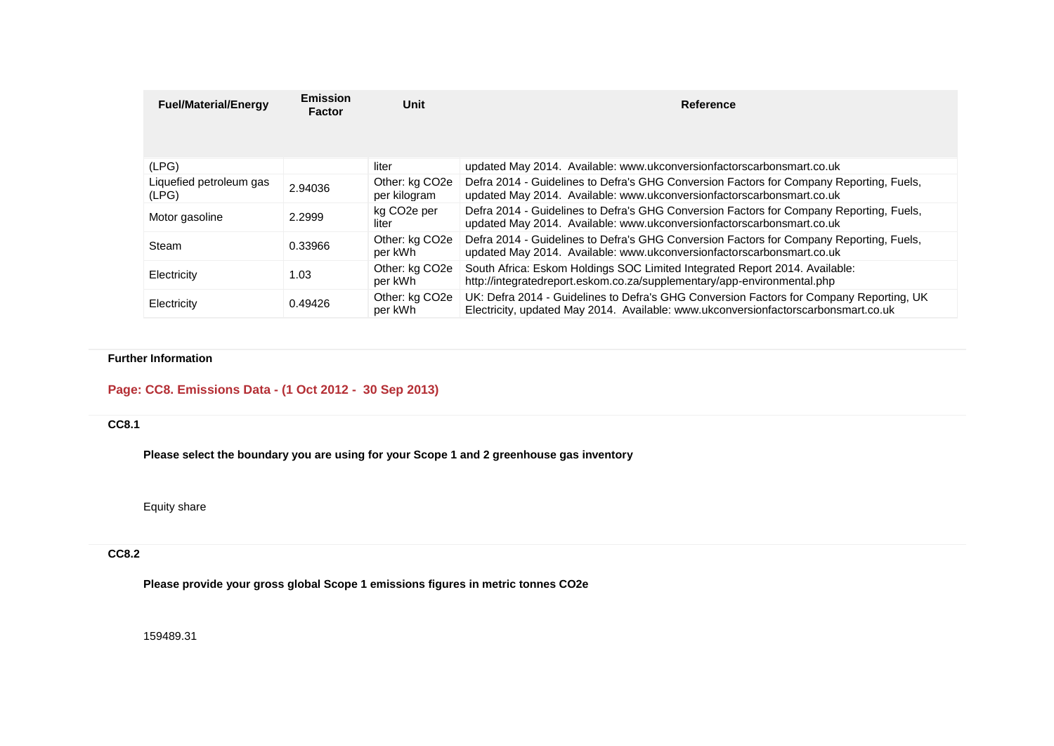| <b>Fuel/Material/Energy</b>      | Emission<br><b>Factor</b> | Unit                                        | Reference                                                                                                                                                                     |
|----------------------------------|---------------------------|---------------------------------------------|-------------------------------------------------------------------------------------------------------------------------------------------------------------------------------|
|                                  |                           |                                             |                                                                                                                                                                               |
| (LPG)                            |                           | liter                                       | updated May 2014. Available: www.ukconversionfactorscarbonsmart.co.uk                                                                                                         |
| Liquefied petroleum gas<br>(LPG) | 2.94036                   | Other: kg CO <sub>2</sub> e<br>per kilogram | Defra 2014 - Guidelines to Defra's GHG Conversion Factors for Company Reporting, Fuels,<br>updated May 2014. Available: www.ukconversionfactorscarbonsmart.co.uk              |
| Motor gasoline                   | 2.2999                    | kg CO <sub>2</sub> e per<br>liter           | Defra 2014 - Guidelines to Defra's GHG Conversion Factors for Company Reporting, Fuels,<br>updated May 2014. Available: www.ukconversionfactorscarbonsmart.co.uk              |
| Steam                            | 0.33966                   | Other: kg CO <sub>2</sub> e<br>per kWh      | Defra 2014 - Guidelines to Defra's GHG Conversion Factors for Company Reporting, Fuels,<br>updated May 2014. Available: www.ukconversionfactorscarbonsmart.co.uk              |
| Electricity                      | 1.03                      | Other: kg CO <sub>2</sub> e<br>per kWh      | South Africa: Eskom Holdings SOC Limited Integrated Report 2014. Available:<br>http://integratedreport.eskom.co.za/supplementary/app-environmental.php                        |
| Electricity                      | 0.49426                   | Other: kg CO <sub>2e</sub><br>per kWh       | UK: Defra 2014 - Guidelines to Defra's GHG Conversion Factors for Company Reporting, UK<br>Electricity, updated May 2014. Available: www.ukconversionfactorscarbonsmart.co.uk |

# **Further Information**

# **Page: CC8. Emissions Data - (1 Oct 2012 - 30 Sep 2013)**

# **CC8.1**

**Please select the boundary you are using for your Scope 1 and 2 greenhouse gas inventory**

Equity share

#### **CC8.2**

**Please provide your gross global Scope 1 emissions figures in metric tonnes CO2e**

159489.31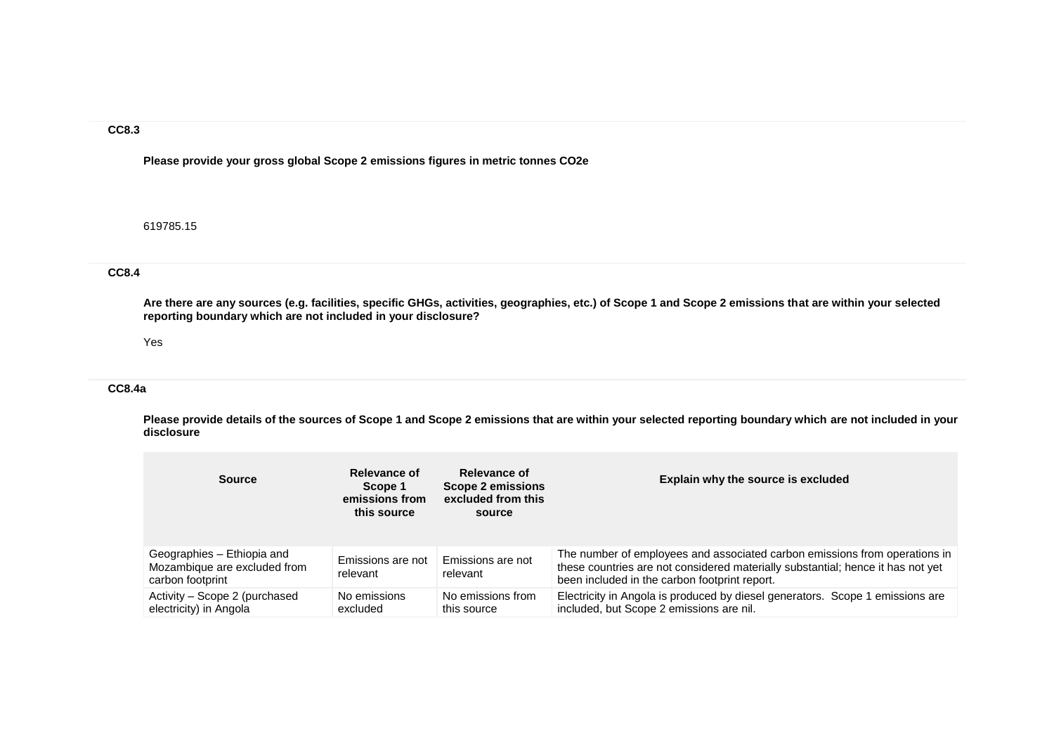**Please provide your gross global Scope 2 emissions figures in metric tonnes CO2e**

619785.15

# **CC8.4**

**Are there are any sources (e.g. facilities, specific GHGs, activities, geographies, etc.) of Scope 1 and Scope 2 emissions that are within your selected reporting boundary which are not included in your disclosure?**

#### Yes

#### **CC8.4a**

**Please provide details of the sources of Scope 1 and Scope 2 emissions that are within your selected reporting boundary which are not included in your disclosure**

| <b>Source</b>                                                                  | Relevance of<br>Scope 1<br>emissions from<br>this source | Relevance of<br>Scope 2 emissions<br>excluded from this<br>source | Explain why the source is excluded                                                                                                                                                                             |
|--------------------------------------------------------------------------------|----------------------------------------------------------|-------------------------------------------------------------------|----------------------------------------------------------------------------------------------------------------------------------------------------------------------------------------------------------------|
| Geographies - Ethiopia and<br>Mozambique are excluded from<br>carbon footprint | Emissions are not<br>relevant                            | Emissions are not<br>relevant                                     | The number of employees and associated carbon emissions from operations in<br>these countries are not considered materially substantial; hence it has not yet<br>been included in the carbon footprint report. |
| Activity – Scope 2 (purchased<br>electricity) in Angola                        | No emissions<br>excluded                                 | No emissions from<br>this source                                  | Electricity in Angola is produced by diesel generators. Scope 1 emissions are<br>included, but Scope 2 emissions are nil.                                                                                      |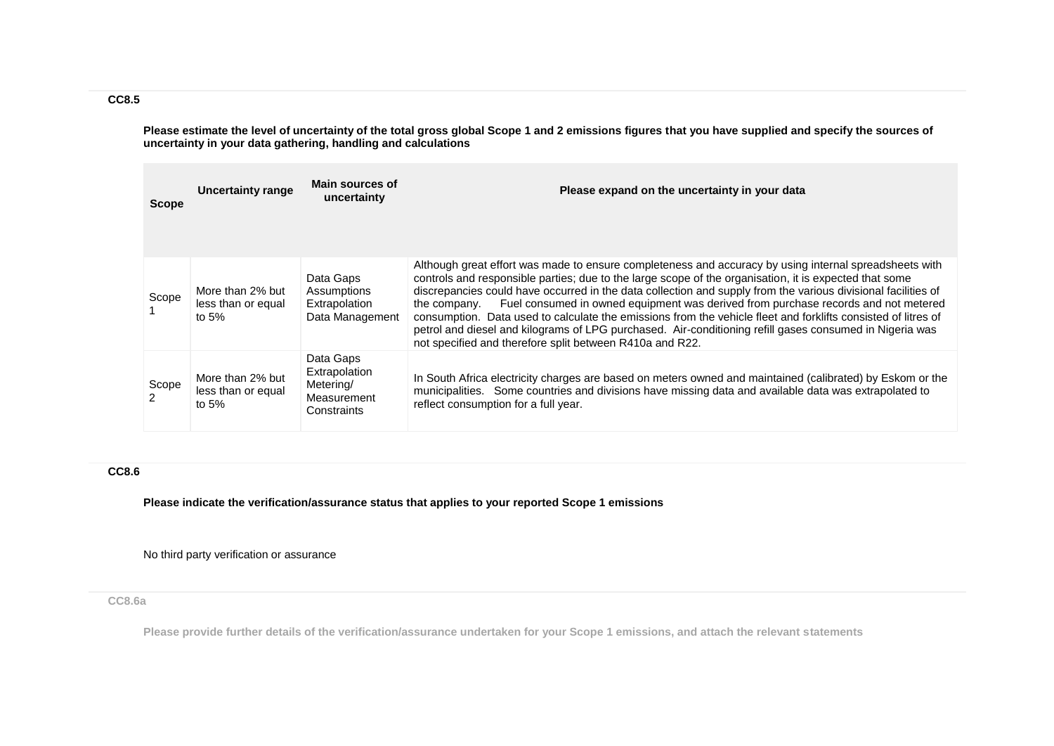**Please estimate the level of uncertainty of the total gross global Scope 1 and 2 emissions figures that you have supplied and specify the sources of uncertainty in your data gathering, handling and calculations**

| <b>Scope</b>            | <b>Uncertainty range</b>                          | Main sources of<br>uncertainty                                        | Please expand on the uncertainty in your data                                                                                                                                                                                                                                                                                                                                                                                                                                                                                                                                                                                                                                                                                   |
|-------------------------|---------------------------------------------------|-----------------------------------------------------------------------|---------------------------------------------------------------------------------------------------------------------------------------------------------------------------------------------------------------------------------------------------------------------------------------------------------------------------------------------------------------------------------------------------------------------------------------------------------------------------------------------------------------------------------------------------------------------------------------------------------------------------------------------------------------------------------------------------------------------------------|
|                         |                                                   |                                                                       |                                                                                                                                                                                                                                                                                                                                                                                                                                                                                                                                                                                                                                                                                                                                 |
| Scope                   | More than 2% but<br>less than or equal<br>to $5%$ | Data Gaps<br>Assumptions<br>Extrapolation<br>Data Management          | Although great effort was made to ensure completeness and accuracy by using internal spreadsheets with<br>controls and responsible parties; due to the large scope of the organisation, it is expected that some<br>discrepancies could have occurred in the data collection and supply from the various divisional facilities of<br>Fuel consumed in owned equipment was derived from purchase records and not metered<br>the company.<br>consumption. Data used to calculate the emissions from the vehicle fleet and forklifts consisted of litres of<br>petrol and diesel and kilograms of LPG purchased. Air-conditioning refill gases consumed in Nigeria was<br>not specified and therefore split between R410a and R22. |
| Scope<br>$\overline{2}$ | More than 2% but<br>less than or equal<br>to $5%$ | Data Gaps<br>Extrapolation<br>Metering/<br>Measurement<br>Constraints | In South Africa electricity charges are based on meters owned and maintained (calibrated) by Eskom or the<br>municipalities. Some countries and divisions have missing data and available data was extrapolated to<br>reflect consumption for a full year.                                                                                                                                                                                                                                                                                                                                                                                                                                                                      |

## **CC8.6**

**Please indicate the verification/assurance status that applies to your reported Scope 1 emissions**

No third party verification or assurance

#### **CC8.6a**

**Please provide further details of the verification/assurance undertaken for your Scope 1 emissions, and attach the relevant statements**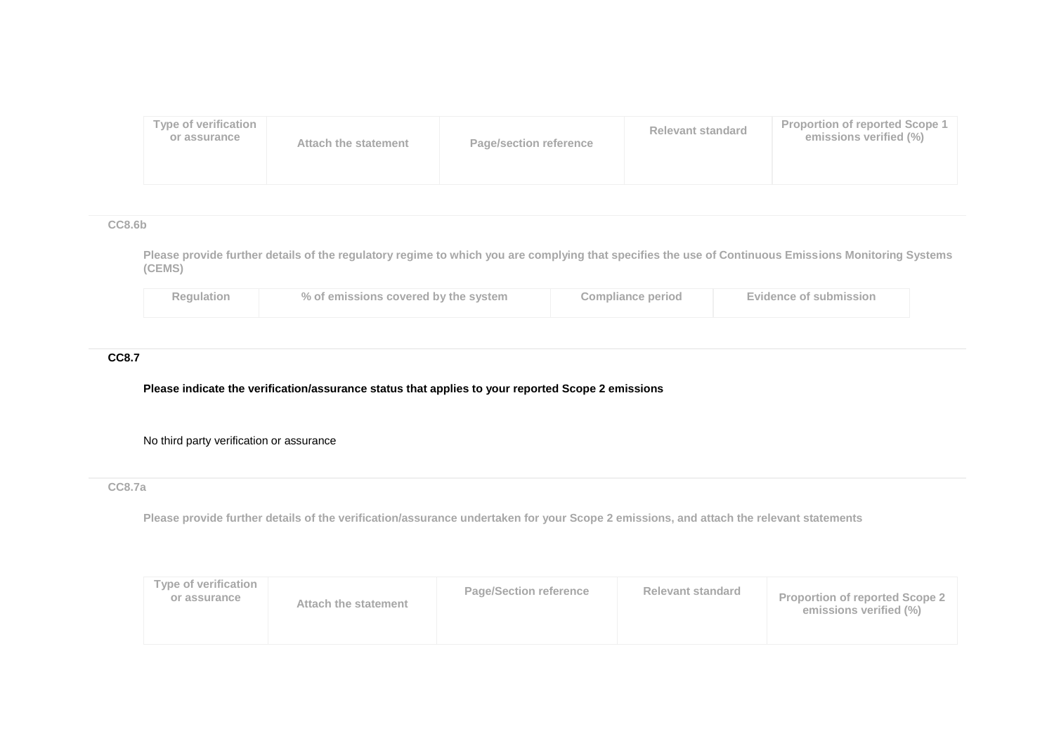| <b>Type of verification</b><br>or assurance<br><b>Page/section reference</b><br>Attach the statement | Relevant standard | <b>Proportion of reported Scope 1</b><br>emissions verified (%) |
|------------------------------------------------------------------------------------------------------|-------------------|-----------------------------------------------------------------|
|------------------------------------------------------------------------------------------------------|-------------------|-----------------------------------------------------------------|

**CC8.6b**

**Please provide further details of the regulatory regime to which you are complying that specifies the use of Continuous Emissions Monitoring Systems (CEMS)**

| Regulation | % of emissions covered by the system | <b>Compliance period</b> | <b>Evidence of submission</b> |
|------------|--------------------------------------|--------------------------|-------------------------------|
|            |                                      |                          |                               |

## **CC8.7**

### **Please indicate the verification/assurance status that applies to your reported Scope 2 emissions**

## No third party verification or assurance

# **CC8.7a**

**Please provide further details of the verification/assurance undertaken for your Scope 2 emissions, and attach the relevant statements**

| Type of verification<br>or assurance | Attach the statement | <b>Page/Section reference</b> | <b>Relevant standard</b> | <b>Proportion of reported Scope 2</b><br>emissions verified (%) |
|--------------------------------------|----------------------|-------------------------------|--------------------------|-----------------------------------------------------------------|
|--------------------------------------|----------------------|-------------------------------|--------------------------|-----------------------------------------------------------------|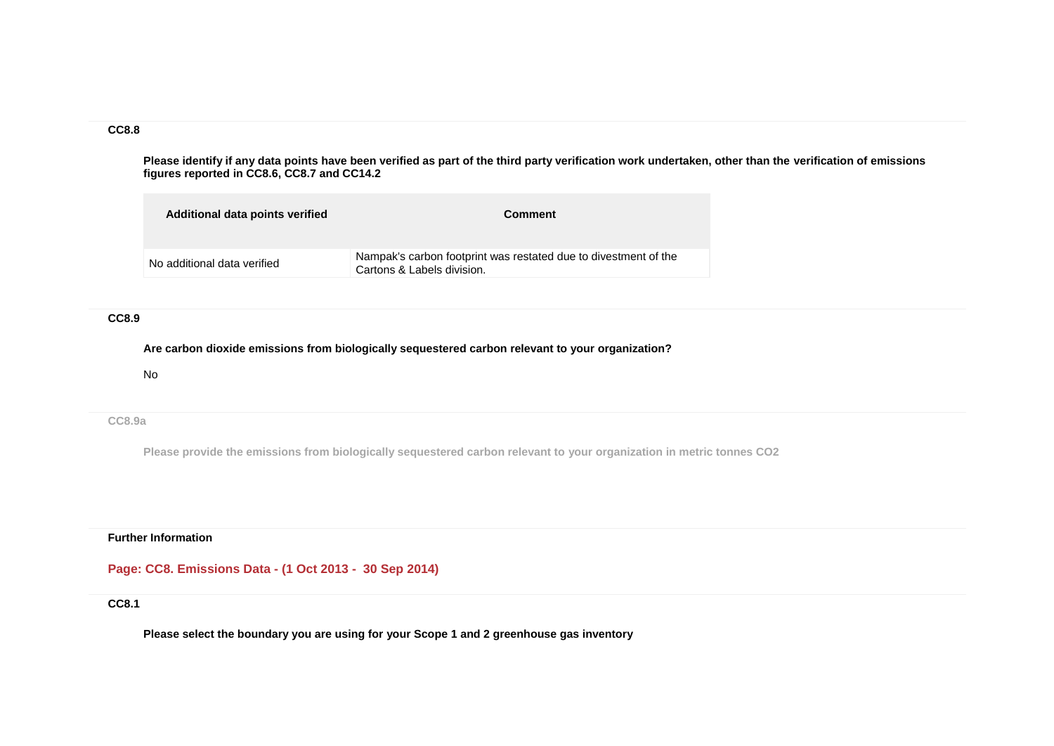**Please identify if any data points have been verified as part of the third party verification work undertaken, other than the verification of emissions figures reported in CC8.6, CC8.7 and CC14.2**

| Additional data points verified | <b>Comment</b>                                                                                |
|---------------------------------|-----------------------------------------------------------------------------------------------|
| No additional data verified     | Nampak's carbon footprint was restated due to divestment of the<br>Cartons & Labels division. |

#### **CC8.9**

**Are carbon dioxide emissions from biologically sequestered carbon relevant to your organization?**

No

**CC8.9a**

**Please provide the emissions from biologically sequestered carbon relevant to your organization in metric tonnes CO2**

**Further Information**

# **Page: CC8. Emissions Data - (1 Oct 2013 - 30 Sep 2014)**

#### **CC8.1**

**Please select the boundary you are using for your Scope 1 and 2 greenhouse gas inventory**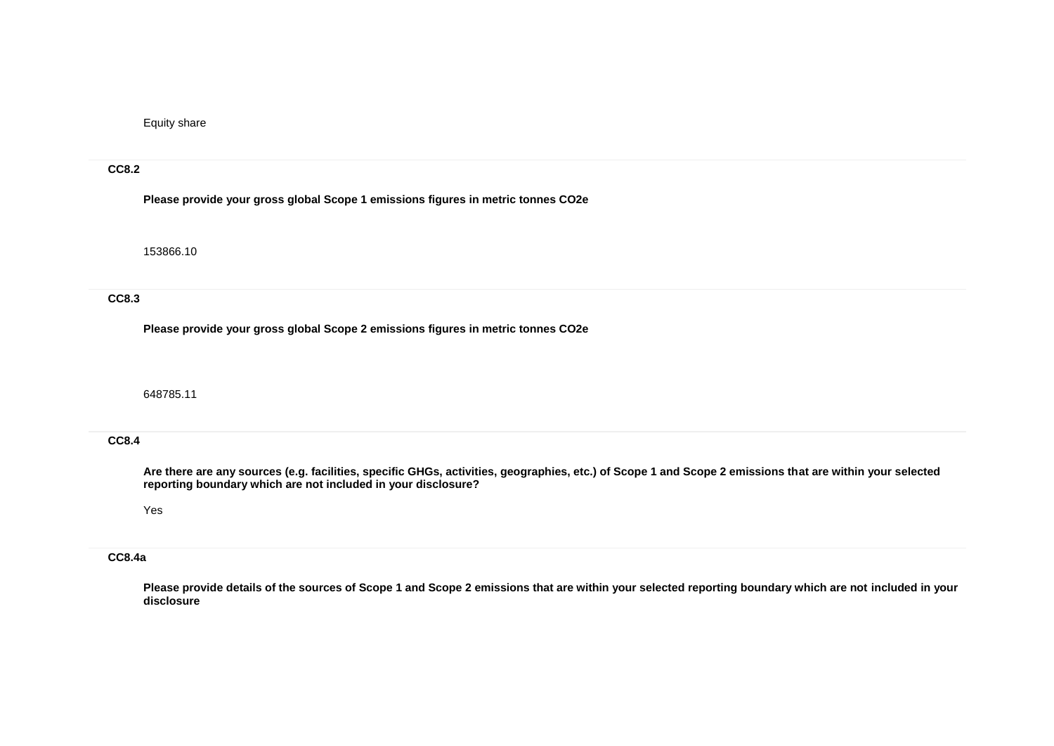Equity share

#### **CC8.2**

**Please provide your gross global Scope 1 emissions figures in metric tonnes CO2e**

153866.10

## **CC8.3**

**Please provide your gross global Scope 2 emissions figures in metric tonnes CO2e**

648785.11

## **CC8.4**

**Are there are any sources (e.g. facilities, specific GHGs, activities, geographies, etc.) of Scope 1 and Scope 2 emissions that are within your selected reporting boundary which are not included in your disclosure?**

#### Yes

## **CC8.4a**

**Please provide details of the sources of Scope 1 and Scope 2 emissions that are within your selected reporting boundary which are not included in your disclosure**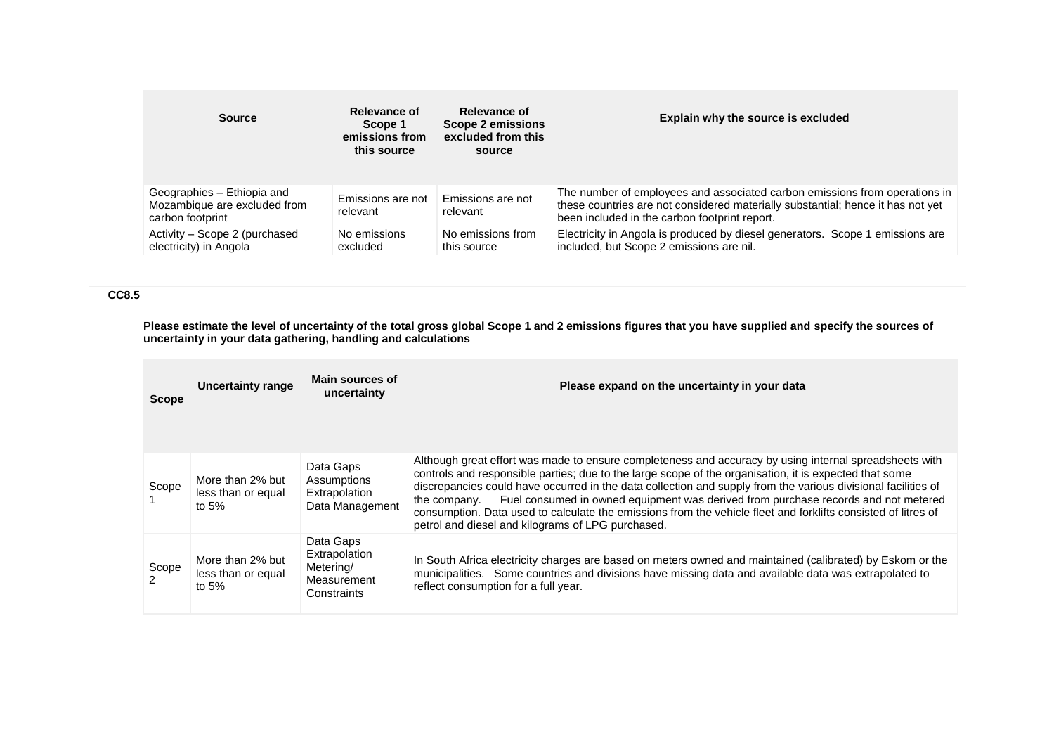| <b>Source</b>                                                                  | Relevance of<br>Scope 1<br>emissions from<br>this source | Relevance of<br>Scope 2 emissions<br>excluded from this<br>source | Explain why the source is excluded                                                                                                                                                                             |
|--------------------------------------------------------------------------------|----------------------------------------------------------|-------------------------------------------------------------------|----------------------------------------------------------------------------------------------------------------------------------------------------------------------------------------------------------------|
| Geographies - Ethiopia and<br>Mozambique are excluded from<br>carbon footprint | Emissions are not<br>relevant                            | Emissions are not<br>relevant                                     | The number of employees and associated carbon emissions from operations in<br>these countries are not considered materially substantial; hence it has not yet<br>been included in the carbon footprint report. |
| Activity - Scope 2 (purchased<br>electricity) in Angola                        | No emissions<br>excluded                                 | No emissions from<br>this source                                  | Electricity in Angola is produced by diesel generators. Scope 1 emissions are<br>included, but Scope 2 emissions are nil.                                                                                      |

**Please estimate the level of uncertainty of the total gross global Scope 1 and 2 emissions figures that you have supplied and specify the sources of uncertainty in your data gathering, handling and calculations**

| <b>Scope</b> | <b>Uncertainty range</b>                          | <b>Main sources of</b><br>uncertainty                                 | Please expand on the uncertainty in your data                                                                                                                                                                                                                                                                                                                                                                                                                                                                                                                                                                 |
|--------------|---------------------------------------------------|-----------------------------------------------------------------------|---------------------------------------------------------------------------------------------------------------------------------------------------------------------------------------------------------------------------------------------------------------------------------------------------------------------------------------------------------------------------------------------------------------------------------------------------------------------------------------------------------------------------------------------------------------------------------------------------------------|
| Scope        | More than 2% but<br>less than or equal<br>to $5%$ | Data Gaps<br>Assumptions<br>Extrapolation<br>Data Management          | Although great effort was made to ensure completeness and accuracy by using internal spreadsheets with<br>controls and responsible parties; due to the large scope of the organisation, it is expected that some<br>discrepancies could have occurred in the data collection and supply from the various divisional facilities of<br>Fuel consumed in owned equipment was derived from purchase records and not metered<br>the company.<br>consumption. Data used to calculate the emissions from the vehicle fleet and forklifts consisted of litres of<br>petrol and diesel and kilograms of LPG purchased. |
| Scope<br>2   | More than 2% but<br>less than or equal<br>to $5%$ | Data Gaps<br>Extrapolation<br>Metering/<br>Measurement<br>Constraints | In South Africa electricity charges are based on meters owned and maintained (calibrated) by Eskom or the<br>municipalities. Some countries and divisions have missing data and available data was extrapolated to<br>reflect consumption for a full year.                                                                                                                                                                                                                                                                                                                                                    |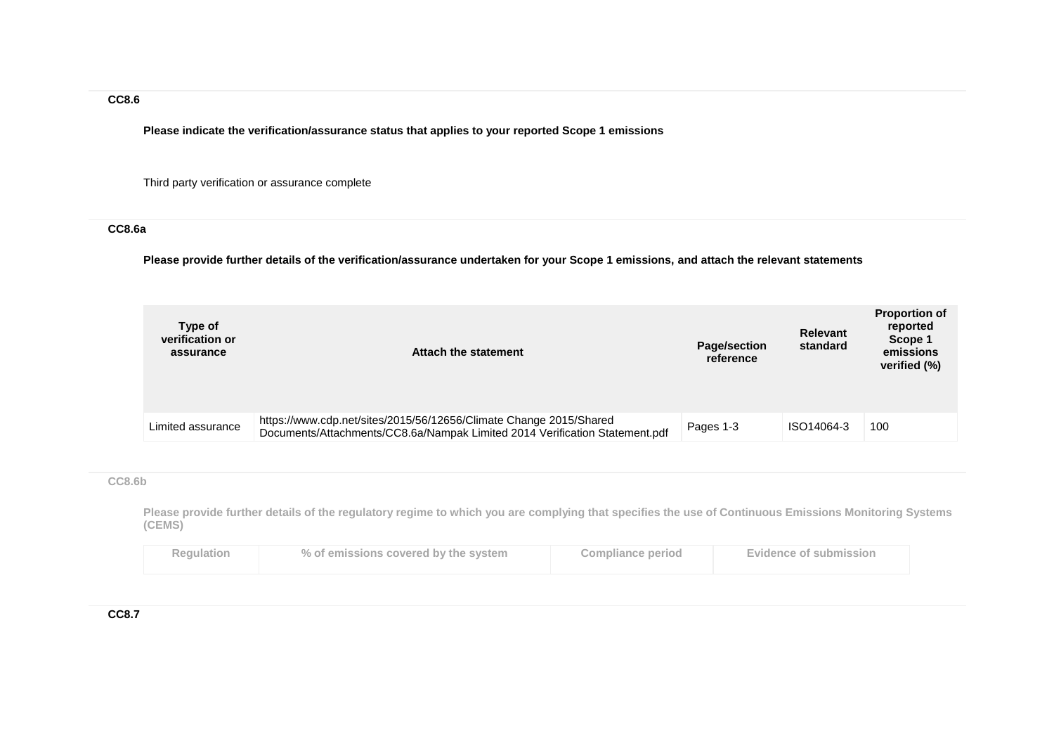**Please indicate the verification/assurance status that applies to your reported Scope 1 emissions**

Third party verification or assurance complete

## **CC8.6a**

**Please provide further details of the verification/assurance undertaken for your Scope 1 emissions, and attach the relevant statements**

| Type of<br>verification or<br>assurance | Attach the statement                                                                                                                              | <b>Page/section</b><br>reference | <b>Relevant</b><br>standard | <b>Proportion of</b><br>reported<br>Scope 1<br>emissions<br>verified (%) |
|-----------------------------------------|---------------------------------------------------------------------------------------------------------------------------------------------------|----------------------------------|-----------------------------|--------------------------------------------------------------------------|
| Limited assurance                       | https://www.cdp.net/sites/2015/56/12656/Climate Change 2015/Shared<br>Documents/Attachments/CC8.6a/Nampak Limited 2014 Verification Statement.pdf | Pages 1-3                        | ISO14064-3                  | 100                                                                      |

#### **CC8.6b**

**Please provide further details of the regulatory regime to which you are complying that specifies the use of Continuous Emissions Monitoring Systems (CEMS)**

| <b>Regulation</b> | % of emissions covered by the system | Compliance period | <b>Evidence of submission</b> |
|-------------------|--------------------------------------|-------------------|-------------------------------|
|                   |                                      |                   |                               |

**CC8.7**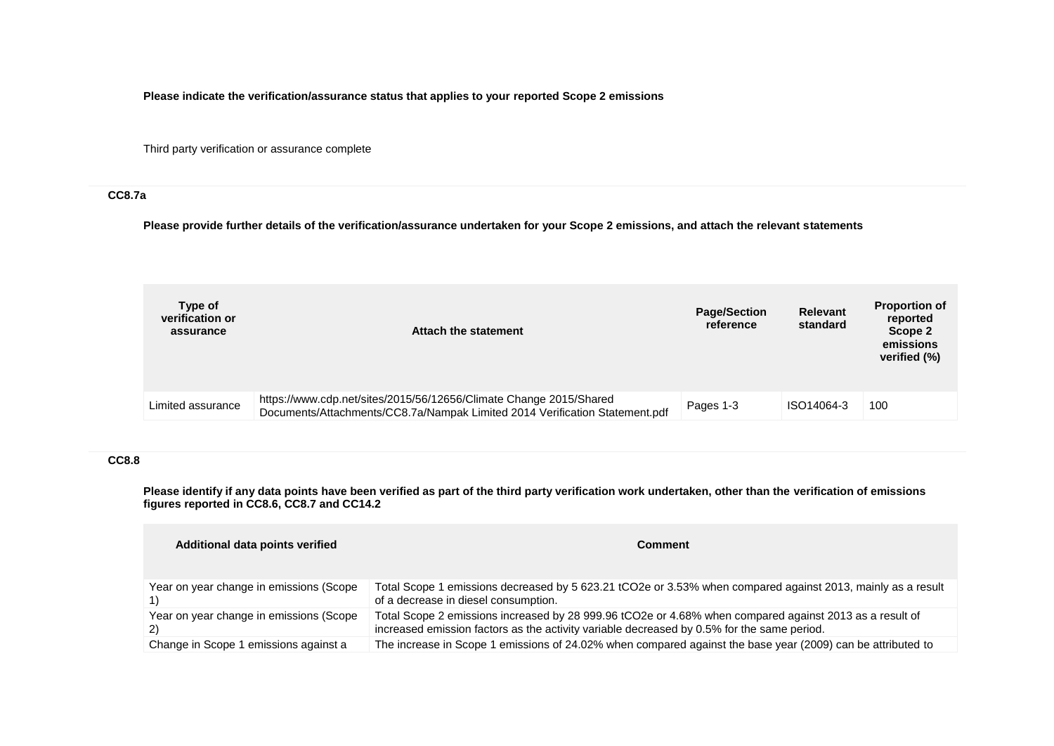**Please indicate the verification/assurance status that applies to your reported Scope 2 emissions**

Third party verification or assurance complete

## **CC8.7a**

**Please provide further details of the verification/assurance undertaken for your Scope 2 emissions, and attach the relevant statements**

| Type of<br>verification or<br>assurance | Attach the statement                                                                                                                              | <b>Page/Section</b><br>reference | <b>Relevant</b><br>standard | <b>Proportion of</b><br>reported<br>Scope 2<br>emissions<br>verified (%) |
|-----------------------------------------|---------------------------------------------------------------------------------------------------------------------------------------------------|----------------------------------|-----------------------------|--------------------------------------------------------------------------|
| Limited assurance                       | https://www.cdp.net/sites/2015/56/12656/Climate Change 2015/Shared<br>Documents/Attachments/CC8.7a/Nampak Limited 2014 Verification Statement.pdf | Pages 1-3                        | ISO14064-3                  | 100                                                                      |

## **CC8.8**

**Please identify if any data points have been verified as part of the third party verification work undertaken, other than the verification of emissions figures reported in CC8.6, CC8.7 and CC14.2**

| Additional data points verified               | Comment                                                                                                                                                                                               |
|-----------------------------------------------|-------------------------------------------------------------------------------------------------------------------------------------------------------------------------------------------------------|
| Year on year change in emissions (Scope       | Total Scope 1 emissions decreased by 5 623.21 tCO2e or 3.53% when compared against 2013, mainly as a result<br>of a decrease in diesel consumption.                                                   |
| Year on year change in emissions (Scope<br>2) | Total Scope 2 emissions increased by 28 999.96 tCO2e or 4.68% when compared against 2013 as a result of<br>increased emission factors as the activity variable decreased by 0.5% for the same period. |
| Change in Scope 1 emissions against a         | The increase in Scope 1 emissions of 24.02% when compared against the base year (2009) can be attributed to                                                                                           |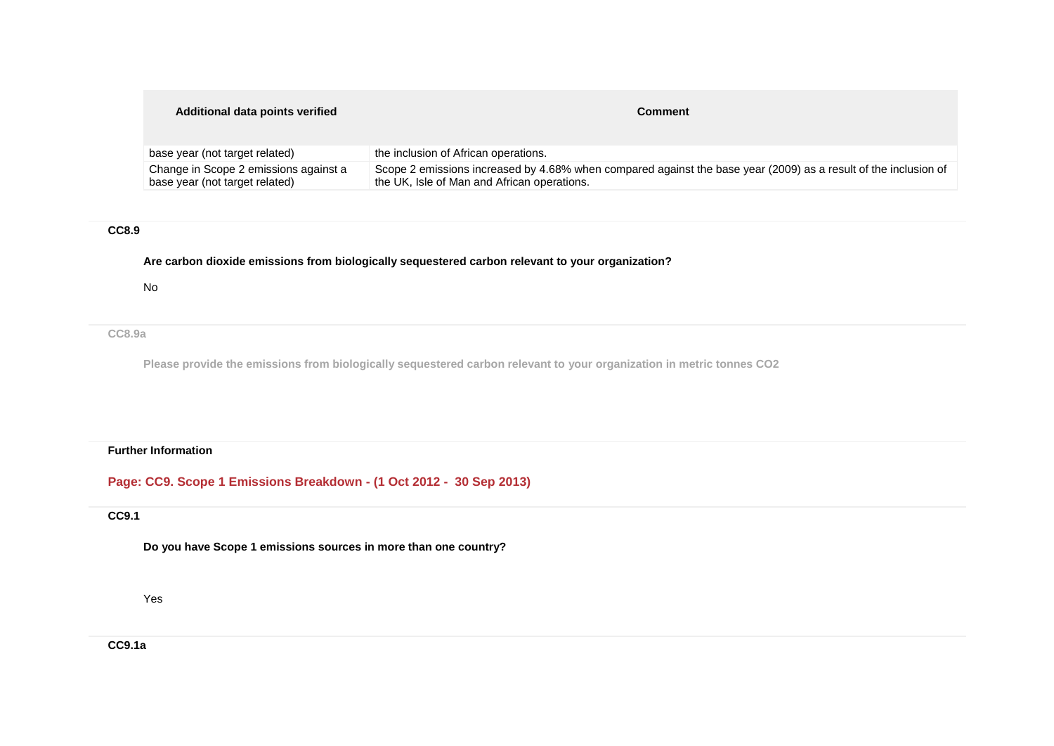#### **Additional data points verified Comment Comment**

| base year (not target related)        | the inclusion of African operations.                                                                            |
|---------------------------------------|-----------------------------------------------------------------------------------------------------------------|
| Change in Scope 2 emissions against a | Scope 2 emissions increased by 4.68% when compared against the base year (2009) as a result of the inclusion of |
| base year (not target related)        | the UK, Isle of Man and African operations.                                                                     |

#### **CC8.9**

**Are carbon dioxide emissions from biologically sequestered carbon relevant to your organization?**

No

**CC8.9a**

**Please provide the emissions from biologically sequestered carbon relevant to your organization in metric tonnes CO2**

### **Further Information**

**Page: CC9. Scope 1 Emissions Breakdown - (1 Oct 2012 - 30 Sep 2013)**

# **CC9.1**

**Do you have Scope 1 emissions sources in more than one country?**

Yes

**CC9.1a**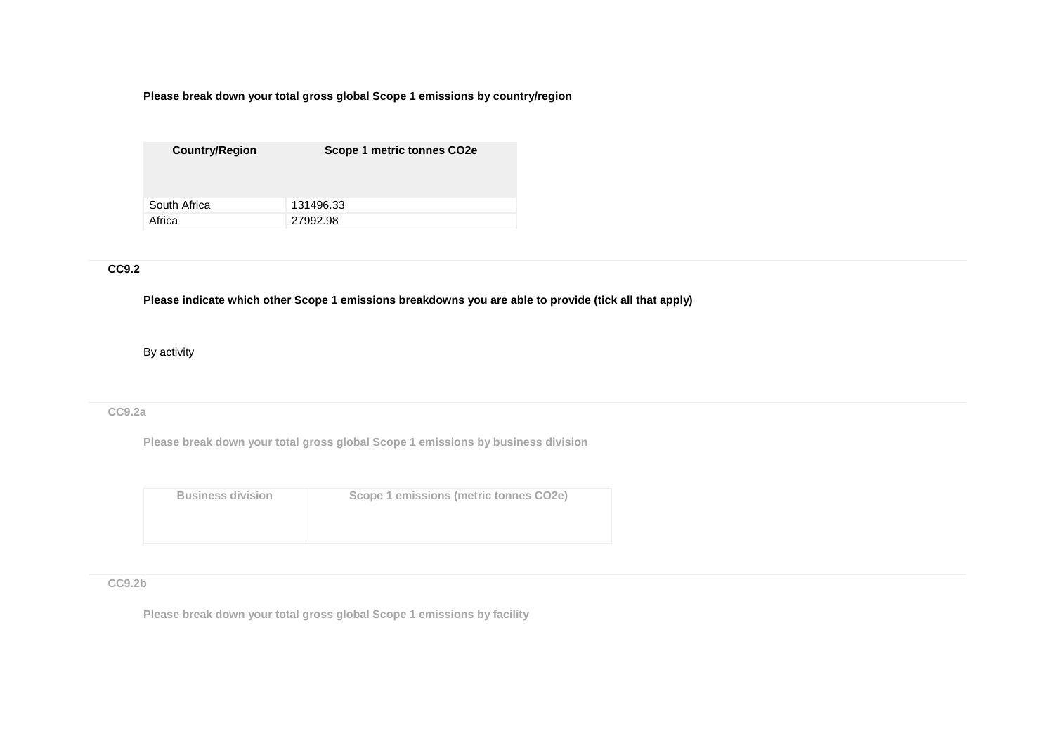**Please break down your total gross global Scope 1 emissions by country/region**

| <b>Country/Region</b> | Scope 1 metric tonnes CO2e |
|-----------------------|----------------------------|
|                       |                            |
| South Africa          | 131496.33                  |
| Africa                | 27992.98                   |

## **CC9.2**

**Please indicate which other Scope 1 emissions breakdowns you are able to provide (tick all that apply)**

By activity

#### **CC9.2a**

**Please break down your total gross global Scope 1 emissions by business division**

| <b>Business division</b> | Scope 1 emissions (metric tonnes CO2e) |
|--------------------------|----------------------------------------|
|                          |                                        |

## **CC9.2b**

**Please break down your total gross global Scope 1 emissions by facility**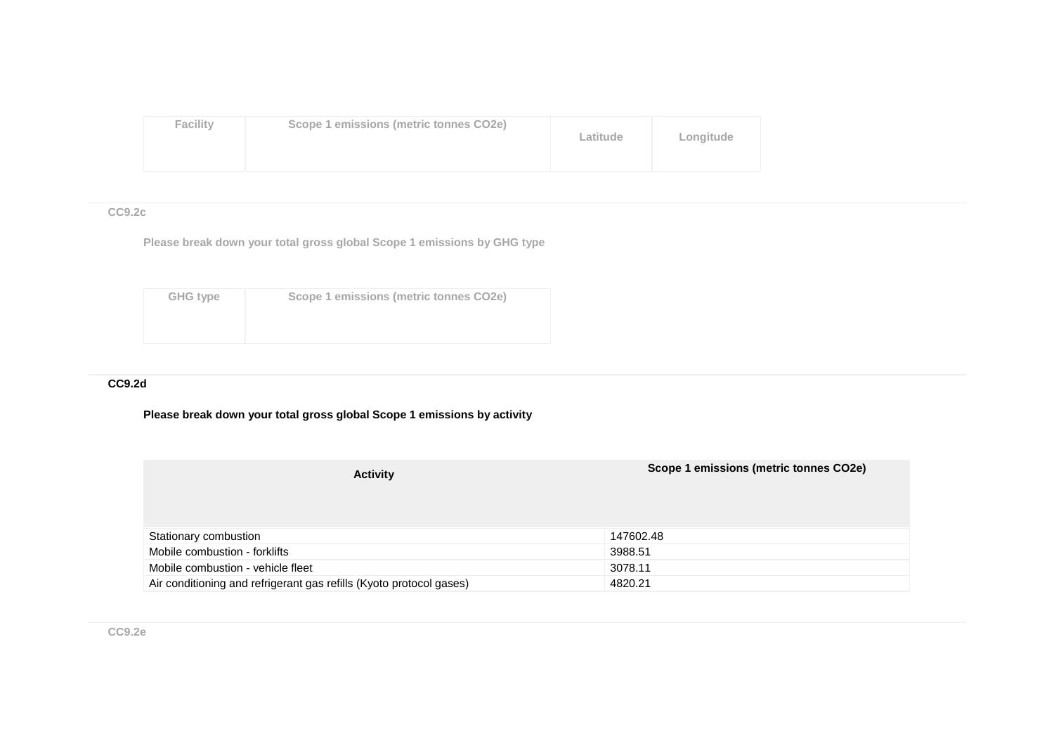| <b>Facility</b> | Scope 1 emissions (metric tonnes CO2e) | Latitude | Longitude |
|-----------------|----------------------------------------|----------|-----------|
|-----------------|----------------------------------------|----------|-----------|

## **CC9.2c**

**Please break down your total gross global Scope 1 emissions by GHG type**

| GHG type | Scope 1 emissions (metric tonnes CO2e) |
|----------|----------------------------------------|
|          |                                        |
|          |                                        |

## **CC9.2d**

## **Please break down your total gross global Scope 1 emissions by activity**

| <b>Activity</b>                                                     | Scope 1 emissions (metric tonnes CO2e) |
|---------------------------------------------------------------------|----------------------------------------|
| Stationary combustion                                               | 147602.48                              |
| Mobile combustion - forklifts                                       | 3988.51                                |
| Mobile combustion - vehicle fleet                                   | 3078.11                                |
| Air conditioning and refrigerant gas refills (Kyoto protocol gases) | 4820.21                                |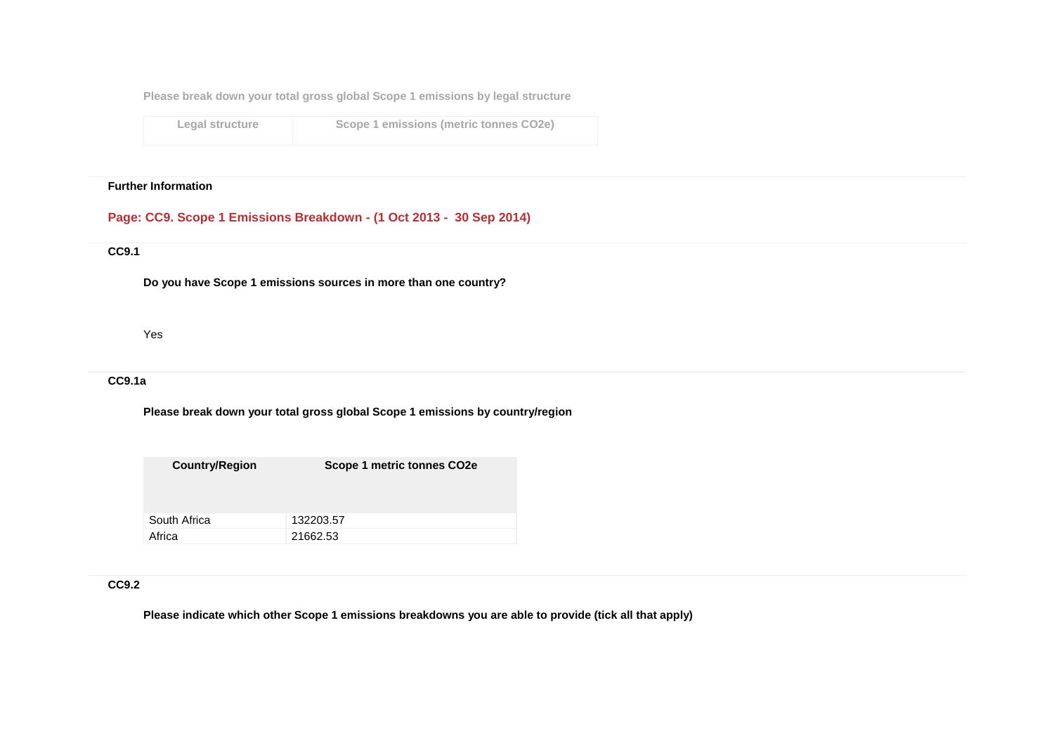**Please break down your total gross global Scope 1 emissions by legal structure**

**Legal structure Scope 1 emissions (metric tonnes CO2e)**

#### **Further Information**

### **Page: CC9. Scope 1 Emissions Breakdown - (1 Oct 2013 - 30 Sep 2014)**

## **CC9.1**

**Do you have Scope 1 emissions sources in more than one country?**

Yes

## **CC9.1a**

**Please break down your total gross global Scope 1 emissions by country/region**

| <b>Country/Region</b> | Scope 1 metric tonnes CO <sub>2</sub> e |
|-----------------------|-----------------------------------------|
|                       |                                         |
| South Africa          | 132203.57                               |
| Africa                | 21662.53                                |

## **CC9.2**

**Please indicate which other Scope 1 emissions breakdowns you are able to provide (tick all that apply)**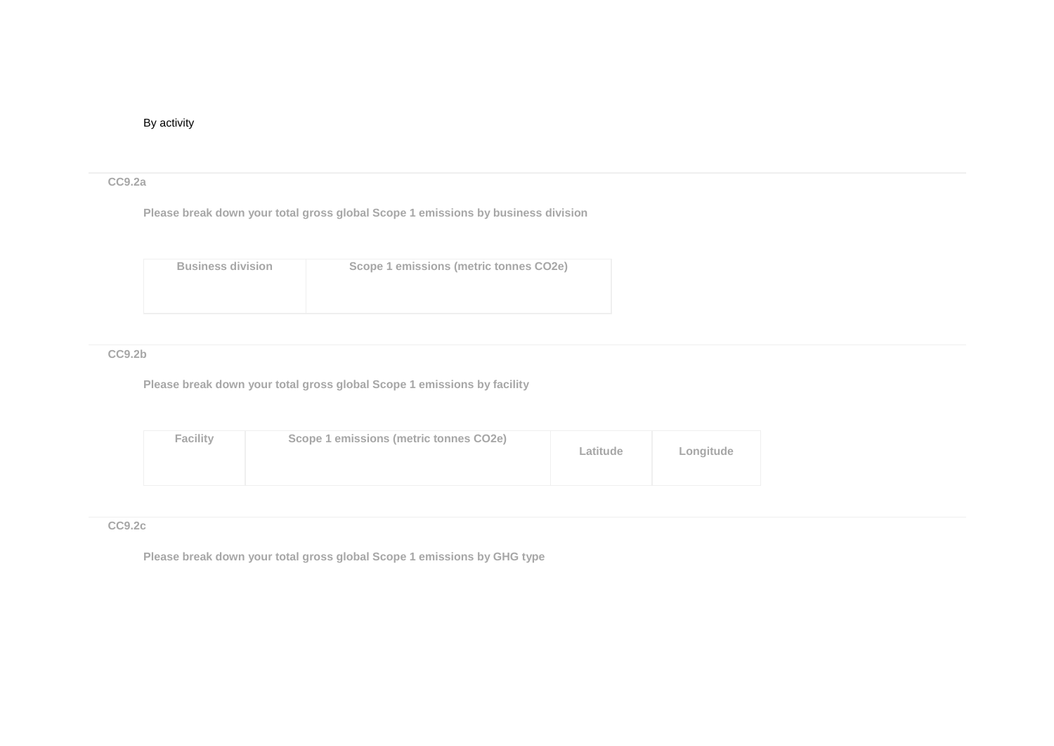### By activity

#### **CC9.2a**

**Please break down your total gross global Scope 1 emissions by business division**

| <b>Business division</b> | Scope 1 emissions (metric tonnes CO2e) |
|--------------------------|----------------------------------------|
|                          |                                        |

### **CC9.2b**

**Please break down your total gross global Scope 1 emissions by facility**

| <b>Facility</b> | Scope 1 emissions (metric tonnes CO2e) | Latitude | Longitude |
|-----------------|----------------------------------------|----------|-----------|
|-----------------|----------------------------------------|----------|-----------|

## **CC9.2c**

**Please break down your total gross global Scope 1 emissions by GHG type**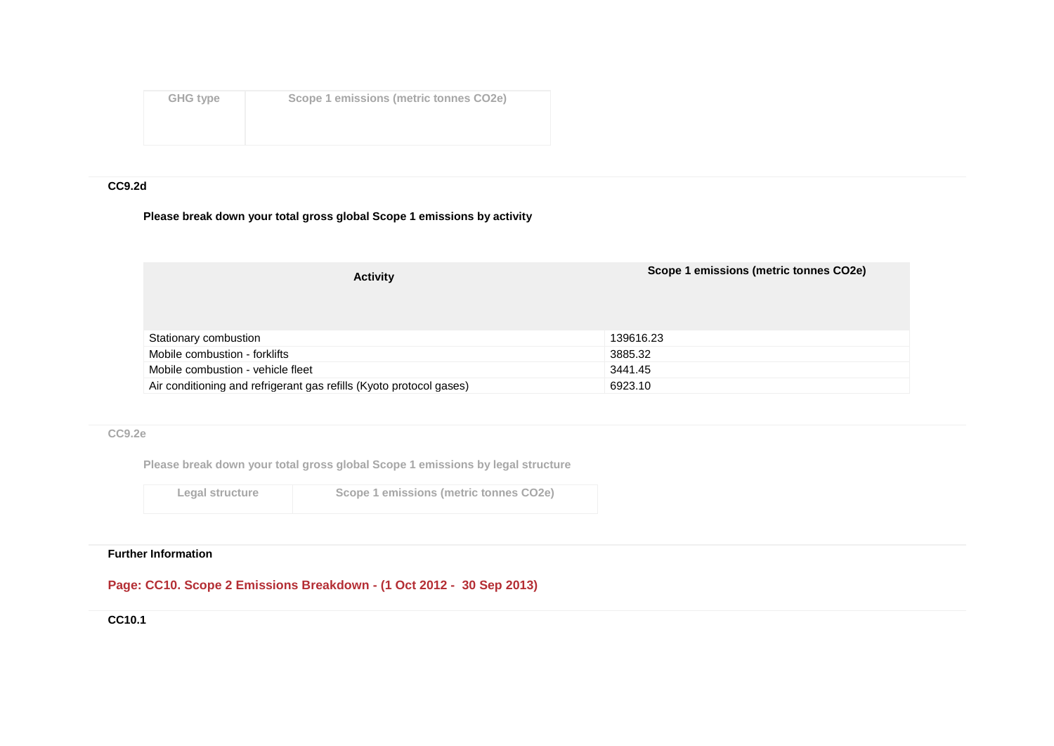| GHG type | Scope 1 emissions (metric tonnes CO2e) |
|----------|----------------------------------------|
|          |                                        |
|          |                                        |

## **CC9.2d**

## **Please break down your total gross global Scope 1 emissions by activity**

| <b>Activity</b>                                                     | Scope 1 emissions (metric tonnes CO2e) |
|---------------------------------------------------------------------|----------------------------------------|
| Stationary combustion                                               | 139616.23                              |
| Mobile combustion - forklifts                                       | 3885.32                                |
| Mobile combustion - vehicle fleet                                   | 3441.45                                |
| Air conditioning and refrigerant gas refills (Kyoto protocol gases) | 6923.10                                |

### **CC9.2e**

**Please break down your total gross global Scope 1 emissions by legal structure**

| Legal structu |  |  |  |  |
|---------------|--|--|--|--|
|---------------|--|--|--|--|

**Legal structure Scope 1 emissions (metric tonnes CO2e)**

#### **Further Information**

## **Page: CC10. Scope 2 Emissions Breakdown - (1 Oct 2012 - 30 Sep 2013)**

**CC10.1**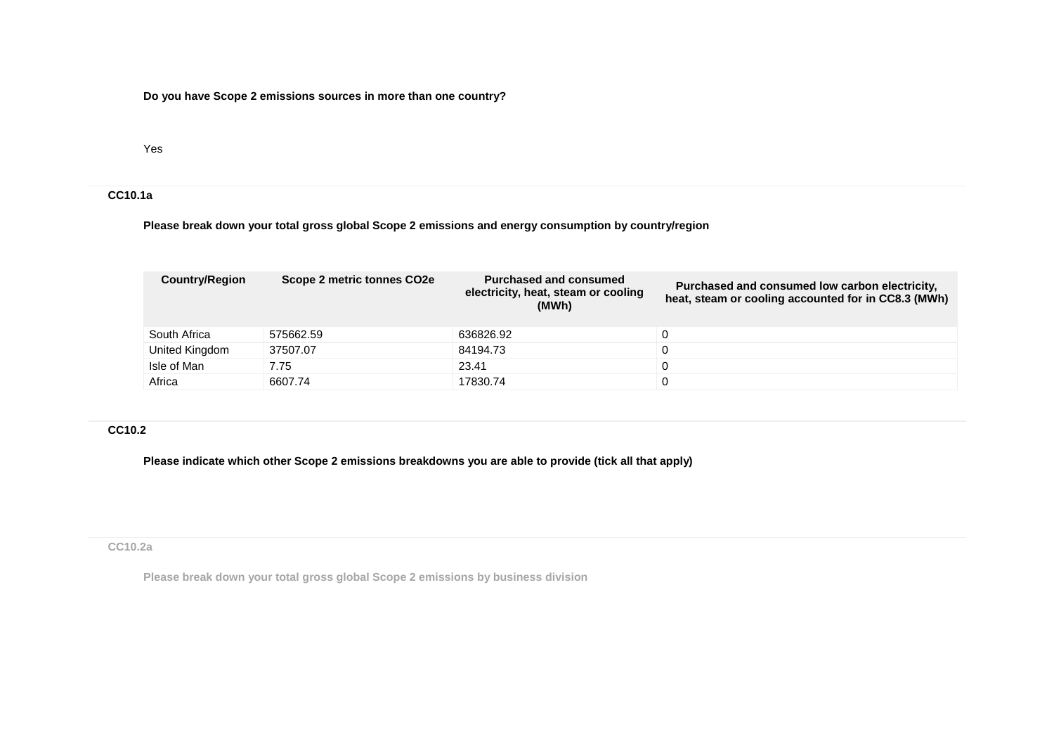**Do you have Scope 2 emissions sources in more than one country?**

Yes

## **CC10.1a**

**Please break down your total gross global Scope 2 emissions and energy consumption by country/region**

| <b>Country/Region</b> | Scope 2 metric tonnes CO2e | Purchased and consumed<br>electricity, heat, steam or cooling<br>(MWh) | Purchased and consumed low carbon electricity,<br>heat, steam or cooling accounted for in CC8.3 (MWh) |
|-----------------------|----------------------------|------------------------------------------------------------------------|-------------------------------------------------------------------------------------------------------|
| South Africa          | 575662.59                  | 636826.92                                                              |                                                                                                       |
| United Kingdom        | 37507.07                   | 84194.73                                                               |                                                                                                       |
| Isle of Man           | 7.75                       | 23.41                                                                  |                                                                                                       |
| Africa                | 6607.74                    | 17830.74                                                               |                                                                                                       |

## **CC10.2**

**Please indicate which other Scope 2 emissions breakdowns you are able to provide (tick all that apply)**

### **CC10.2a**

**Please break down your total gross global Scope 2 emissions by business division**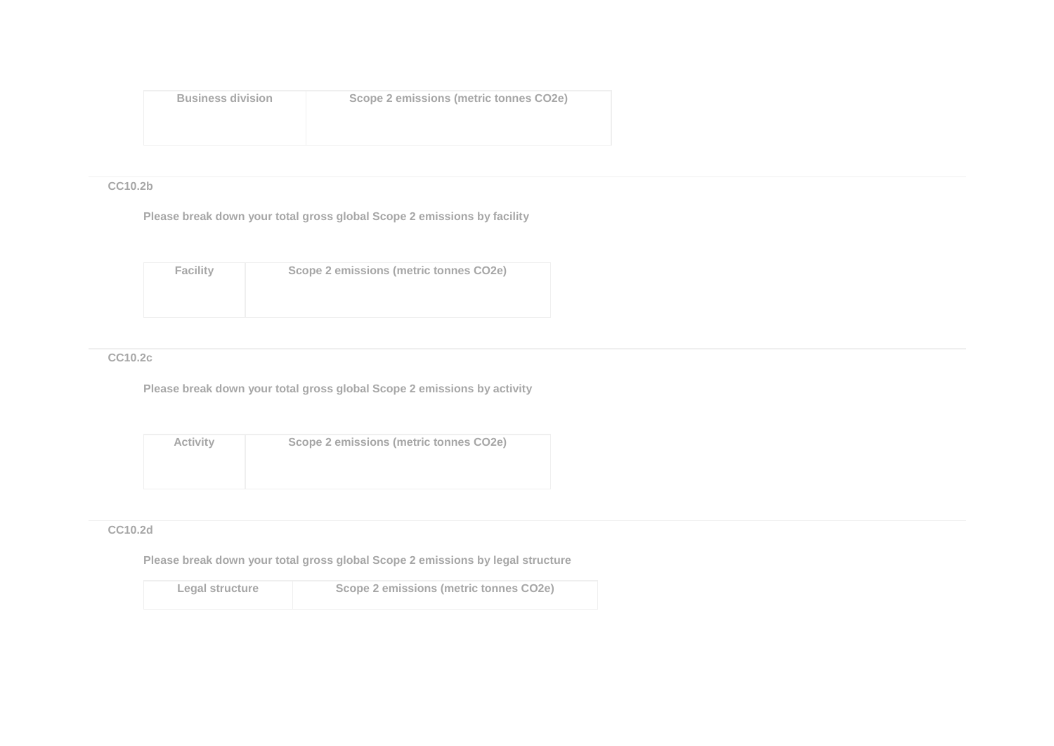| <b>Business division</b> | Scope 2 emissions (metric tonnes CO2e) |
|--------------------------|----------------------------------------|
|                          |                                        |

### **CC10.2b**

**Please break down your total gross global Scope 2 emissions by facility**

| Facility | Scope 2 emissions (metric tonnes CO2e) |
|----------|----------------------------------------|
|          |                                        |
|          |                                        |

## **CC10.2c**

**Please break down your total gross global Scope 2 emissions by activity**

| <b>Activity</b> | Scope 2 emissions (metric tonnes CO2e) |
|-----------------|----------------------------------------|
|                 |                                        |
|                 |                                        |

## **CC10.2d**

**Please break down your total gross global Scope 2 emissions by legal structure**

| Legal structure | Scope 2 emissions (metric tonnes CO2e) |
|-----------------|----------------------------------------|
|                 |                                        |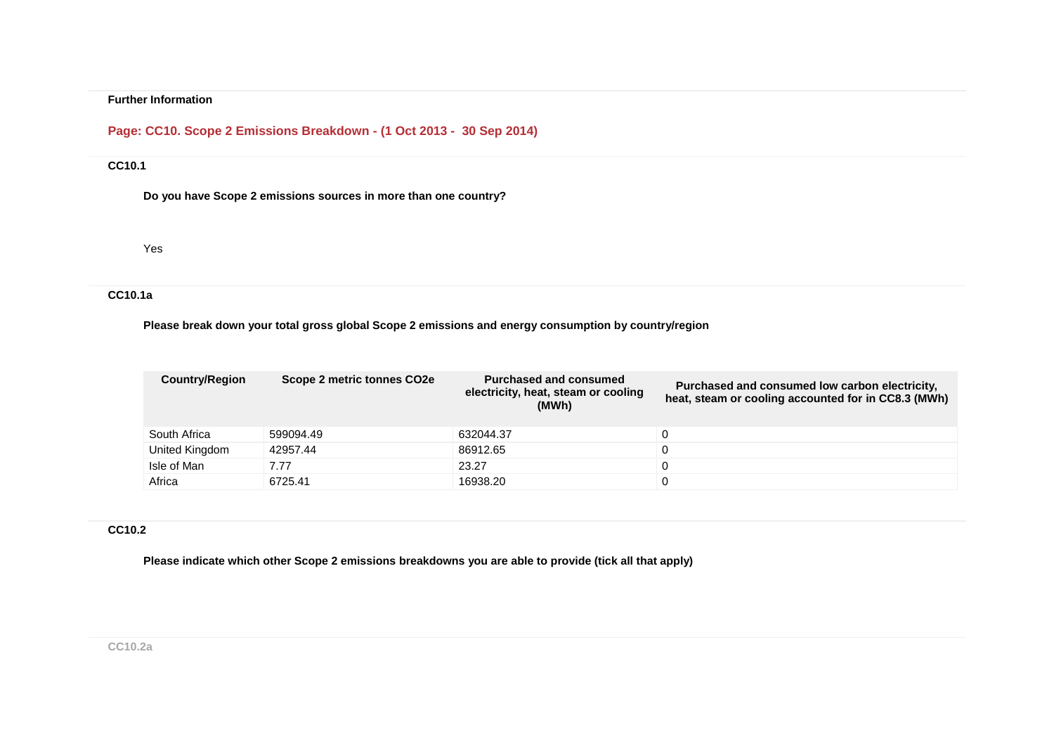# **Page: CC10. Scope 2 Emissions Breakdown - (1 Oct 2013 - 30 Sep 2014)**

### **CC10.1**

**Do you have Scope 2 emissions sources in more than one country?**

Yes

## **CC10.1a**

### **Please break down your total gross global Scope 2 emissions and energy consumption by country/region**

| <b>Country/Region</b> | Scope 2 metric tonnes CO2e | <b>Purchased and consumed</b><br>electricity, heat, steam or cooling<br>(MWh) | Purchased and consumed low carbon electricity,<br>heat, steam or cooling accounted for in CC8.3 (MWh) |
|-----------------------|----------------------------|-------------------------------------------------------------------------------|-------------------------------------------------------------------------------------------------------|
| South Africa          | 599094.49                  | 632044.37                                                                     |                                                                                                       |
| United Kingdom        | 42957.44                   | 86912.65                                                                      |                                                                                                       |
| Isle of Man           | 7.77                       | 23.27                                                                         |                                                                                                       |
| Africa                | 6725.41                    | 16938.20                                                                      |                                                                                                       |

#### **CC10.2**

**Please indicate which other Scope 2 emissions breakdowns you are able to provide (tick all that apply)**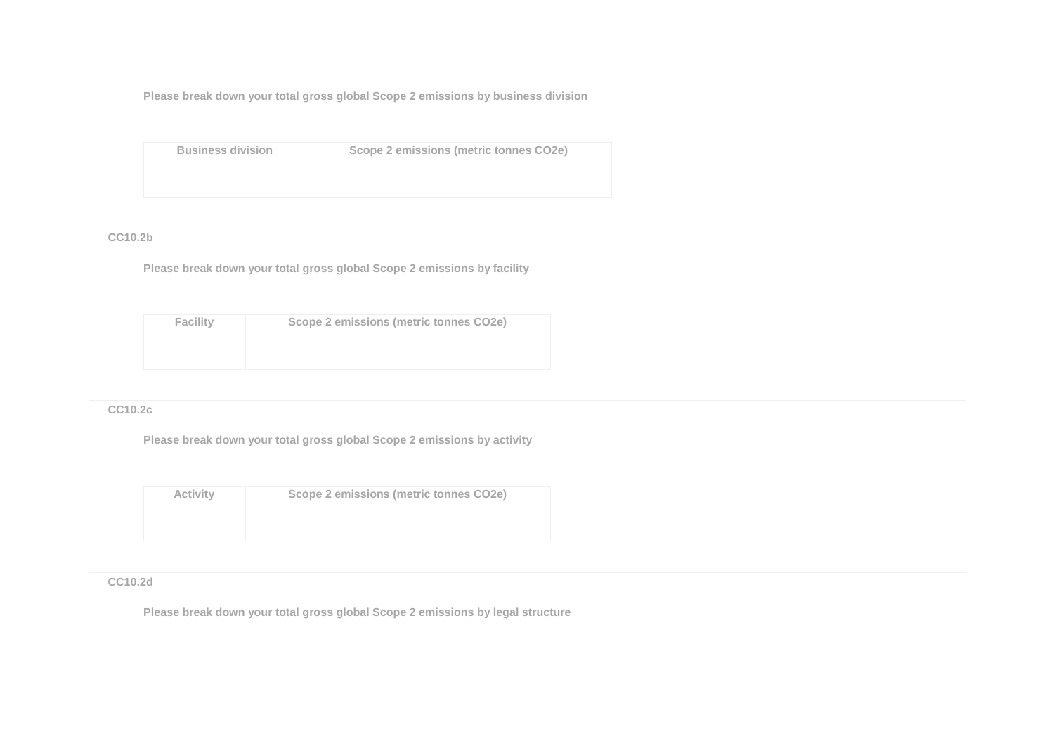**Please break down your total gross global Scope 2 emissions by business division**

| <b>Business division</b> | Scope 2 emissions (metric tonnes CO2e) |
|--------------------------|----------------------------------------|
|                          |                                        |
|                          |                                        |

## **CC10.2b**

**Please break down your total gross global Scope 2 emissions by facility**

| <b>Facility</b> | Scope 2 emissions (metric tonnes CO2e) |
|-----------------|----------------------------------------|
|                 |                                        |
|                 |                                        |

### **CC10.2c**

**Please break down your total gross global Scope 2 emissions by activity**

| <b>Activity</b> | Scope 2 emissions (metric tonnes CO2e) |
|-----------------|----------------------------------------|
|                 |                                        |

### **CC10.2d**

**Please break down your total gross global Scope 2 emissions by legal structure**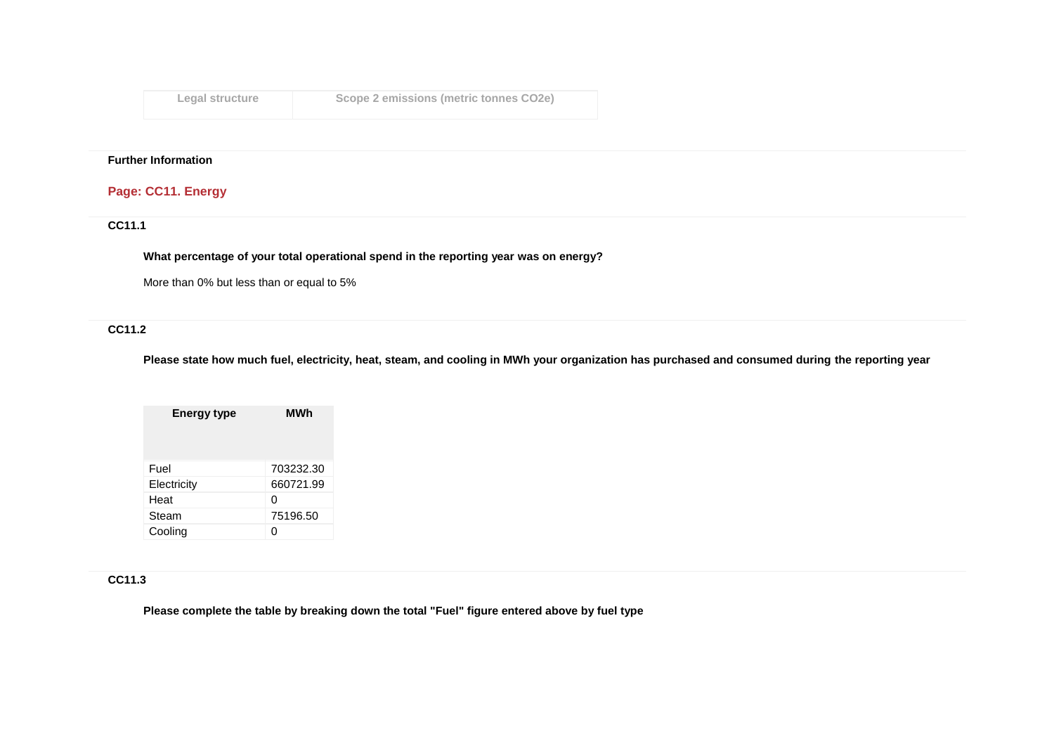| Legal structure | Scope 2 emissions (metric tonnes CO2e) |
|-----------------|----------------------------------------|
|-----------------|----------------------------------------|

## **Page: CC11. Energy**

## **CC11.1**

**What percentage of your total operational spend in the reporting year was on energy?**

More than 0% but less than or equal to 5%

## **CC11.2**

**Please state how much fuel, electricity, heat, steam, and cooling in MWh your organization has purchased and consumed during the reporting year**

| <b>Energy type</b> | MWh       |
|--------------------|-----------|
|                    |           |
| Fuel               | 703232.30 |
| Electricity        | 660721.99 |
| Heat               | O         |
| Steam              | 75196.50  |
| Cooling            |           |

## **CC11.3**

**Please complete the table by breaking down the total "Fuel" figure entered above by fuel type**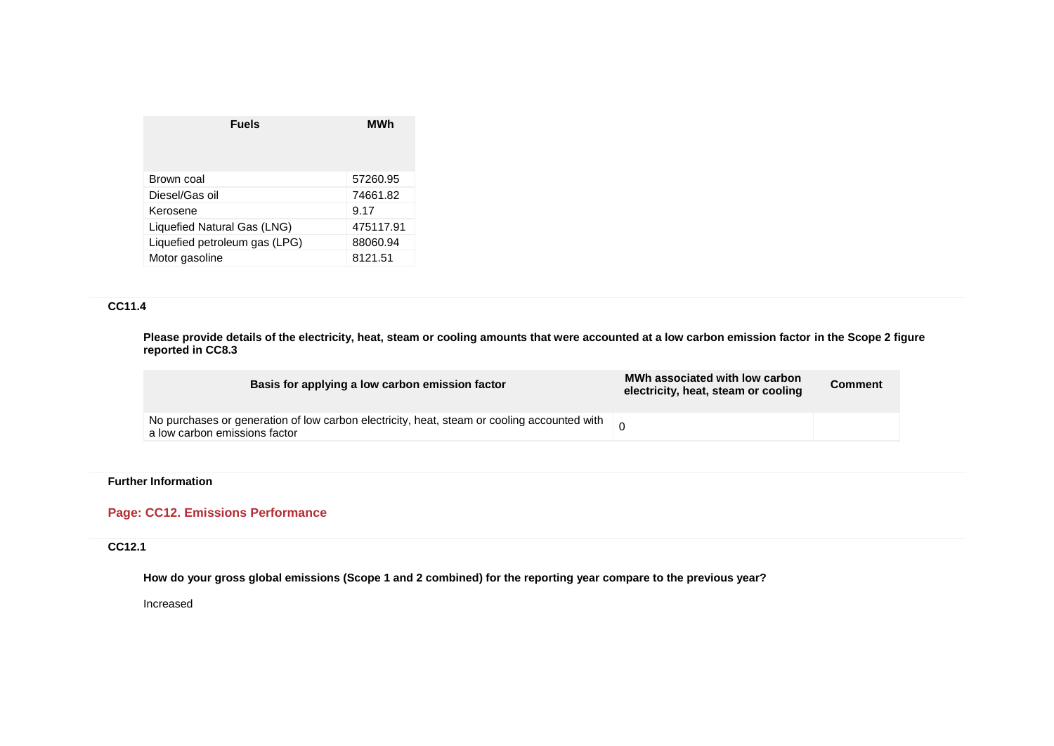| Brown coal<br>57260.95                    |
|-------------------------------------------|
| Diesel/Gas oil<br>74661.82                |
| Kerosene<br>9.17                          |
| Liquefied Natural Gas (LNG)<br>475117.91  |
| Liquefied petroleum gas (LPG)<br>88060.94 |
| Motor gasoline<br>8121.51                 |

## **CC11.4**

**Please provide details of the electricity, heat, steam or cooling amounts that were accounted at a low carbon emission factor in the Scope 2 figure reported in CC8.3**

| Basis for applying a low carbon emission factor                                                                                                                                     | MWh associated with low carbon<br>electricity, heat, steam or cooling | <b>Comment</b> |
|-------------------------------------------------------------------------------------------------------------------------------------------------------------------------------------|-----------------------------------------------------------------------|----------------|
| No purchases or generation of low carbon electricity, heat, steam or cooling accounted with $\begin{array}{c} \begin{array}{c} \hline \end{array}$<br>a low carbon emissions factor |                                                                       |                |

## **Further Information**

## **Page: CC12. Emissions Performance**

## **CC12.1**

**How do your gross global emissions (Scope 1 and 2 combined) for the reporting year compare to the previous year?**

Increased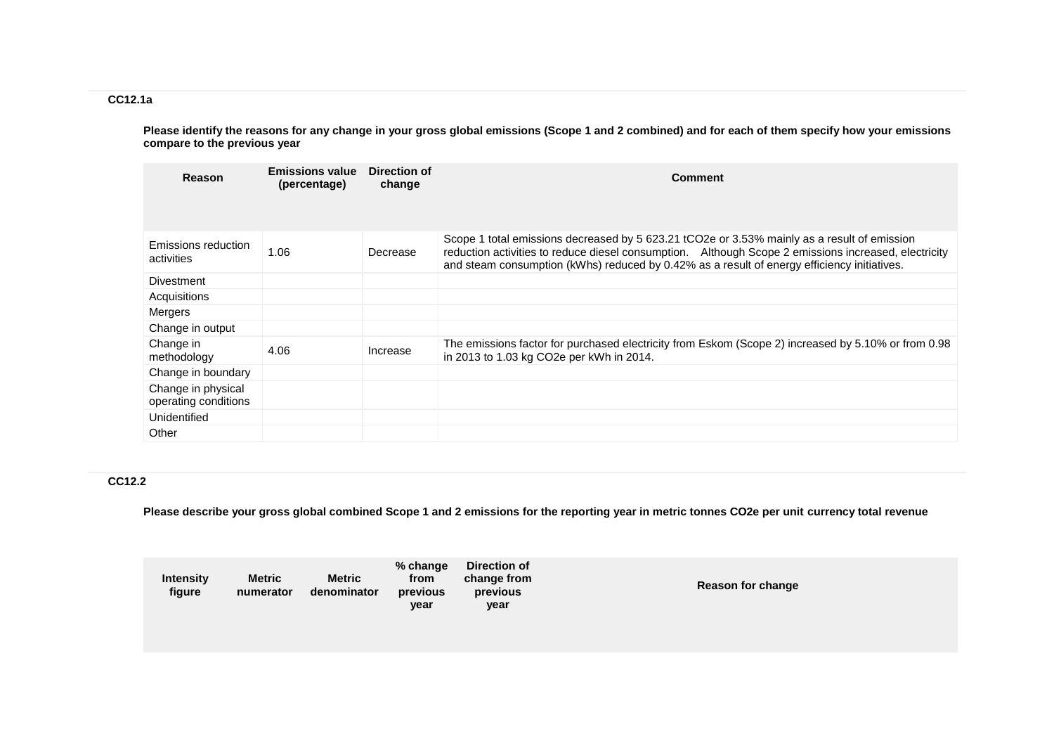## **CC12.1a**

**Please identify the reasons for any change in your gross global emissions (Scope 1 and 2 combined) and for each of them specify how your emissions compare to the previous year**

| Reason                                     | <b>Emissions value</b><br>(percentage) | Direction of<br>change | <b>Comment</b>                                                                                                                                                                                                                                                                                     |
|--------------------------------------------|----------------------------------------|------------------------|----------------------------------------------------------------------------------------------------------------------------------------------------------------------------------------------------------------------------------------------------------------------------------------------------|
| Emissions reduction<br>activities          | 1.06                                   | Decrease               | Scope 1 total emissions decreased by 5 623.21 tCO2e or 3.53% mainly as a result of emission<br>reduction activities to reduce diesel consumption. Although Scope 2 emissions increased, electricity<br>and steam consumption (kWhs) reduced by 0.42% as a result of energy efficiency initiatives. |
| Divestment                                 |                                        |                        |                                                                                                                                                                                                                                                                                                    |
| Acquisitions                               |                                        |                        |                                                                                                                                                                                                                                                                                                    |
| <b>Mergers</b>                             |                                        |                        |                                                                                                                                                                                                                                                                                                    |
| Change in output                           |                                        |                        |                                                                                                                                                                                                                                                                                                    |
| Change in<br>methodology                   | 4.06                                   | Increase               | The emissions factor for purchased electricity from Eskom (Scope 2) increased by 5.10% or from 0.98<br>in 2013 to 1.03 kg CO2e per kWh in 2014.                                                                                                                                                    |
| Change in boundary                         |                                        |                        |                                                                                                                                                                                                                                                                                                    |
| Change in physical<br>operating conditions |                                        |                        |                                                                                                                                                                                                                                                                                                    |
| Unidentified                               |                                        |                        |                                                                                                                                                                                                                                                                                                    |
| Other                                      |                                        |                        |                                                                                                                                                                                                                                                                                                    |

## **CC12.2**

**Please describe your gross global combined Scope 1 and 2 emissions for the reporting year in metric tonnes CO2e per unit currency total revenue**

| <b>Intensity</b><br>figure | <b>Metric</b><br>numerator | <b>Metric</b><br>denominator | % change<br>from<br>previous<br>year | Direction of<br>change from<br>previous<br>year | Reason for change |
|----------------------------|----------------------------|------------------------------|--------------------------------------|-------------------------------------------------|-------------------|
|                            |                            |                              |                                      |                                                 |                   |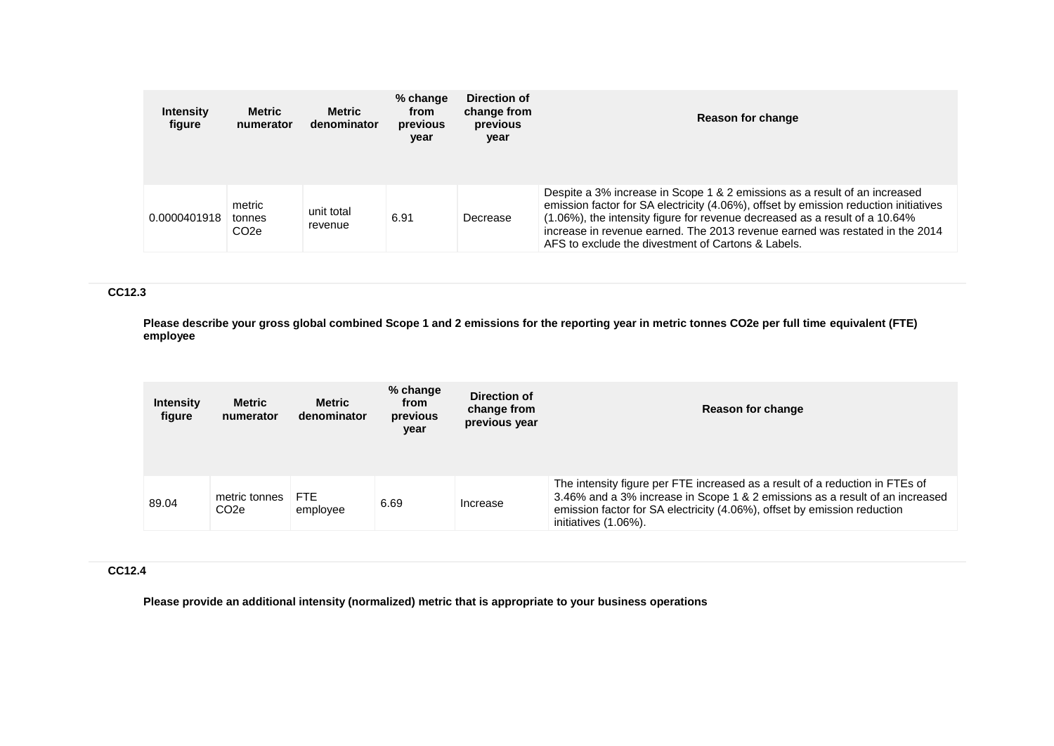| <b>Intensity</b><br>fiqure | <b>Metric</b><br>numerator           | <b>Metric</b><br>denominator | $%$ change<br>from<br>previous<br>year | Direction of<br>change from<br>previous<br>year | Reason for change                                                                                                                                                                                                                                                                                                                                                                       |
|----------------------------|--------------------------------------|------------------------------|----------------------------------------|-------------------------------------------------|-----------------------------------------------------------------------------------------------------------------------------------------------------------------------------------------------------------------------------------------------------------------------------------------------------------------------------------------------------------------------------------------|
| 0.0000401918               | metric<br>tonnes<br>CO <sub>2e</sub> | unit total<br>revenue        | 6.91                                   | Decrease                                        | Despite a 3% increase in Scope 1 & 2 emissions as a result of an increased<br>emission factor for SA electricity (4.06%), offset by emission reduction initiatives<br>(1.06%), the intensity figure for revenue decreased as a result of a 10.64%<br>increase in revenue earned. The 2013 revenue earned was restated in the 2014<br>AFS to exclude the divestment of Cartons & Labels. |

## **CC12.3**

**Please describe your gross global combined Scope 1 and 2 emissions for the reporting year in metric tonnes CO2e per full time equivalent (FTE) employee**

| <b>Intensity</b><br>figure | Metric<br>numerator   | <b>Metric</b><br>denominator | $%$ change<br>from<br>previous<br>year | Direction of<br>change from<br>previous year | Reason for change                                                                                                                                                                                                                                                |
|----------------------------|-----------------------|------------------------------|----------------------------------------|----------------------------------------------|------------------------------------------------------------------------------------------------------------------------------------------------------------------------------------------------------------------------------------------------------------------|
| 89.04                      | metric tonnes<br>CO2e | <b>FTE</b><br>employee       | 6.69                                   | Increase                                     | The intensity figure per FTE increased as a result of a reduction in FTEs of<br>3.46% and a 3% increase in Scope 1 & 2 emissions as a result of an increased<br>emission factor for SA electricity (4.06%), offset by emission reduction<br>initiatives (1.06%). |

## **CC12.4**

**Please provide an additional intensity (normalized) metric that is appropriate to your business operations**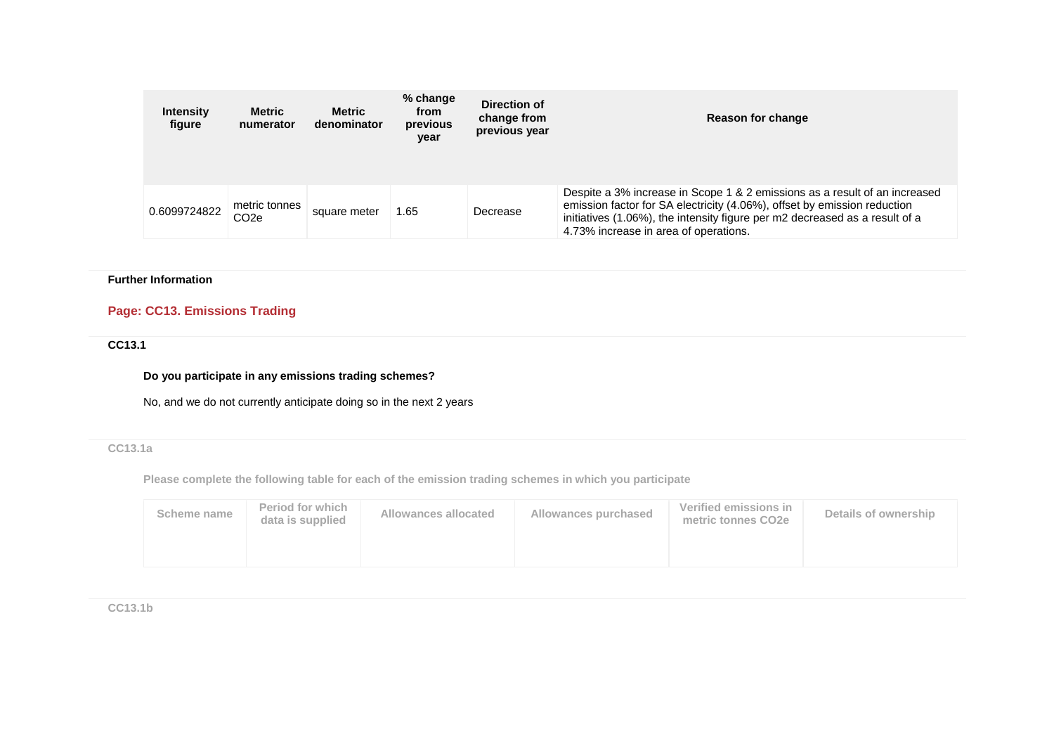| <b>Intensity</b><br>figure | <b>Metric</b><br>numerator        | <b>Metric</b><br>denominator | % change<br>from<br>previous<br>year | Direction of<br>change from<br>previous year | Reason for change                                                                                                                                                                                                                                                              |
|----------------------------|-----------------------------------|------------------------------|--------------------------------------|----------------------------------------------|--------------------------------------------------------------------------------------------------------------------------------------------------------------------------------------------------------------------------------------------------------------------------------|
| 0.6099724822               | metric tonnes<br>CO <sub>2e</sub> | square meter                 | 1.65                                 | Decrease                                     | Despite a 3% increase in Scope 1 & 2 emissions as a result of an increased<br>emission factor for SA electricity (4.06%), offset by emission reduction<br>initiatives (1.06%), the intensity figure per m2 decreased as a result of a<br>4.73% increase in area of operations. |

# **Page: CC13. Emissions Trading**

## **CC13.1**

### **Do you participate in any emissions trading schemes?**

No, and we do not currently anticipate doing so in the next 2 years

## **CC13.1a**

**Please complete the following table for each of the emission trading schemes in which you participate**

| Scheme name | <b>Period for which</b><br>data is supplied | Allowances allocated | Allowances purchased | Verified emissions in<br>metric tonnes CO2e | Details of ownership |
|-------------|---------------------------------------------|----------------------|----------------------|---------------------------------------------|----------------------|
|             |                                             |                      |                      |                                             |                      |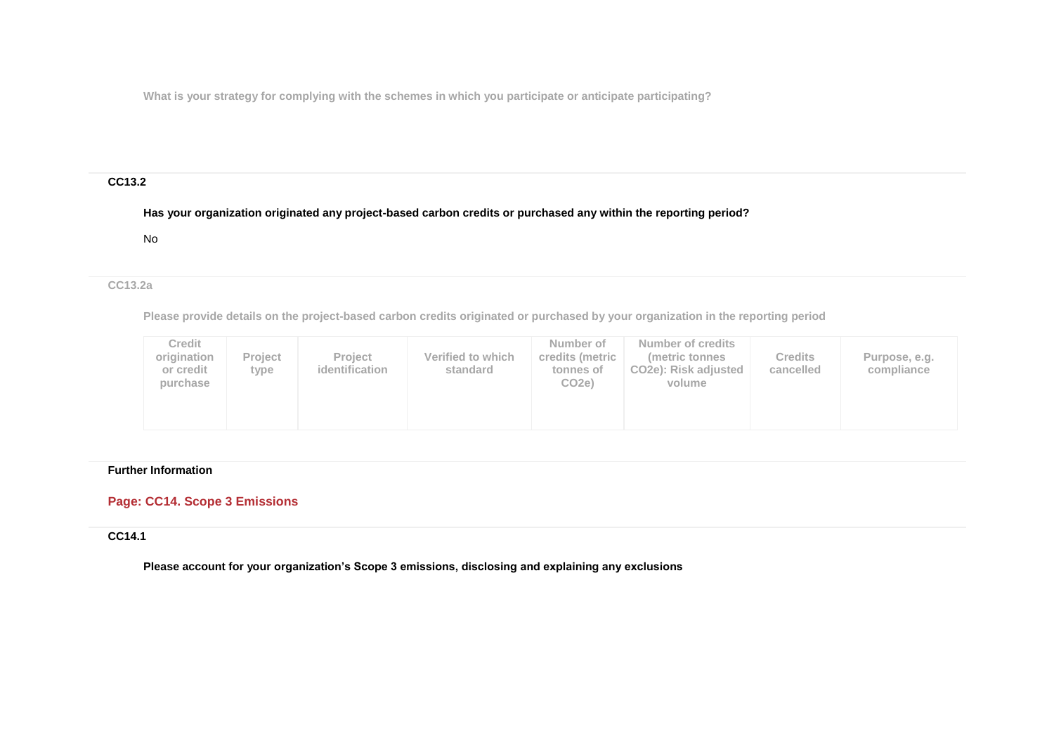**What is your strategy for complying with the schemes in which you participate or anticipate participating?**

## **CC13.2**

## **Has your organization originated any project-based carbon credits or purchased any within the reporting period?**

No

## **CC13.2a**

**Please provide details on the project-based carbon credits originated or purchased by your organization in the reporting period**

| Credit<br>origination<br>or credit<br>purchase | Project<br>type | <b>Project</b><br>identification | Verified to which<br>standard | Number of<br>credits (metric<br>tonnes of<br>CO <sub>2e</sub> ) | Number of credits<br>metric tonnes<br>CO <sub>2</sub> e): Risk adjusted<br>volume | <b>Credits</b><br>cancelled | Purpose, e.g.<br>compliance |  |
|------------------------------------------------|-----------------|----------------------------------|-------------------------------|-----------------------------------------------------------------|-----------------------------------------------------------------------------------|-----------------------------|-----------------------------|--|
|------------------------------------------------|-----------------|----------------------------------|-------------------------------|-----------------------------------------------------------------|-----------------------------------------------------------------------------------|-----------------------------|-----------------------------|--|

#### **Further Information**

## **Page: CC14. Scope 3 Emissions**

### **CC14.1**

**Please account for your organization's Scope 3 emissions, disclosing and explaining any exclusions**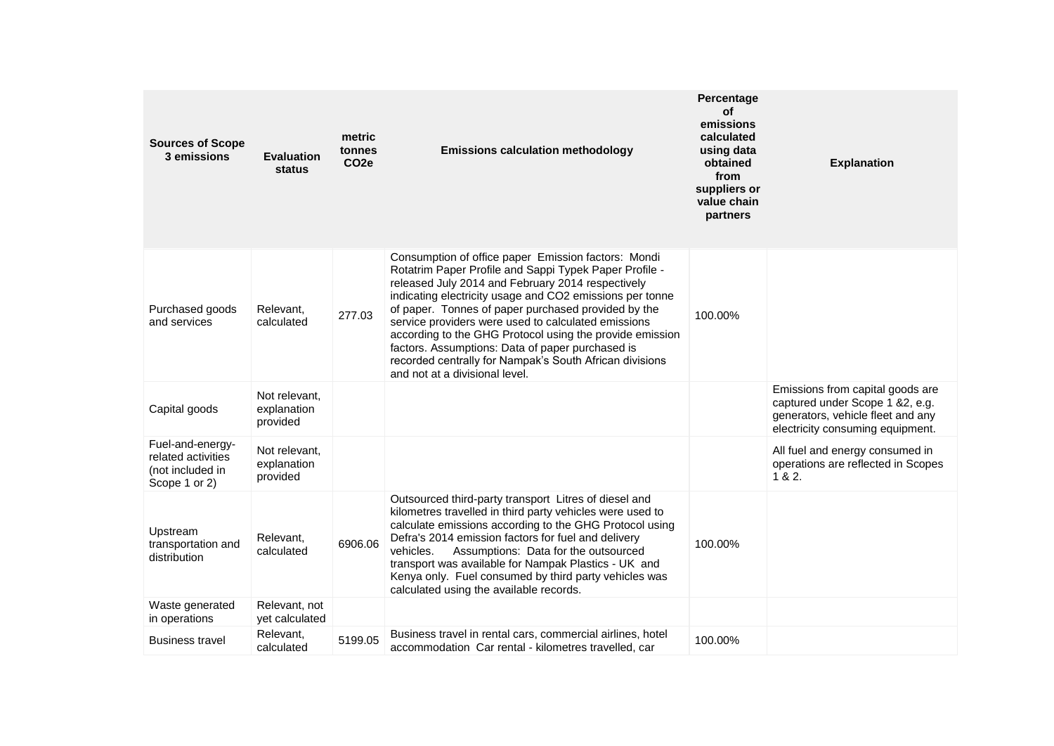| <b>Sources of Scope</b><br>3 emissions                                      | <b>Evaluation</b><br>status              | metric<br>tonnes<br>CO <sub>2e</sub> | <b>Emissions calculation methodology</b>                                                                                                                                                                                                                                                                                                                                                                                                                                                                                                                  | Percentage<br>οf<br>emissions<br>calculated<br>using data<br>obtained<br>from<br>suppliers or<br>value chain<br>partners | <b>Explanation</b>                                                                                                                           |
|-----------------------------------------------------------------------------|------------------------------------------|--------------------------------------|-----------------------------------------------------------------------------------------------------------------------------------------------------------------------------------------------------------------------------------------------------------------------------------------------------------------------------------------------------------------------------------------------------------------------------------------------------------------------------------------------------------------------------------------------------------|--------------------------------------------------------------------------------------------------------------------------|----------------------------------------------------------------------------------------------------------------------------------------------|
| Purchased goods<br>and services                                             | Relevant,<br>calculated                  | 277.03                               | Consumption of office paper Emission factors: Mondi<br>Rotatrim Paper Profile and Sappi Typek Paper Profile -<br>released July 2014 and February 2014 respectively<br>indicating electricity usage and CO2 emissions per tonne<br>of paper. Tonnes of paper purchased provided by the<br>service providers were used to calculated emissions<br>according to the GHG Protocol using the provide emission<br>factors. Assumptions: Data of paper purchased is<br>recorded centrally for Nampak's South African divisions<br>and not at a divisional level. | 100.00%                                                                                                                  |                                                                                                                                              |
| Capital goods                                                               | Not relevant,<br>explanation<br>provided |                                      |                                                                                                                                                                                                                                                                                                                                                                                                                                                                                                                                                           |                                                                                                                          | Emissions from capital goods are<br>captured under Scope 1 &2, e.g.<br>generators, vehicle fleet and any<br>electricity consuming equipment. |
| Fuel-and-energy-<br>related activities<br>(not included in<br>Scope 1 or 2) | Not relevant,<br>explanation<br>provided |                                      |                                                                                                                                                                                                                                                                                                                                                                                                                                                                                                                                                           |                                                                                                                          | All fuel and energy consumed in<br>operations are reflected in Scopes<br>1 & 8 & 2.                                                          |
| Upstream<br>transportation and<br>distribution                              | Relevant,<br>calculated                  | 6906.06                              | Outsourced third-party transport Litres of diesel and<br>kilometres travelled in third party vehicles were used to<br>calculate emissions according to the GHG Protocol using<br>Defra's 2014 emission factors for fuel and delivery<br>vehicles.<br>Assumptions: Data for the outsourced<br>transport was available for Nampak Plastics - UK and<br>Kenya only. Fuel consumed by third party vehicles was<br>calculated using the available records.                                                                                                     | 100.00%                                                                                                                  |                                                                                                                                              |
| Waste generated<br>in operations                                            | Relevant, not<br>yet calculated          |                                      |                                                                                                                                                                                                                                                                                                                                                                                                                                                                                                                                                           |                                                                                                                          |                                                                                                                                              |
| <b>Business travel</b>                                                      | Relevant,<br>calculated                  | 5199.05                              | Business travel in rental cars, commercial airlines, hotel<br>accommodation Car rental - kilometres travelled, car                                                                                                                                                                                                                                                                                                                                                                                                                                        | 100.00%                                                                                                                  |                                                                                                                                              |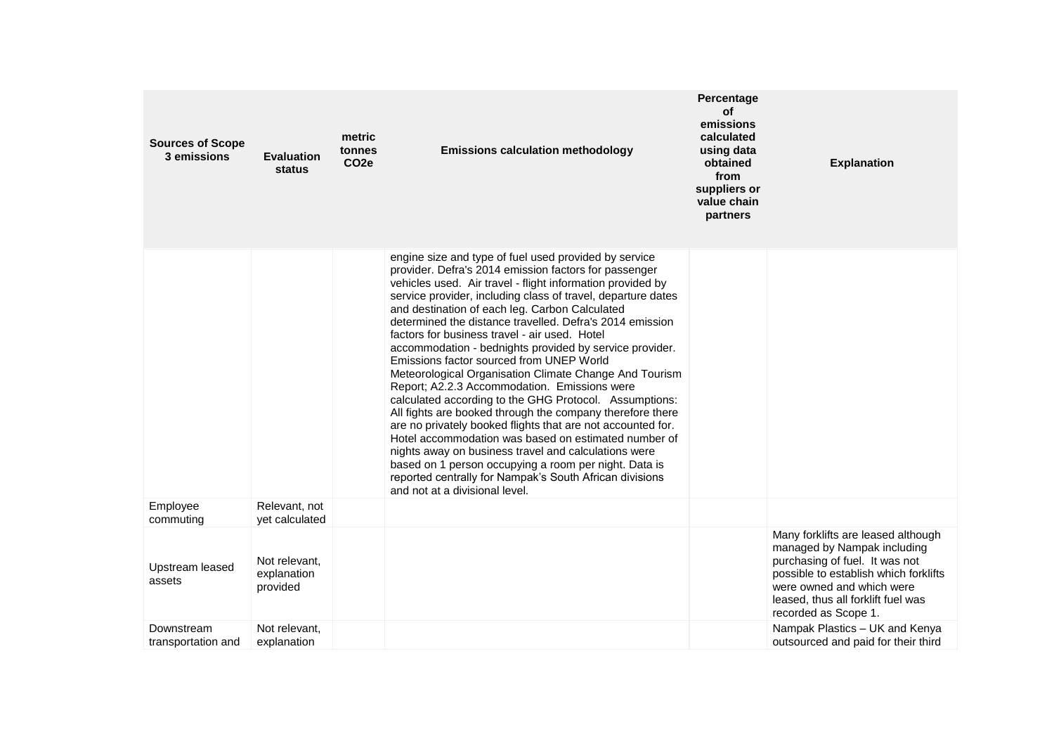| <b>Sources of Scope</b><br>3 emissions | <b>Evaluation</b><br>status              | metric<br>tonnes<br>CO <sub>2e</sub> | <b>Emissions calculation methodology</b>                                                                                                                                                                                                                                                                                                                                                                                                                                                                                                                                                                                                                                                                                                                                                                                                                                                                                                                                                                                                                                                 | Percentage<br>οf<br>emissions<br>calculated<br>using data<br>obtained<br>from<br>suppliers or<br>value chain<br>partners | <b>Explanation</b>                                                                                                                                                                                                                      |
|----------------------------------------|------------------------------------------|--------------------------------------|------------------------------------------------------------------------------------------------------------------------------------------------------------------------------------------------------------------------------------------------------------------------------------------------------------------------------------------------------------------------------------------------------------------------------------------------------------------------------------------------------------------------------------------------------------------------------------------------------------------------------------------------------------------------------------------------------------------------------------------------------------------------------------------------------------------------------------------------------------------------------------------------------------------------------------------------------------------------------------------------------------------------------------------------------------------------------------------|--------------------------------------------------------------------------------------------------------------------------|-----------------------------------------------------------------------------------------------------------------------------------------------------------------------------------------------------------------------------------------|
|                                        |                                          |                                      | engine size and type of fuel used provided by service<br>provider. Defra's 2014 emission factors for passenger<br>vehicles used. Air travel - flight information provided by<br>service provider, including class of travel, departure dates<br>and destination of each leg. Carbon Calculated<br>determined the distance travelled. Defra's 2014 emission<br>factors for business travel - air used. Hotel<br>accommodation - bednights provided by service provider.<br>Emissions factor sourced from UNEP World<br>Meteorological Organisation Climate Change And Tourism<br>Report; A2.2.3 Accommodation. Emissions were<br>calculated according to the GHG Protocol. Assumptions:<br>All fights are booked through the company therefore there<br>are no privately booked flights that are not accounted for.<br>Hotel accommodation was based on estimated number of<br>nights away on business travel and calculations were<br>based on 1 person occupying a room per night. Data is<br>reported centrally for Nampak's South African divisions<br>and not at a divisional level. |                                                                                                                          |                                                                                                                                                                                                                                         |
| Employee<br>commuting                  | Relevant, not<br>yet calculated          |                                      |                                                                                                                                                                                                                                                                                                                                                                                                                                                                                                                                                                                                                                                                                                                                                                                                                                                                                                                                                                                                                                                                                          |                                                                                                                          |                                                                                                                                                                                                                                         |
| Upstream leased<br>assets              | Not relevant,<br>explanation<br>provided |                                      |                                                                                                                                                                                                                                                                                                                                                                                                                                                                                                                                                                                                                                                                                                                                                                                                                                                                                                                                                                                                                                                                                          |                                                                                                                          | Many forklifts are leased although<br>managed by Nampak including<br>purchasing of fuel. It was not<br>possible to establish which forklifts<br>were owned and which were<br>leased, thus all forklift fuel was<br>recorded as Scope 1. |
| Downstream<br>transportation and       | Not relevant,<br>explanation             |                                      |                                                                                                                                                                                                                                                                                                                                                                                                                                                                                                                                                                                                                                                                                                                                                                                                                                                                                                                                                                                                                                                                                          |                                                                                                                          | Nampak Plastics - UK and Kenya<br>outsourced and paid for their third                                                                                                                                                                   |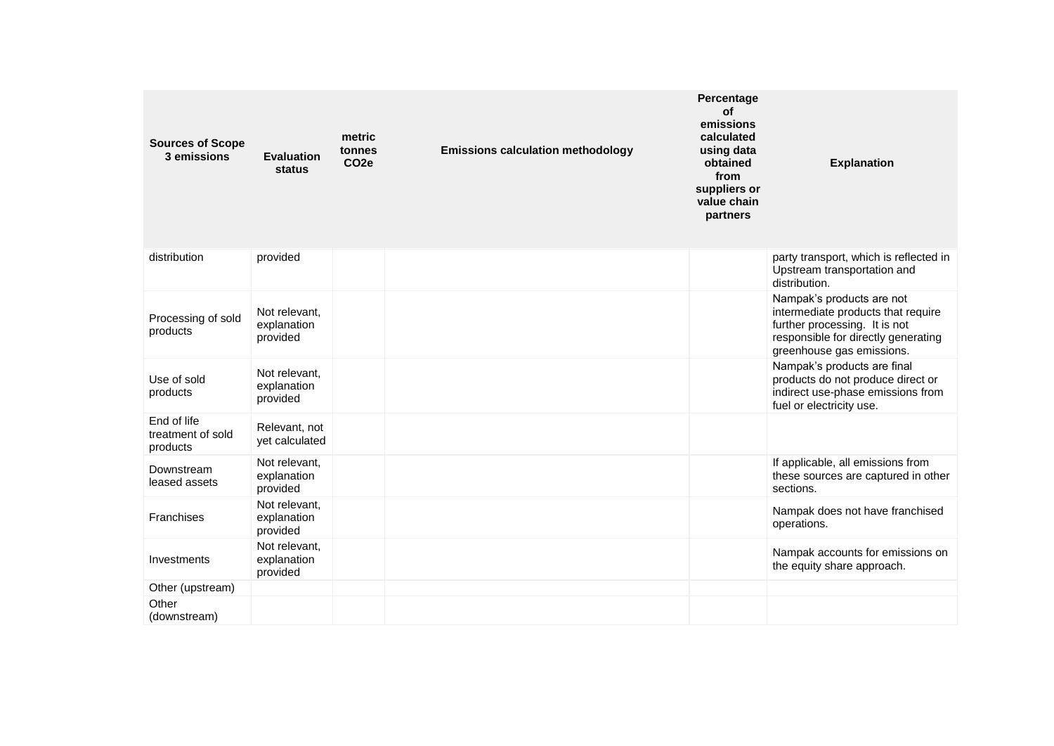| <b>Sources of Scope</b><br>3 emissions       | <b>Evaluation</b><br>status              | metric<br>tonnes<br>CO <sub>2e</sub> | <b>Emissions calculation methodology</b> | Percentage<br><b>of</b><br>emissions<br>calculated<br>using data<br>obtained<br>from<br>suppliers or<br>value chain<br>partners | <b>Explanation</b>                                                                                                                                                   |
|----------------------------------------------|------------------------------------------|--------------------------------------|------------------------------------------|---------------------------------------------------------------------------------------------------------------------------------|----------------------------------------------------------------------------------------------------------------------------------------------------------------------|
| distribution                                 | provided                                 |                                      |                                          |                                                                                                                                 | party transport, which is reflected in<br>Upstream transportation and<br>distribution.                                                                               |
| Processing of sold<br>products               | Not relevant,<br>explanation<br>provided |                                      |                                          |                                                                                                                                 | Nampak's products are not<br>intermediate products that require<br>further processing. It is not<br>responsible for directly generating<br>greenhouse gas emissions. |
| Use of sold<br>products                      | Not relevant,<br>explanation<br>provided |                                      |                                          |                                                                                                                                 | Nampak's products are final<br>products do not produce direct or<br>indirect use-phase emissions from<br>fuel or electricity use.                                    |
| End of life<br>treatment of sold<br>products | Relevant, not<br>yet calculated          |                                      |                                          |                                                                                                                                 |                                                                                                                                                                      |
| Downstream<br>leased assets                  | Not relevant,<br>explanation<br>provided |                                      |                                          |                                                                                                                                 | If applicable, all emissions from<br>these sources are captured in other<br>sections.                                                                                |
| Franchises                                   | Not relevant,<br>explanation<br>provided |                                      |                                          |                                                                                                                                 | Nampak does not have franchised<br>operations.                                                                                                                       |
| Investments                                  | Not relevant,<br>explanation<br>provided |                                      |                                          |                                                                                                                                 | Nampak accounts for emissions on<br>the equity share approach.                                                                                                       |
| Other (upstream)                             |                                          |                                      |                                          |                                                                                                                                 |                                                                                                                                                                      |
| Other<br>(downstream)                        |                                          |                                      |                                          |                                                                                                                                 |                                                                                                                                                                      |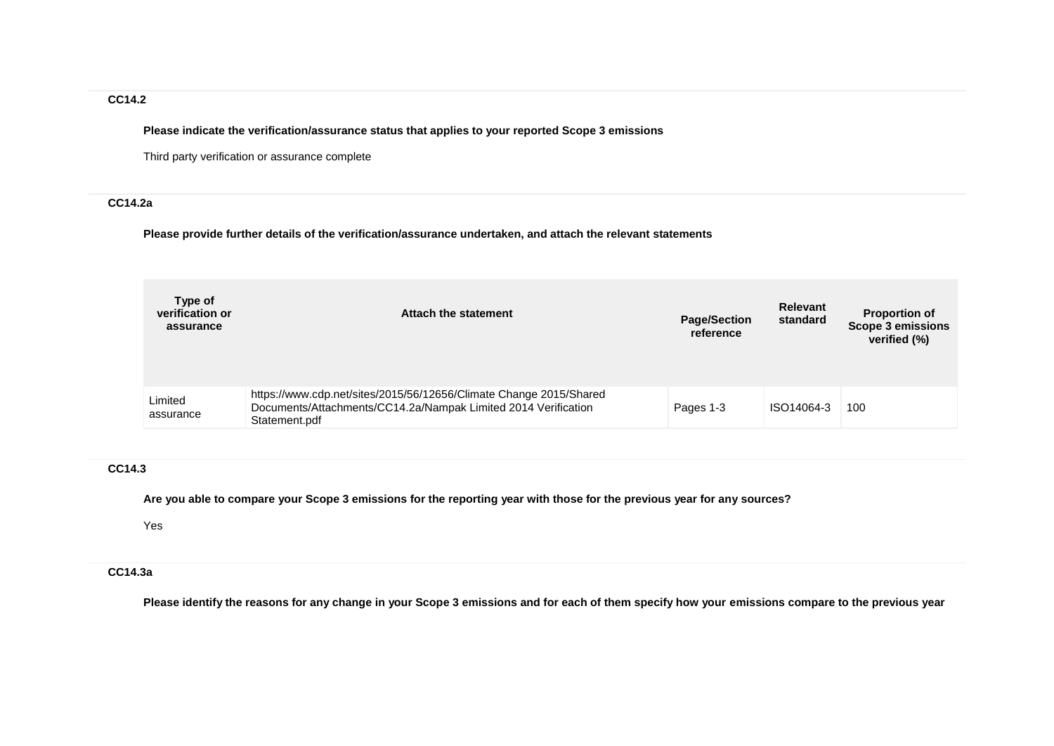## **CC14.2**

**Please indicate the verification/assurance status that applies to your reported Scope 3 emissions**

Third party verification or assurance complete

### **CC14.2a**

**Please provide further details of the verification/assurance undertaken, and attach the relevant statements**

| Type of<br>verification or<br>assurance | Attach the statement                                                                                                                                  | <b>Page/Section</b><br>reference | <b>Relevant</b><br>standard | <b>Proportion of</b><br><b>Scope 3 emissions</b><br>verified (%) |
|-----------------------------------------|-------------------------------------------------------------------------------------------------------------------------------------------------------|----------------------------------|-----------------------------|------------------------------------------------------------------|
| Limited<br>assurance                    | https://www.cdp.net/sites/2015/56/12656/Climate Change 2015/Shared<br>Documents/Attachments/CC14.2a/Nampak Limited 2014 Verification<br>Statement.pdf | Pages 1-3                        | ISO14064-3                  | 100                                                              |

## **CC14.3**

**Are you able to compare your Scope 3 emissions for the reporting year with those for the previous year for any sources?**

Yes

## **CC14.3a**

**Please identify the reasons for any change in your Scope 3 emissions and for each of them specify how your emissions compare to the previous year**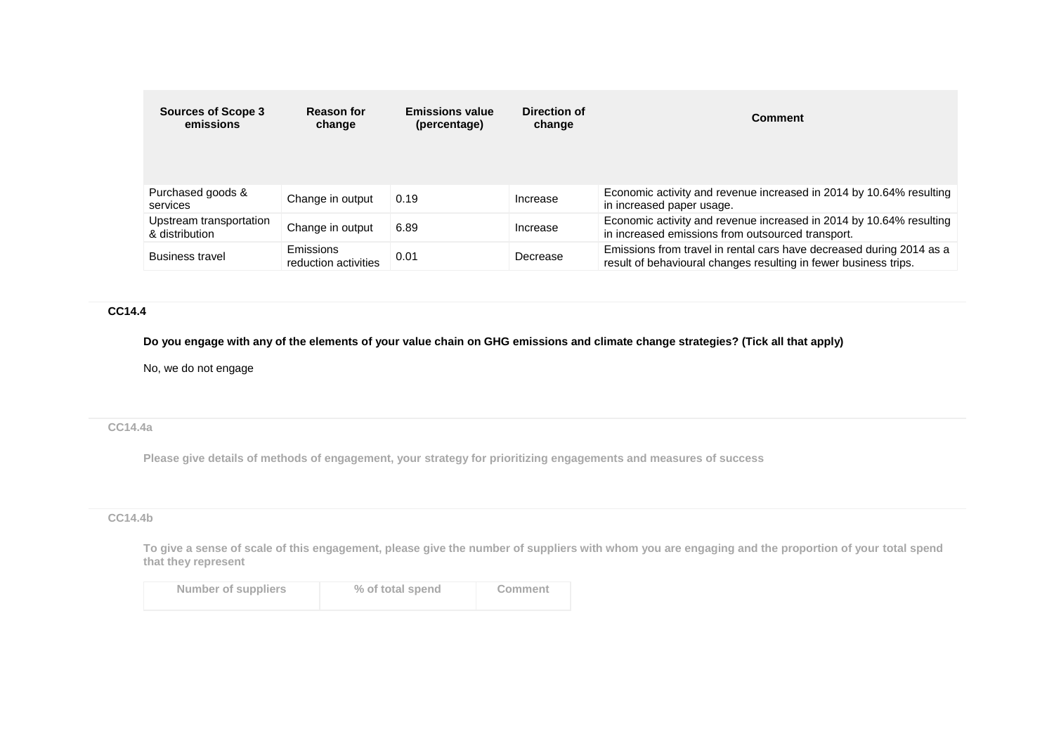| <b>Sources of Scope 3</b><br>emissions    | <b>Reason for</b><br>change       | <b>Emissions value</b><br>(percentage) | Direction of<br>change | Comment                                                                                                                                  |
|-------------------------------------------|-----------------------------------|----------------------------------------|------------------------|------------------------------------------------------------------------------------------------------------------------------------------|
| Purchased goods &<br>services             | Change in output                  | 0.19                                   | Increase               | Economic activity and revenue increased in 2014 by 10.64% resulting<br>in increased paper usage.                                         |
| Upstream transportation<br>& distribution | Change in output                  | 6.89                                   | Increase               | Economic activity and revenue increased in 2014 by 10.64% resulting<br>in increased emissions from outsourced transport.                 |
| <b>Business travel</b>                    | Emissions<br>reduction activities | 0.01                                   | Decrease               | Emissions from travel in rental cars have decreased during 2014 as a<br>result of behavioural changes resulting in fewer business trips. |

#### **CC14.4**

**Do you engage with any of the elements of your value chain on GHG emissions and climate change strategies? (Tick all that apply)**

No, we do not engage

## **CC14.4a**

**Please give details of methods of engagement, your strategy for prioritizing engagements and measures of success**

## **CC14.4b**

**To give a sense of scale of this engagement, please give the number of suppliers with whom you are engaging and the proportion of your total spend that they represent**

| Number of suppliers | % of total spend | Comment |
|---------------------|------------------|---------|
|                     |                  |         |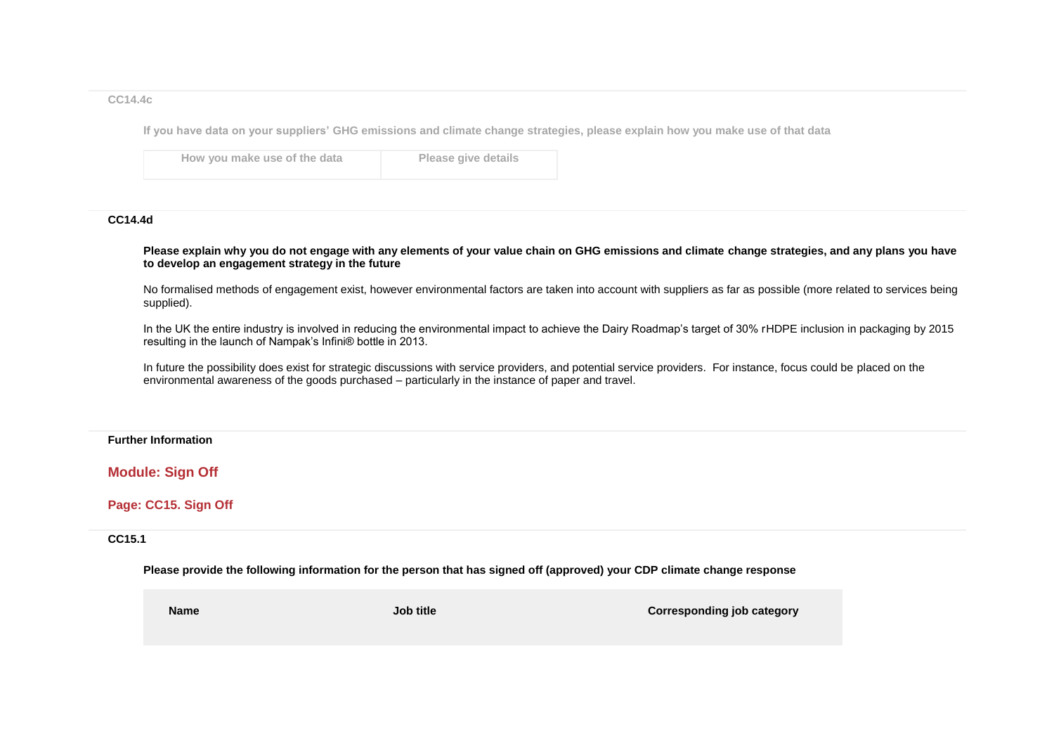#### **CC14.4c**

**If you have data on your suppliers' GHG emissions and climate change strategies, please explain how you make use of that data**

**How you make use of the data Please give details**

#### **CC14.4d**

**Please explain why you do not engage with any elements of your value chain on GHG emissions and climate change strategies, and any plans you have to develop an engagement strategy in the future**

No formalised methods of engagement exist, however environmental factors are taken into account with suppliers as far as possible (more related to services being supplied).

In the UK the entire industry is involved in reducing the environmental impact to achieve the Dairy Roadmap's target of 30% rHDPE inclusion in packaging by 2015 resulting in the launch of Nampak's Infini® bottle in 2013.

In future the possibility does exist for strategic discussions with service providers, and potential service providers. For instance, focus could be placed on the environmental awareness of the goods purchased – particularly in the instance of paper and travel.

#### **Further Information**

**Module: Sign Off**

**Page: CC15. Sign Off**

**CC15.1**

**Please provide the following information for the person that has signed off (approved) your CDP climate change response**

**Name Job title Corresponding job category**